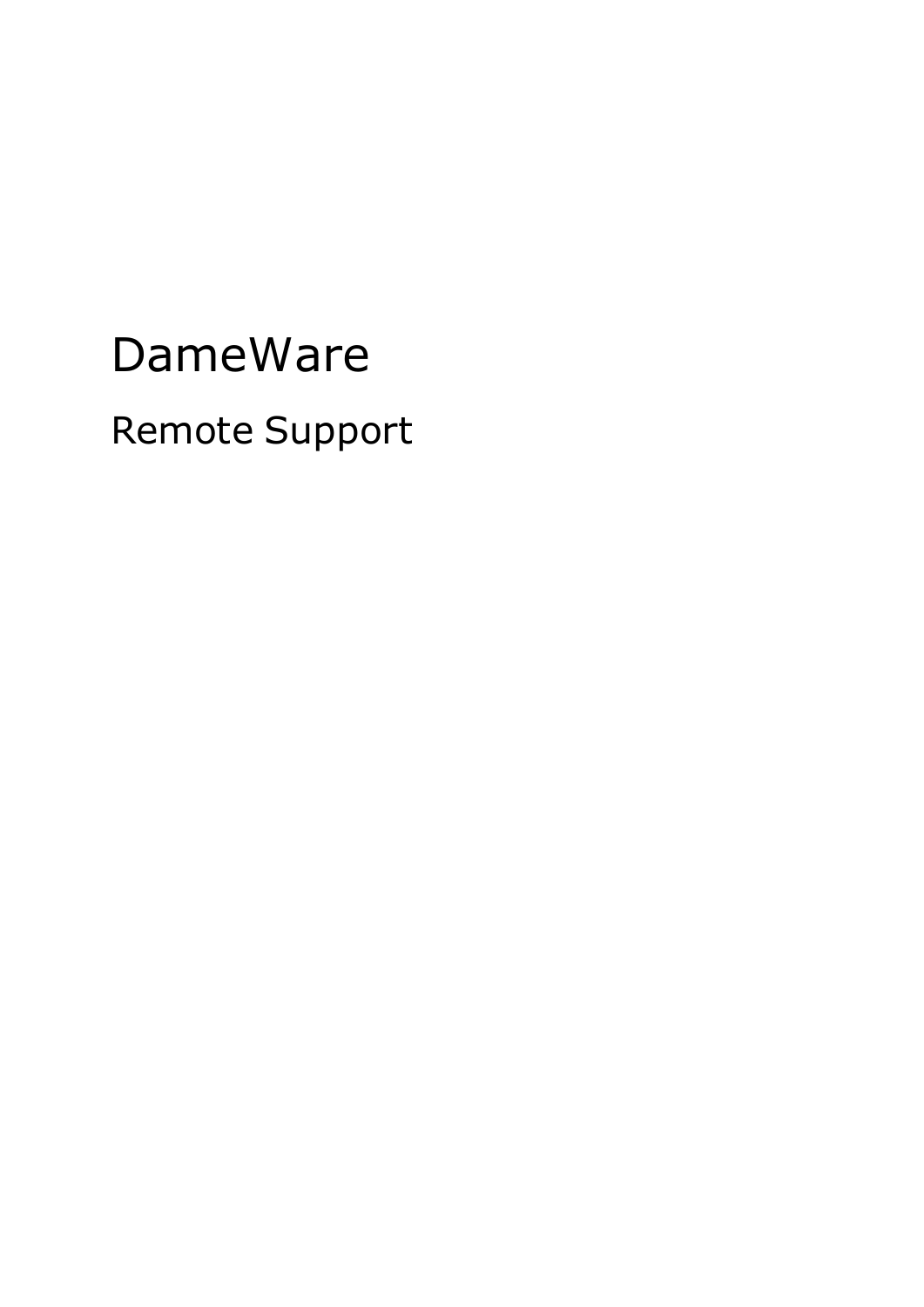# DameWare Remote Support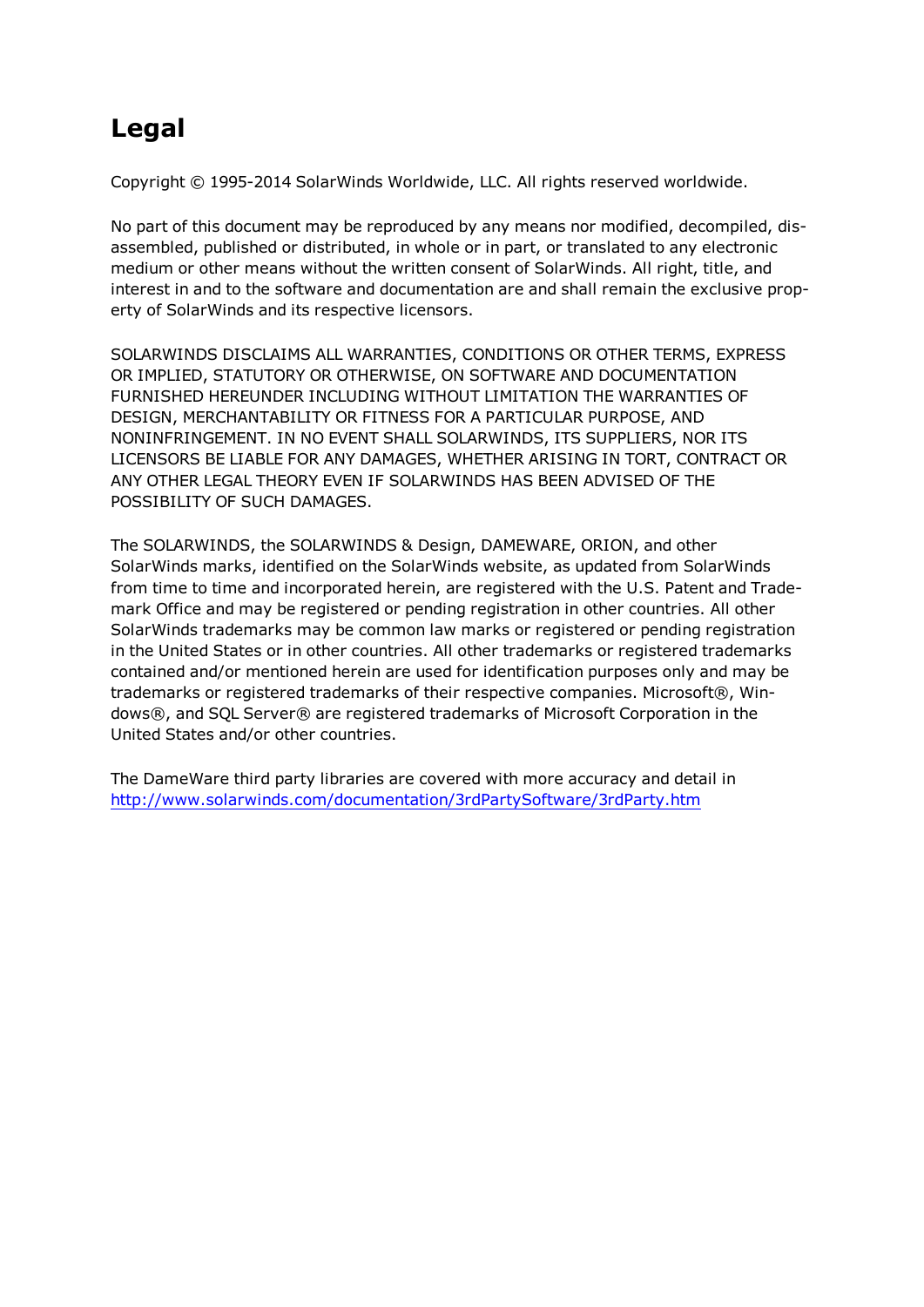# **Legal**

Copyright © 1995-2014 SolarWinds Worldwide, LLC. All rights reserved worldwide.

No part of this document may be reproduced by any means nor modified, decompiled, disassembled, published or distributed, in whole or in part, or translated to any electronic medium or other means without the written consent of SolarWinds. All right, title, and interest in and to the software and documentation are and shall remain the exclusive property of SolarWinds and its respective licensors.

SOLARWINDS DISCLAIMS ALL WARRANTIES, CONDITIONS OR OTHER TERMS, EXPRESS OR IMPLIED, STATUTORY OR OTHERWISE, ON SOFTWARE AND DOCUMENTATION FURNISHED HEREUNDER INCLUDING WITHOUT LIMITATION THE WARRANTIES OF DESIGN, MERCHANTABILITY OR FITNESS FOR A PARTICULAR PURPOSE, AND NONINFRINGEMENT. IN NO EVENT SHALL SOLARWINDS, ITS SUPPLIERS, NOR ITS LICENSORS BE LIABLE FOR ANY DAMAGES, WHETHER ARISING IN TORT, CONTRACT OR ANY OTHER LEGAL THEORY EVEN IF SOLARWINDS HAS BEEN ADVISED OF THE POSSIBILITY OF SUCH DAMAGES.

The SOLARWINDS, the SOLARWINDS & Design, DAMEWARE, ORION, and other SolarWinds marks, identified on the SolarWinds website, as updated from SolarWinds from time to time and incorporated herein, are registered with the U.S. Patent and Trademark Office and may be registered or pending registration in other countries. All other SolarWinds trademarks may be common law marks or registered or pending registration in the United States or in other countries. All other trademarks or registered trademarks contained and/or mentioned herein are used for identification purposes only and may be trademarks or registered trademarks of their respective companies. Microsoft®, Windows®, and SQL Server® are registered trademarks of Microsoft Corporation in the United States and/or other countries.

The DameWare third party libraries are covered with more accuracy and detail in <http://www.solarwinds.com/documentation/3rdPartySoftware/3rdParty.htm>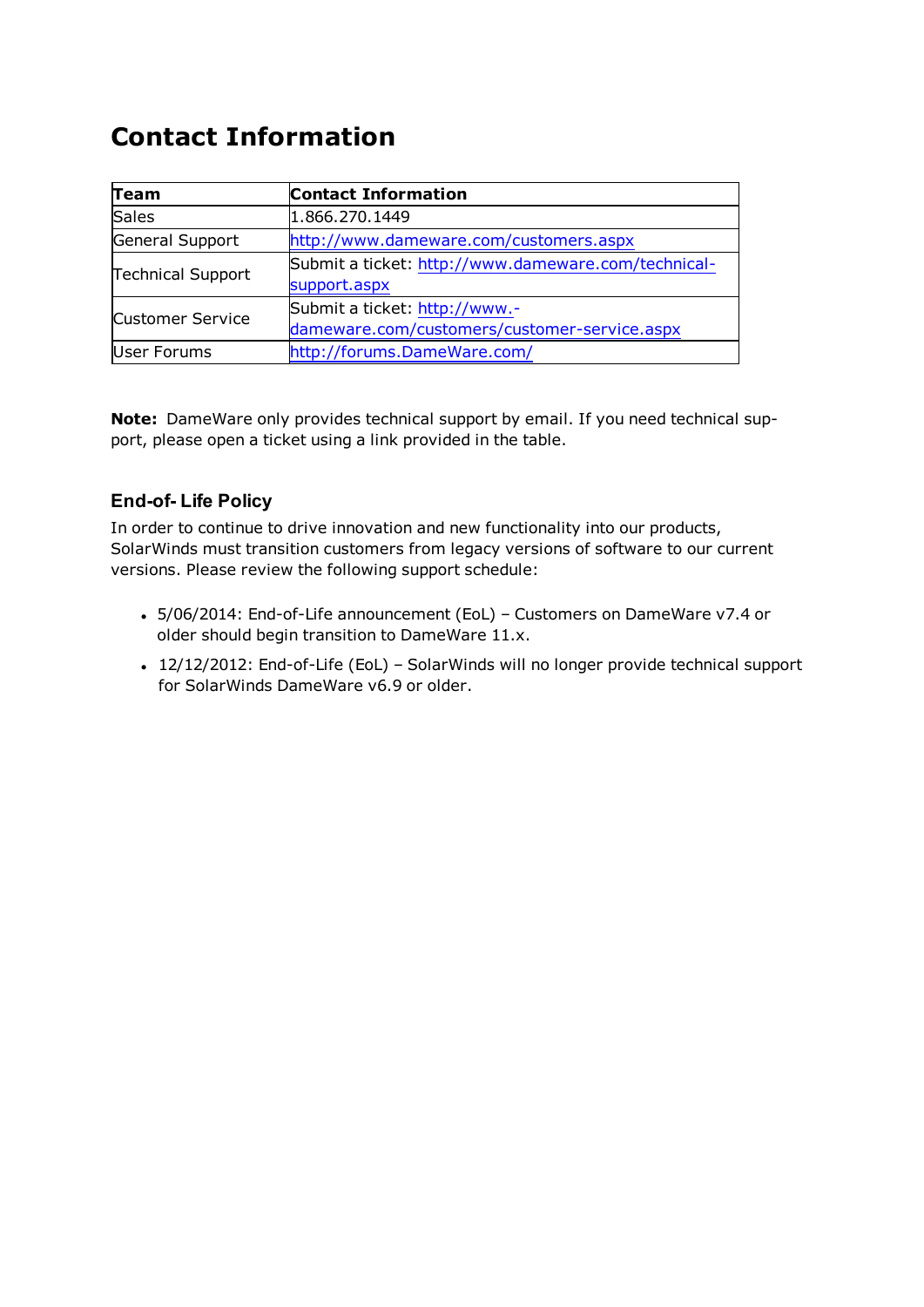# **Contact Information**

| Team                     | <b>Contact Information</b>                                                    |
|--------------------------|-------------------------------------------------------------------------------|
| Sales                    | 1.866.270.1449                                                                |
| General Support          | http://www.dameware.com/customers.aspx                                        |
| <b>Technical Support</b> | Submit a ticket: http://www.dameware.com/technical-<br>support.aspx           |
| <b>Customer Service</b>  | Submit a ticket: http://www.-<br>dameware.com/customers/customer-service.aspx |
| User Forums              | http://forums.DameWare.com/                                                   |

**Note:** DameWare only provides technical support by email. If you need technical support, please open a ticket using a link provided in the table.

# **End-of- Life Policy**

In order to continue to drive innovation and new functionality into our products, SolarWinds must transition customers from legacy versions of software to our current versions. Please review the following support schedule:

- 5/06/2014: End-of-Life announcement (EoL) Customers on DameWare v7.4 or older should begin transition to DameWare 11.x.
- 12/12/2012: End-of-Life (EoL) SolarWinds will no longer provide technical support for SolarWinds DameWare v6.9 or older.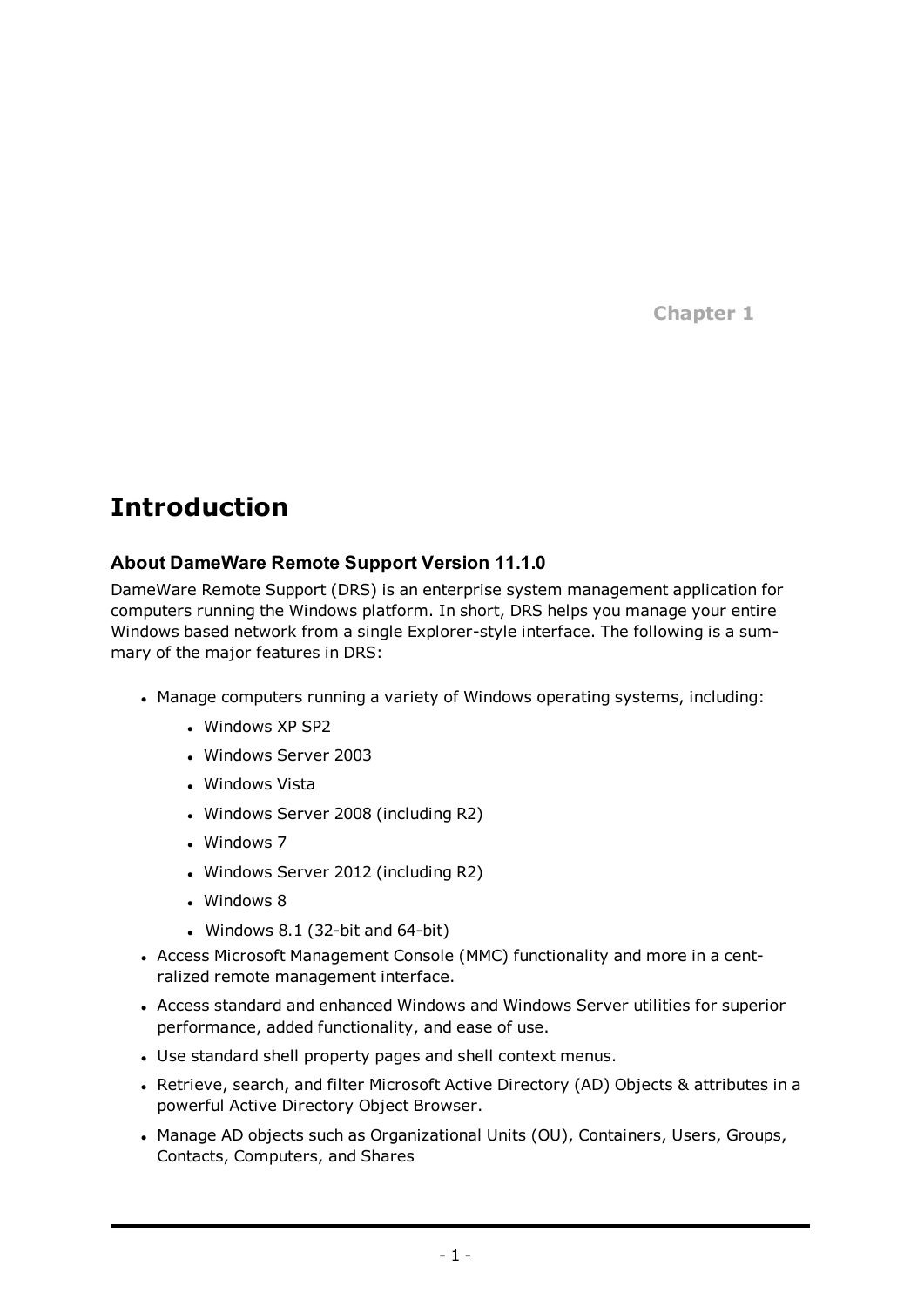**Chapter 1**

# **Introduction**

# **About DameWare Remote Support Version 11.1.0**

DameWare Remote Support (DRS) is an enterprise system management application for computers running the Windows platform. In short, DRS helps you manage your entire Windows based network from a single Explorer-style interface. The following is a summary of the major features in DRS:

- Manage computers running a variety of Windows operating systems, including:
	- Windows XP SP2
	- <sup>l</sup> Windows Server 2003
	- Windows Vista
	- Windows Server 2008 (including R2)
	- $\cdot$  Windows 7
	- Windows Server 2012 (including R2)
	- $\cdot$  Windows 8
	- Windows 8.1 (32-bit and  $64$ -bit)
- Access Microsoft Management Console (MMC) functionality and more in a centralized remote management interface.
- Access standard and enhanced Windows and Windows Server utilities for superior performance, added functionality, and ease of use.
- Use standard shell property pages and shell context menus.
- Retrieve, search, and filter Microsoft Active Directory (AD) Objects & attributes in a powerful Active Directory Object Browser.
- Manage AD objects such as Organizational Units (OU), Containers, Users, Groups, Contacts, Computers, and Shares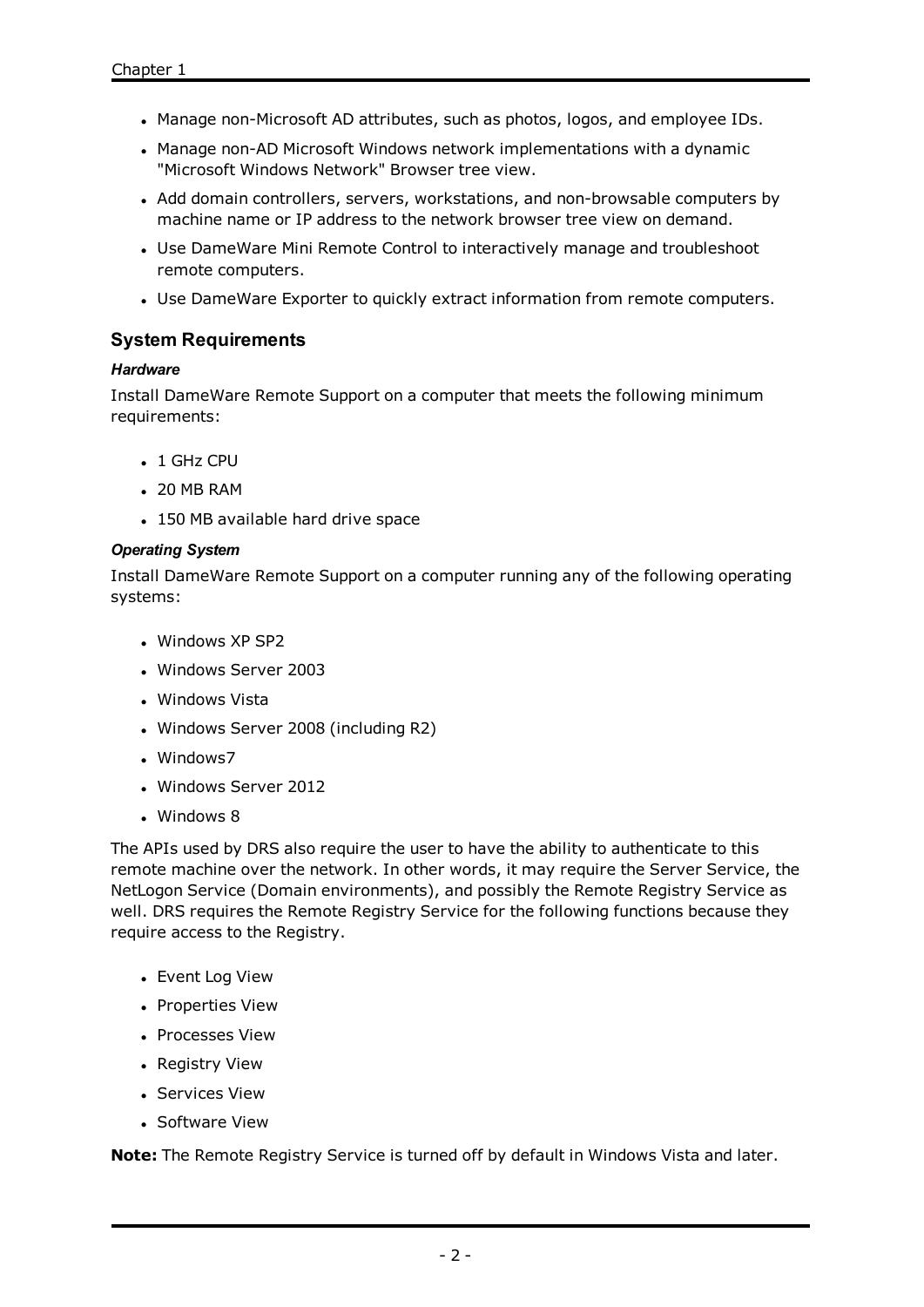- Manage non-Microsoft AD attributes, such as photos, logos, and employee IDs.
- Manage non-AD Microsoft Windows network implementations with a dynamic "Microsoft Windows Network" Browser tree view.
- Add domain controllers, servers, workstations, and non-browsable computers by machine name or IP address to the network browser tree view on demand.
- Use DameWare Mini Remote Control to interactively manage and troubleshoot remote computers.
- Use DameWare Exporter to quickly extract information from remote computers.

# <span id="page-4-0"></span>**System Requirements**

#### *Hardware*

Install DameWare Remote Support on a computer that meets the following minimum requirements:

- $\cdot$  1 GHz CPU
- $.20$  MB RAM
- 150 MB available hard drive space

#### *Operating System*

Install DameWare Remote Support on a computer running any of the following operating systems:

- Windows XP SP2
- Windows Server 2003
- . Windows Vista
- Windows Server 2008 (including R2)
- Windows7
- Windows Server 2012
- $\cdot$  Windows 8

The APIs used by DRS also require the user to have the ability to authenticate to this remote machine over the network. In other words, it may require the Server Service, the NetLogon Service (Domain environments), and possibly the Remote Registry Service as well. DRS requires the Remote Registry Service for the following functions because they require access to the Registry.

- Event Log View
- Properties View
- Processes View
- Registry View
- Services View
- Software View

**Note:** The Remote Registry Service is turned off by default in Windows Vista and later.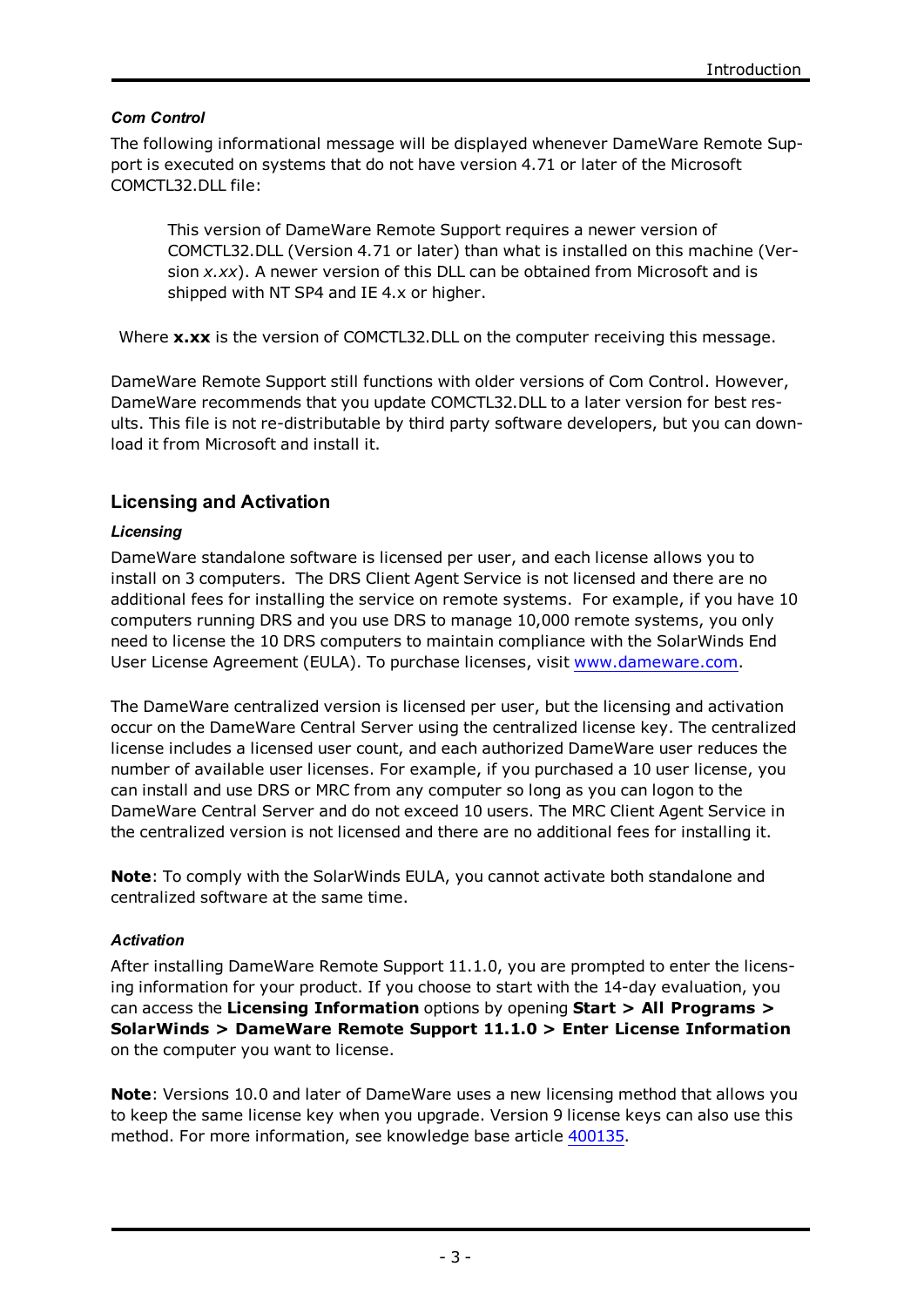#### *Com Control*

The following informational message will be displayed whenever DameWare Remote Support is executed on systems that do not have version 4.71 or later of the Microsoft COMCTL32.DLL file:

This version of DameWare Remote Support requires a newer version of COMCTL32.DLL (Version 4.71 or later) than what is installed on this machine (Version *x.xx*). A newer version of this DLL can be obtained from Microsoft and is shipped with NT SP4 and IE 4.x or higher.

Where **x.xx** is the version of COMCTL32.DLL on the computer receiving this message.

DameWare Remote Support still functions with older versions of Com Control. However, DameWare recommends that you update COMCTL32.DLL to a later version for best results. This file is not re-distributable by third party software developers, but you can download it from Microsoft and install it.

# **Licensing and Activation**

#### *Licensing*

DameWare standalone software is licensed per user, and each license allows you to install on 3 computers. The DRS Client Agent Service is not licensed and there are no additional fees for installing the service on remote systems. For example, if you have 10 computers running DRS and you use DRS to manage 10,000 remote systems, you only need to license the 10 DRS computers to maintain compliance with the SolarWinds End User License Agreement (EULA). To purchase licenses, visit [www.dameware.com.](http://www.dameware.com/)

The DameWare centralized version is licensed per user, but the licensing and activation occur on the DameWare Central Server using the centralized license key. The centralized license includes a licensed user count, and each authorized DameWare user reduces the number of available user licenses. For example, if you purchased a 10 user license, you can install and use DRS or MRC from any computer so long as you can logon to the DameWare Central Server and do not exceed 10 users. The MRC Client Agent Service in the centralized version is not licensed and there are no additional fees for installing it.

**Note**: To comply with the SolarWinds EULA, you cannot activate both standalone and centralized software at the same time.

#### *Activation*

After installing DameWare Remote Support 11.1.0, you are prompted to enter the licensing information for your product. If you choose to start with the 14-day evaluation, you can access the **Licensing Information** options by opening **Start > All Programs > SolarWinds > DameWare Remote Support 11.1.0 > Enter License Information** on the computer you want to license.

**Note**: Versions 10.0 and later of DameWare uses a new licensing method that allows you to keep the same license key when you upgrade. Version 9 license keys can also use this method. For more information, see knowledge base article [400135](http://support.dameware.com/kb/article.aspx?ID=400135).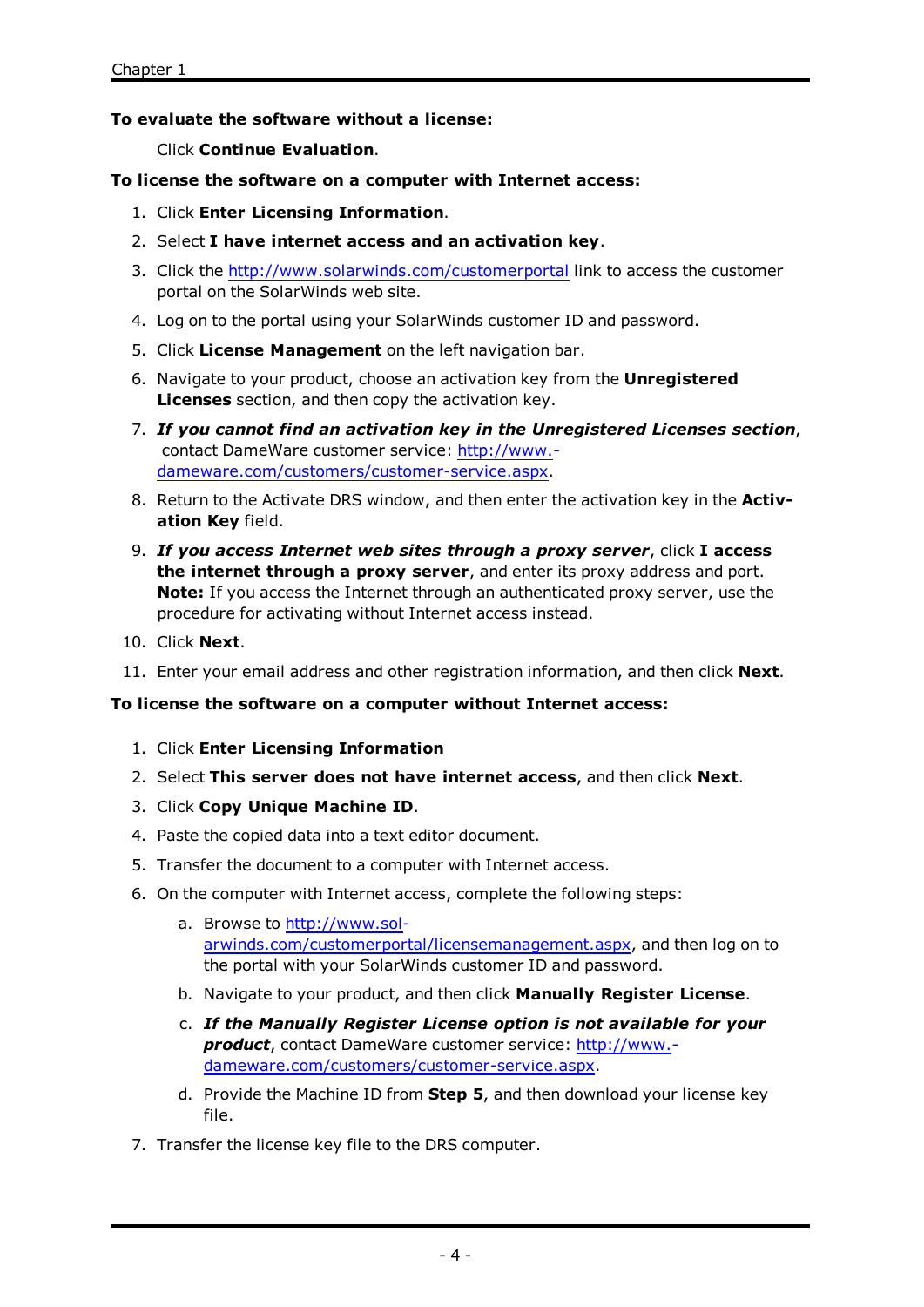#### **To evaluate the software without a license:**

Click **Continue Evaluation**.

#### **To license the software on a computer with Internet access:**

- 1. Click **Enter Licensing Information**.
- 2. Select **I have internet access and an activation key**.
- 3. Click the <http://www.solarwinds.com/customerportal> link to access the customer portal on the SolarWinds web site.
- 4. Log on to the portal using your SolarWinds customer ID and password.
- 5. Click **License Management** on the left navigation bar.
- 6. Navigate to your product, choose an activation key from the **Unregistered Licenses** section, and then copy the activation key.
- 7. *If you cannot find an activation key in the Unregistered Licenses section*, contact DameWare customer service: [http://www.](http://www.dameware.com/customers/customer-service.aspx) [dameware.com/customers/customer-service.aspx](http://www.dameware.com/customers/customer-service.aspx).
- 8. Return to the Activate DRS window, and then enter the activation key in the **Activation Key** field.
- 9. *If you access Internet web sites through a proxy server*, click **I access the internet through a proxy server**, and enter its proxy address and port. **Note:** If you access the Internet through an authenticated proxy server, use the procedure for activating without Internet access instead.
- 10. Click **Next**.
- 11. Enter your email address and other registration information, and then click **Next**.

#### **To license the software on a computer without Internet access:**

- 1. Click **Enter Licensing Information**
- 2. Select **This server does not have internet access**, and then click **Next**.
- 3. Click **Copy Unique Machine ID**.
- 4. Paste the copied data into a text editor document.
- 5. Transfer the document to a computer with Internet access.
- 6. On the computer with Internet access, complete the following steps:
	- a. Browse to [http://www.sol](http://www.solarwinds.com/customerportal/licensemanagement.aspx)[arwinds.com/customerportal/licensemanagement.aspx](http://www.solarwinds.com/customerportal/licensemanagement.aspx), and then log on to the portal with your SolarWinds customer ID and password.
	- b. Navigate to your product, and then click **Manually Register License**.
	- c. *If the Manually Register License option is not available for your product*, contact DameWare customer service: [http://www.](http://www.dameware.com/customers/customer-service.aspx) [dameware.com/customers/customer-service.aspx](http://www.dameware.com/customers/customer-service.aspx).
	- d. Provide the Machine ID from **Step 5**, and then download your license key file.
- 7. Transfer the license key file to the DRS computer.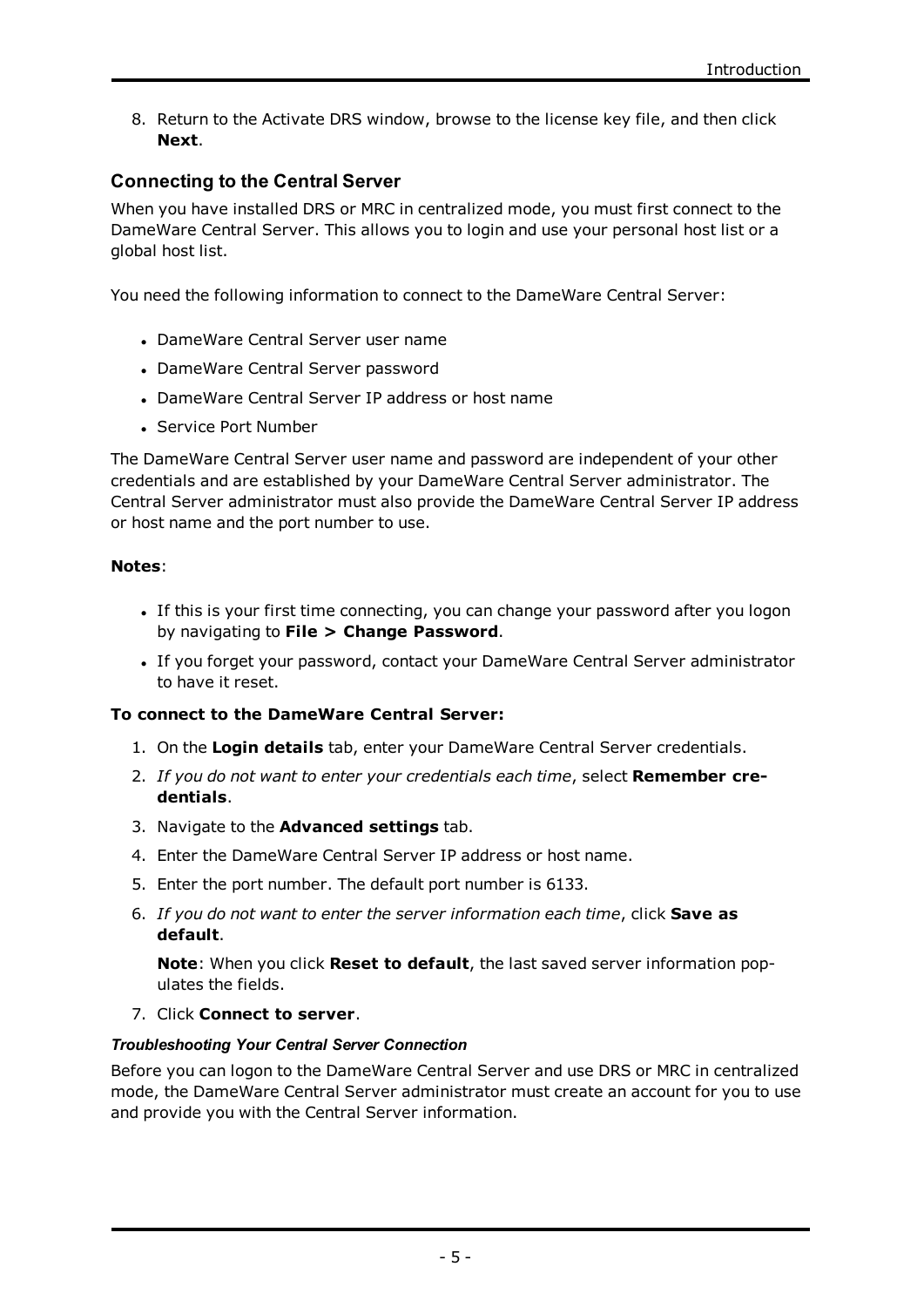8. Return to the Activate DRS window, browse to the license key file, and then click **Next**.

# **Connecting to the Central Server**

When you have installed DRS or MRC in centralized mode, you must first connect to the DameWare Central Server. This allows you to login and use your personal host list or a global host list.

You need the following information to connect to the DameWare Central Server:

- DameWare Central Server user name
- DameWare Central Server password
- . DameWare Central Server IP address or host name
- Service Port Number

The DameWare Central Server user name and password are independent of your other credentials and are established by your DameWare Central Server administrator. The Central Server administrator must also provide the DameWare Central Server IP address or host name and the port number to use.

#### **Notes**:

- If this is your first time connecting, you can change your password after you logon by navigating to **File > Change Password**.
- If you forget your password, contact your DameWare Central Server administrator to have it reset.

#### **To connect to the DameWare Central Server:**

- 1. On the **Login details** tab, enter your DameWare Central Server credentials.
- 2. *If you do not want to enter your credentials each time*, select **Remember credentials**.
- 3. Navigate to the **Advanced settings** tab.
- 4. Enter the DameWare Central Server IP address or host name.
- 5. Enter the port number. The default port number is 6133.
- 6. *If you do not want to enter the server information each time*, click **Save as default**.

**Note**: When you click **Reset to default**, the last saved server information populates the fields.

7. Click **Connect to server**.

#### *Troubleshooting Your Central Server Connection*

Before you can logon to the DameWare Central Server and use DRS or MRC in centralized mode, the DameWare Central Server administrator must create an account for you to use and provide you with the Central Server information.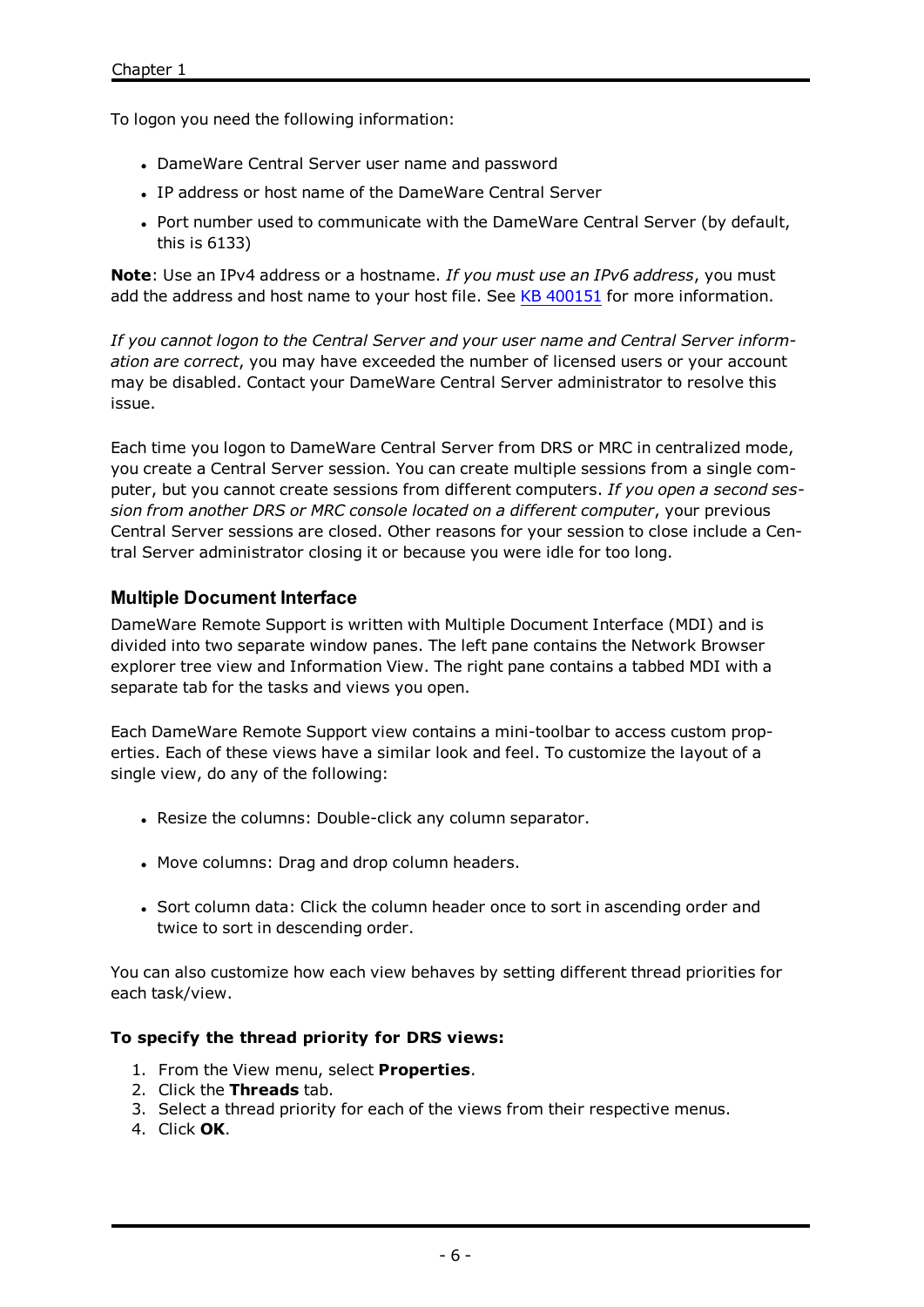To logon you need the following information:

- DameWare Central Server user name and password
- IP address or host name of the DameWare Central Server
- Port number used to communicate with the DameWare Central Server (by default, this is 6133)

**Note**: Use an IPv4 address or a hostname. *If you must use an IPv6 address*, you must add the address and host name to your host file. See KB [400151](http://support.dameware.com/kb/article.aspx?ID=400151) for more information.

*If you cannot logon to the Central Server and your user name and Central Server information are correct*, you may have exceeded the number of licensed users or your account may be disabled. Contact your DameWare Central Server administrator to resolve this issue.

Each time you logon to DameWare Central Server from DRS or MRC in centralized mode, you create a Central Server session. You can create multiple sessions from a single computer, but you cannot create sessions from different computers. *If you open a second session from another DRS or MRC console located on a different computer*, your previous Central Server sessions are closed. Other reasons for your session to close include a Central Server administrator closing it or because you were idle for too long.

# **Multiple Document Interface**

DameWare Remote Support is written with Multiple Document Interface (MDI) and is divided into two separate window panes. The left pane contains the Network Browser explorer tree view and Information View. The right pane contains a tabbed MDI with a separate tab for the tasks and views you open.

Each DameWare Remote Support view contains a mini-toolbar to access custom properties. Each of these views have a similar look and feel. To customize the layout of a single view, do any of the following:

- Resize the columns: Double-click any column separator.
- Move columns: Drag and drop column headers.
- Sort column data: Click the column header once to sort in ascending order and twice to sort in descending order.

You can also customize how each view behaves by setting different thread priorities for each task/view.

#### **To specify the thread priority for DRS views:**

- 1. From the View menu, select **Properties**.
- 2. Click the **Threads** tab.
- 3. Select a thread priority for each of the views from their respective menus.
- 4. Click **OK**.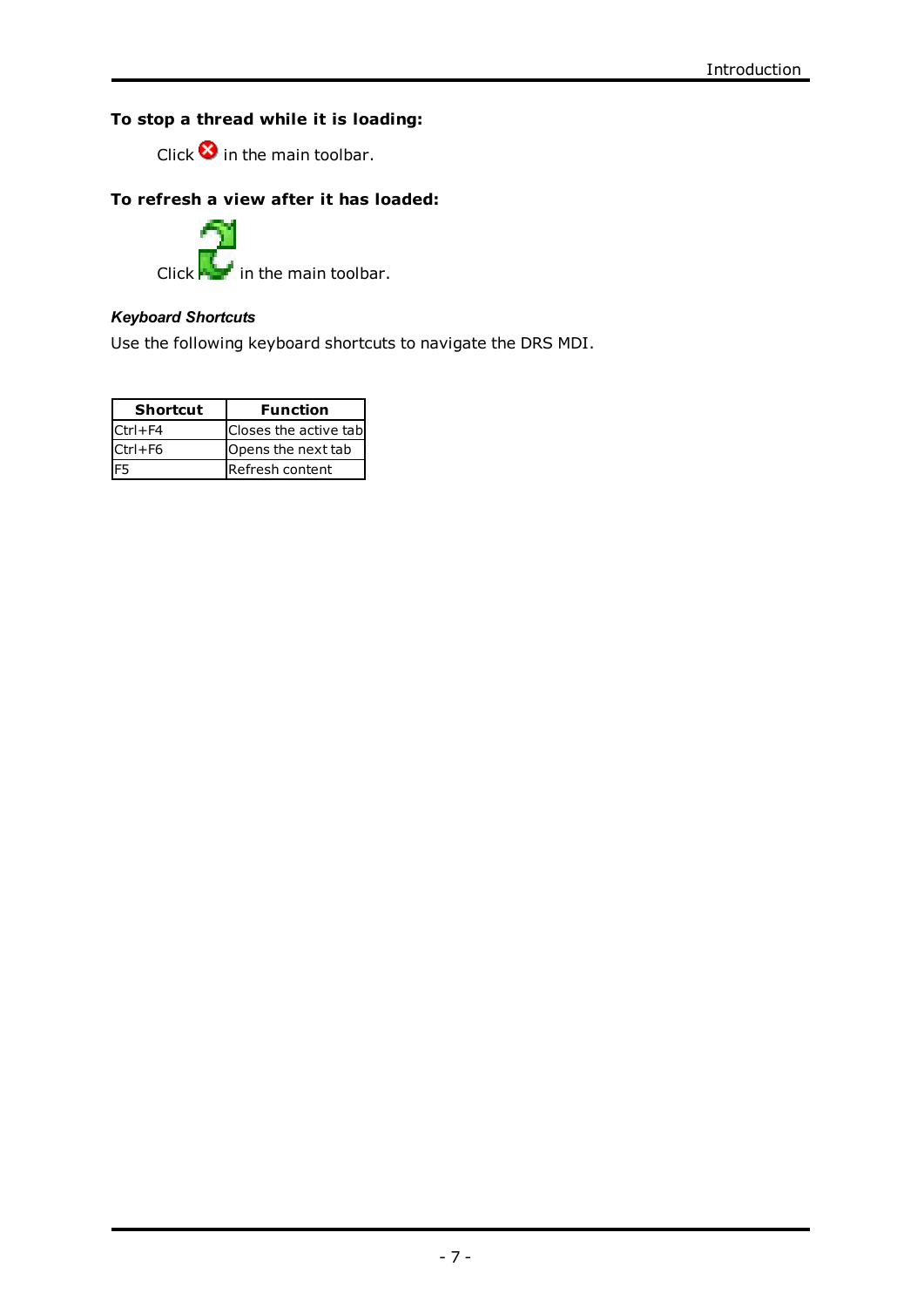# **To stop a thread while it is loading:**

Click  $\bullet$  in the main toolbar.

# **To refresh a view after it has loaded:**

Click  $\mathbf{I}$  in the main toolbar.

# *Keyboard Shortcuts*

Use the following keyboard shortcuts to navigate the DRS MDI.

| <b>Shortcut</b> | <b>Function</b>        |
|-----------------|------------------------|
| $CtrI + F4$     | Closes the active tabl |
| $Ctr1 + F6$     | Opens the next tab     |
|                 | Refresh content        |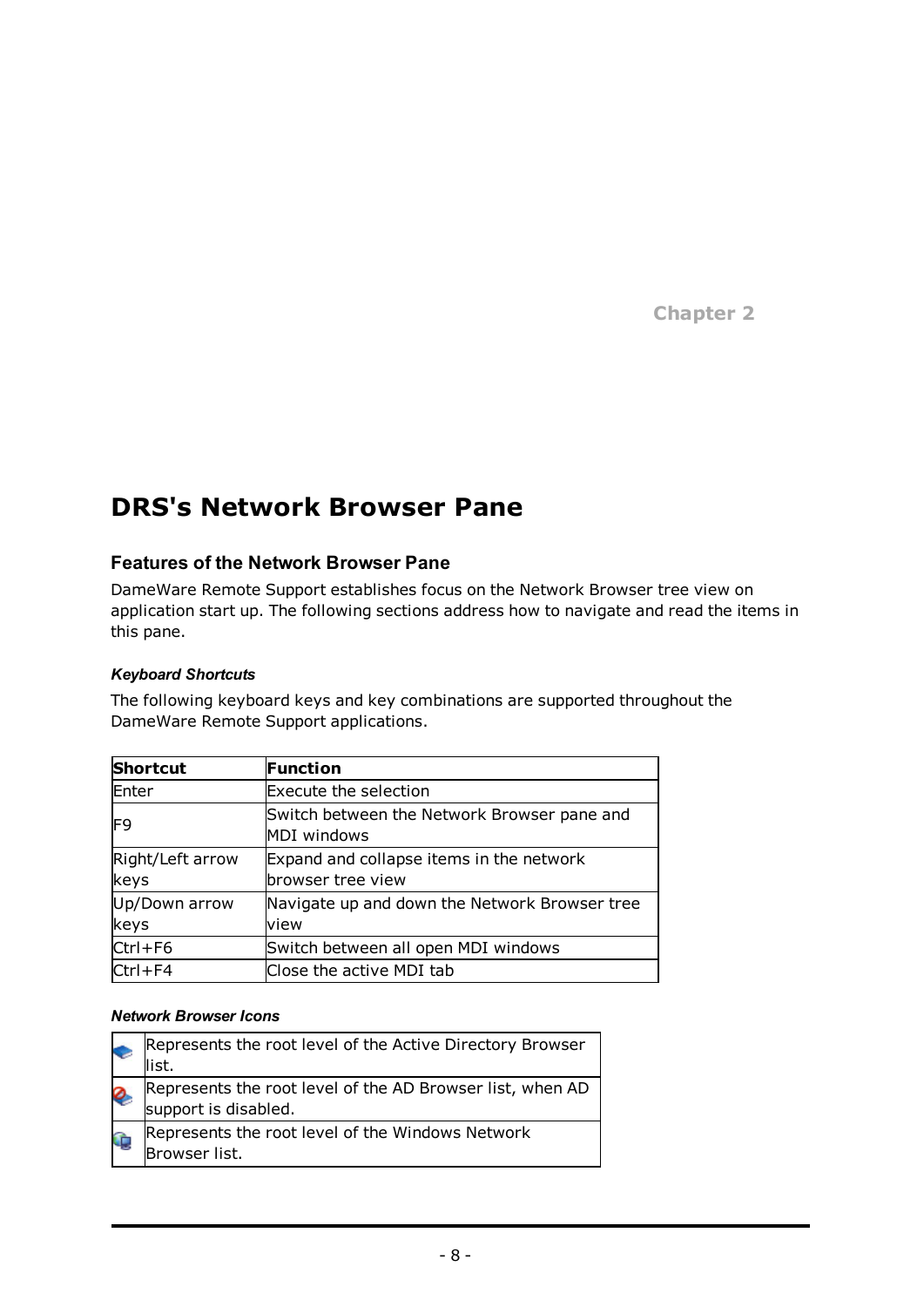**Chapter 2**

# **DRS's Network Browser Pane**

# **Features of the Network Browser Pane**

DameWare Remote Support establishes focus on the Network Browser tree view on application start up. The following sections address how to navigate and read the items in this pane.

# *Keyboard Shortcuts*

The following keyboard keys and key combinations are supported throughout the DameWare Remote Support applications.

| <b>Shortcut</b>  | <b>Function</b>                               |
|------------------|-----------------------------------------------|
| Enter            | <b>Execute the selection</b>                  |
| IF9              | Switch between the Network Browser pane and   |
|                  | MDI windows                                   |
| Right/Left arrow | Expand and collapse items in the network      |
| keys             | browser tree view                             |
| Up/Down arrow    | Navigate up and down the Network Browser tree |
| keys             | view                                          |
| $Ctrl + F6$      | Switch between all open MDI windows           |
| $ Ctrl + F4$     | Close the active MDI tab                      |

# *Network Browser Icons*

|   | Represents the root level of the Active Directory Browser<br>list.                |
|---|-----------------------------------------------------------------------------------|
| Ø | Represents the root level of the AD Browser list, when AD<br>support is disabled. |
|   | Represents the root level of the Windows Network<br>Browser list.                 |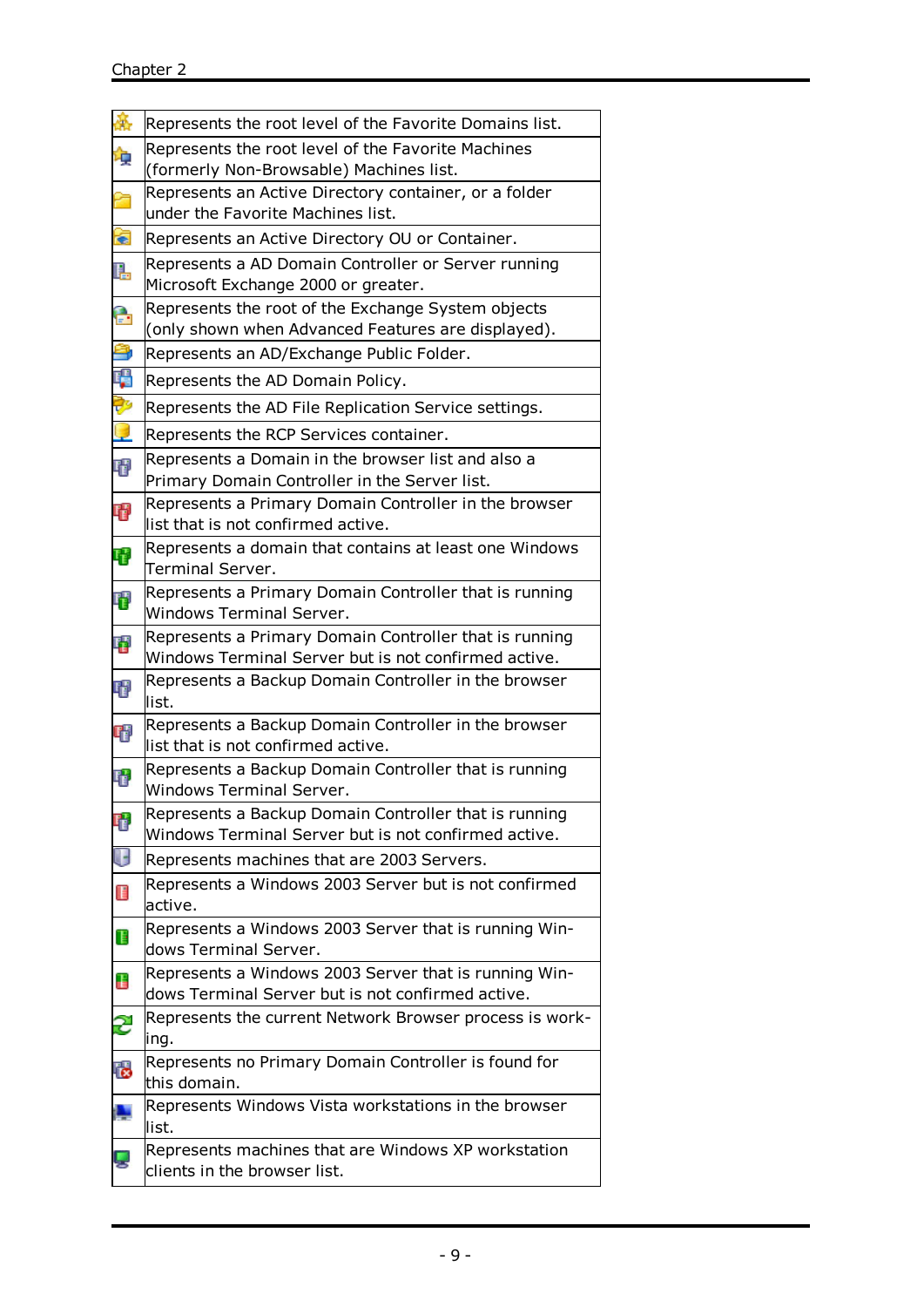| 蘽  | Represents the root level of the Favorite Domains list.                                                        |
|----|----------------------------------------------------------------------------------------------------------------|
| 瘦  | Represents the root level of the Favorite Machines<br>(formerly Non-Browsable) Machines list.                  |
| ñ  | Represents an Active Directory container, or a folder<br>under the Favorite Machines list.                     |
| €  | Represents an Active Directory OU or Container.                                                                |
| Q. | Represents a AD Domain Controller or Server running<br>Microsoft Exchange 2000 or greater.                     |
| e  | Represents the root of the Exchange System objects<br>(only shown when Advanced Features are displayed).       |
| â  | Represents an AD/Exchange Public Folder.                                                                       |
| F. | Represents the AD Domain Policy.                                                                               |
| Þ  | Represents the AD File Replication Service settings.                                                           |
| C  | Represents the RCP Services container.                                                                         |
| 甲  | Represents a Domain in the browser list and also a                                                             |
|    | Primary Domain Controller in the Server list.                                                                  |
| Ŧ  | Represents a Primary Domain Controller in the browser<br>list that is not confirmed active.                    |
| Ų  | Represents a domain that contains at least one Windows<br>Terminal Server.                                     |
| 曙  | Represents a Primary Domain Controller that is running<br>Windows Terminal Server.                             |
| 唔  | Represents a Primary Domain Controller that is running<br>Windows Terminal Server but is not confirmed active. |
| 呷  | Represents a Backup Domain Controller in the browser<br>list.                                                  |
| Ŧ  | Represents a Backup Domain Controller in the browser                                                           |
|    | list that is not confirmed active.<br>Represents a Backup Domain Controller that is running                    |
| 電  | Windows Terminal Server.                                                                                       |
| Ŧ  | Represents a Backup Domain Controller that is running<br>Windows Terminal Server but is not confirmed active.  |
| U  | Represents machines that are 2003 Servers.                                                                     |
| Œ  | Represents a Windows 2003 Server but is not confirmed<br>active.                                               |
| Ŧ  | Represents a Windows 2003 Server that is running Win-<br>dows Terminal Server.                                 |
| Ŧ  | Represents a Windows 2003 Server that is running Win-<br>dows Terminal Server but is not confirmed active.     |
| S  | Represents the current Network Browser process is work-<br>ing.                                                |
| 假  | Represents no Primary Domain Controller is found for<br>this domain.                                           |
|    | Represents Windows Vista workstations in the browser<br>list.                                                  |
|    | Represents machines that are Windows XP workstation<br>clients in the browser list.                            |
|    |                                                                                                                |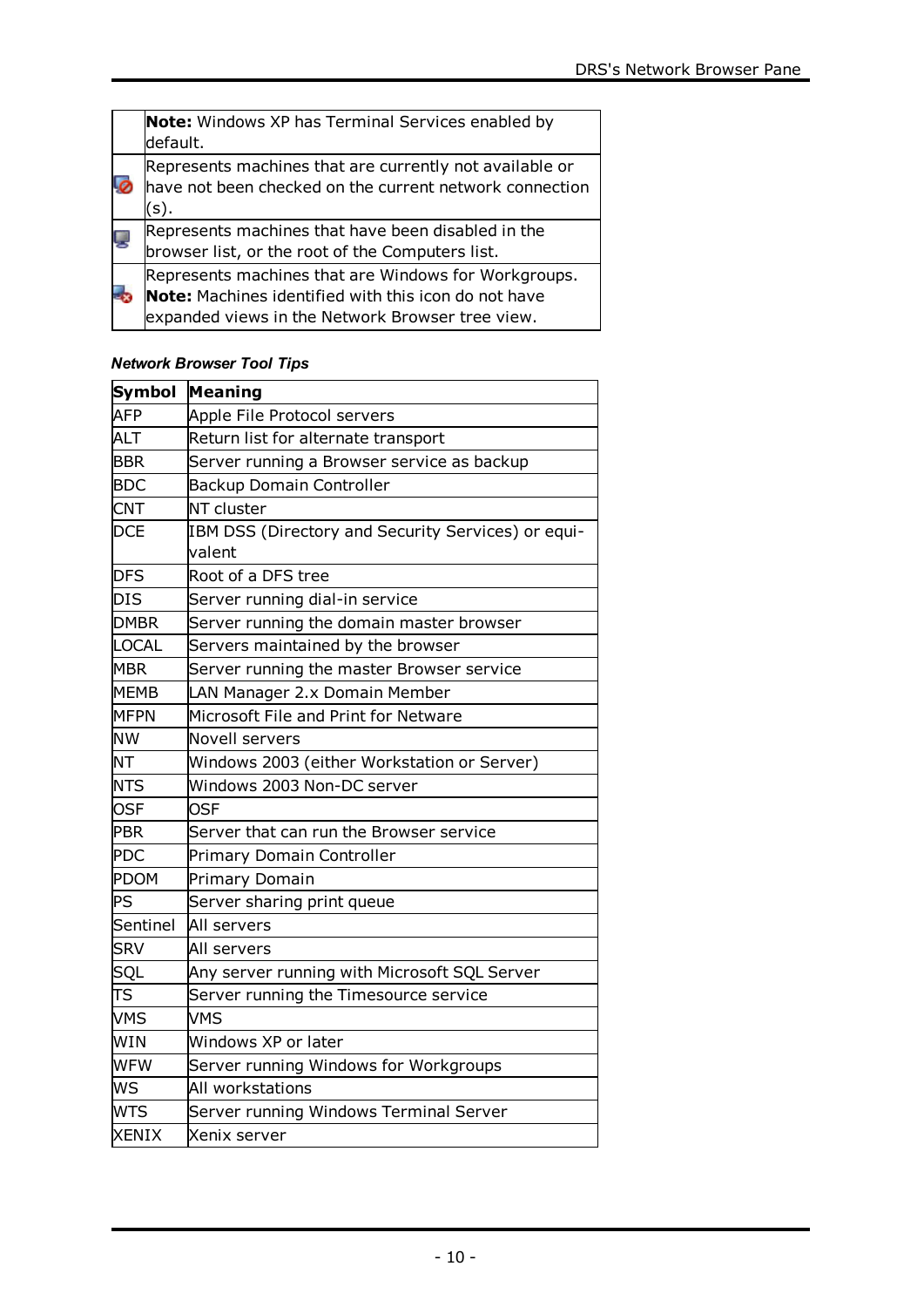| <b>Note:</b> Windows XP has Terminal Services enabled by<br>default.                                                                                             |
|------------------------------------------------------------------------------------------------------------------------------------------------------------------|
| Represents machines that are currently not available or<br>have not been checked on the current network connection<br>(s).                                       |
| Represents machines that have been disabled in the<br>browser list, or the root of the Computers list.                                                           |
| Represents machines that are Windows for Workgroups.<br>Note: Machines identified with this icon do not have<br>expanded views in the Network Browser tree view. |

# *Network Browser Tool Tips*

| Symbol       | <b>Meaning</b>                                     |
|--------------|----------------------------------------------------|
| <b>AFP</b>   | Apple File Protocol servers                        |
| <b>ALT</b>   | Return list for alternate transport                |
| <b>BBR</b>   | Server running a Browser service as backup         |
| <b>BDC</b>   | <b>Backup Domain Controller</b>                    |
| <b>CNT</b>   | NT cluster                                         |
| <b>DCE</b>   | IBM DSS (Directory and Security Services) or equi- |
|              | valent                                             |
| <b>DFS</b>   | Root of a DFS tree                                 |
| <b>DIS</b>   | Server running dial-in service                     |
| <b>DMBR</b>  | Server running the domain master browser           |
| <b>LOCAL</b> | Servers maintained by the browser                  |
| <b>MBR</b>   | Server running the master Browser service          |
| <b>MEMB</b>  | LAN Manager 2.x Domain Member                      |
| <b>MFPN</b>  | Microsoft File and Print for Netware               |
| <b>NW</b>    | <b>Novell servers</b>                              |
| <b>NT</b>    | Windows 2003 (either Workstation or Server)        |
| <b>NTS</b>   | Windows 2003 Non-DC server                         |
| <b>OSF</b>   | <b>OSF</b>                                         |
| <b>PBR</b>   | Server that can run the Browser service            |
| <b>PDC</b>   | Primary Domain Controller                          |
| PDOM         | Primary Domain                                     |
| PS           | Server sharing print queue                         |
| Sentinel     | All servers                                        |
| <b>SRV</b>   | All servers                                        |
| SQL          | Any server running with Microsoft SQL Server       |
| TS           | Server running the Timesource service              |
| <b>VMS</b>   | VMS                                                |
| <b>WIN</b>   | Windows XP or later                                |
| <b>WFW</b>   | Server running Windows for Workgroups              |
| WS           | All workstations                                   |
| <b>WTS</b>   | Server running Windows Terminal Server             |
| <b>XENIX</b> | Xenix server                                       |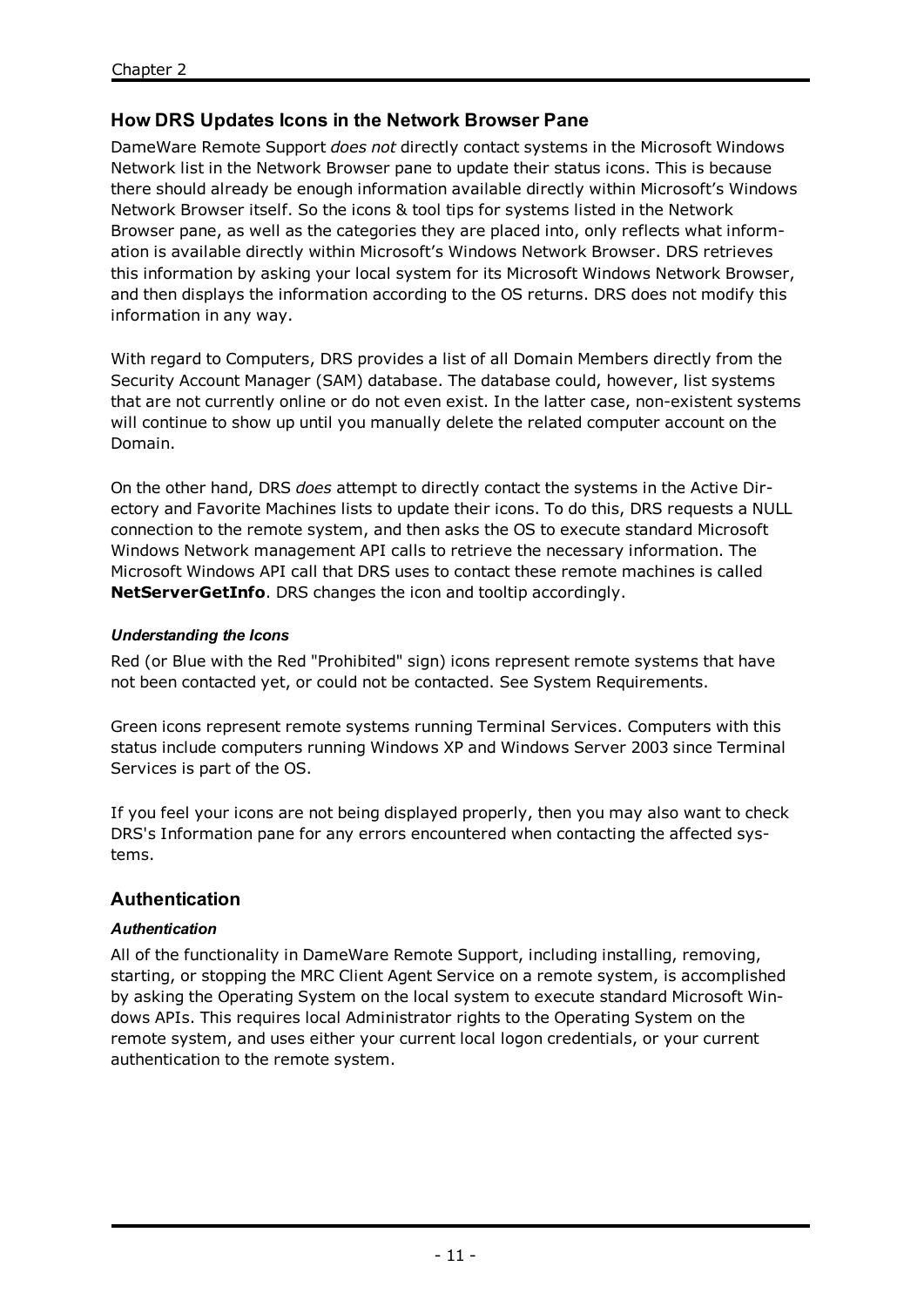# **How DRS Updates Icons in the Network Browser Pane**

DameWare Remote Support *does not* directly contact systems in the Microsoft Windows Network list in the Network Browser pane to update their status icons. This is because there should already be enough information available directly within Microsoft's Windows Network Browser itself. So the icons & tool tips for systems listed in the Network Browser pane, as well as the categories they are placed into, only reflects what information is available directly within Microsoft's Windows Network Browser. DRS retrieves this information by asking your local system for its Microsoft Windows Network Browser, and then displays the information according to the OS returns. DRS does not modify this information in any way.

With regard to Computers, DRS provides a list of all Domain Members directly from the Security Account Manager (SAM) database. The database could, however, list systems that are not currently online or do not even exist. In the latter case, non-existent systems will continue to show up until you manually delete the related computer account on the Domain.

On the other hand, DRS *does* attempt to directly contact the systems in the Active Directory and Favorite Machines lists to update their icons. To do this, DRS requests a NULL connection to the remote system, and then asks the OS to execute standard Microsoft Windows Network management API calls to retrieve the necessary information. The Microsoft Windows API call that DRS uses to contact these remote machines is called **NetServerGetInfo**. DRS changes the icon and tooltip accordingly.

# *Understanding the Icons*

Red (or Blue with the Red "Prohibited" sign) icons represent remote systems that have not been contacted yet, or could not be contacted. See System [Requirements](#page-4-0).

Green icons represent remote systems running Terminal Services. Computers with this status include computers running Windows XP and Windows Server 2003 since Terminal Services is part of the OS.

If you feel your icons are not being displayed properly, then you may also want to check DRS's Information pane for any errors encountered when contacting the affected systems.

# <span id="page-13-0"></span>**Authentication**

# *Authentication*

All of the functionality in DameWare Remote Support, including installing, removing, starting, or stopping the MRC Client Agent Service on a remote system, is accomplished by asking the Operating System on the local system to execute standard Microsoft Windows APIs. This requires local Administrator rights to the Operating System on the remote system, and uses either your current local logon credentials, or your current authentication to the remote system.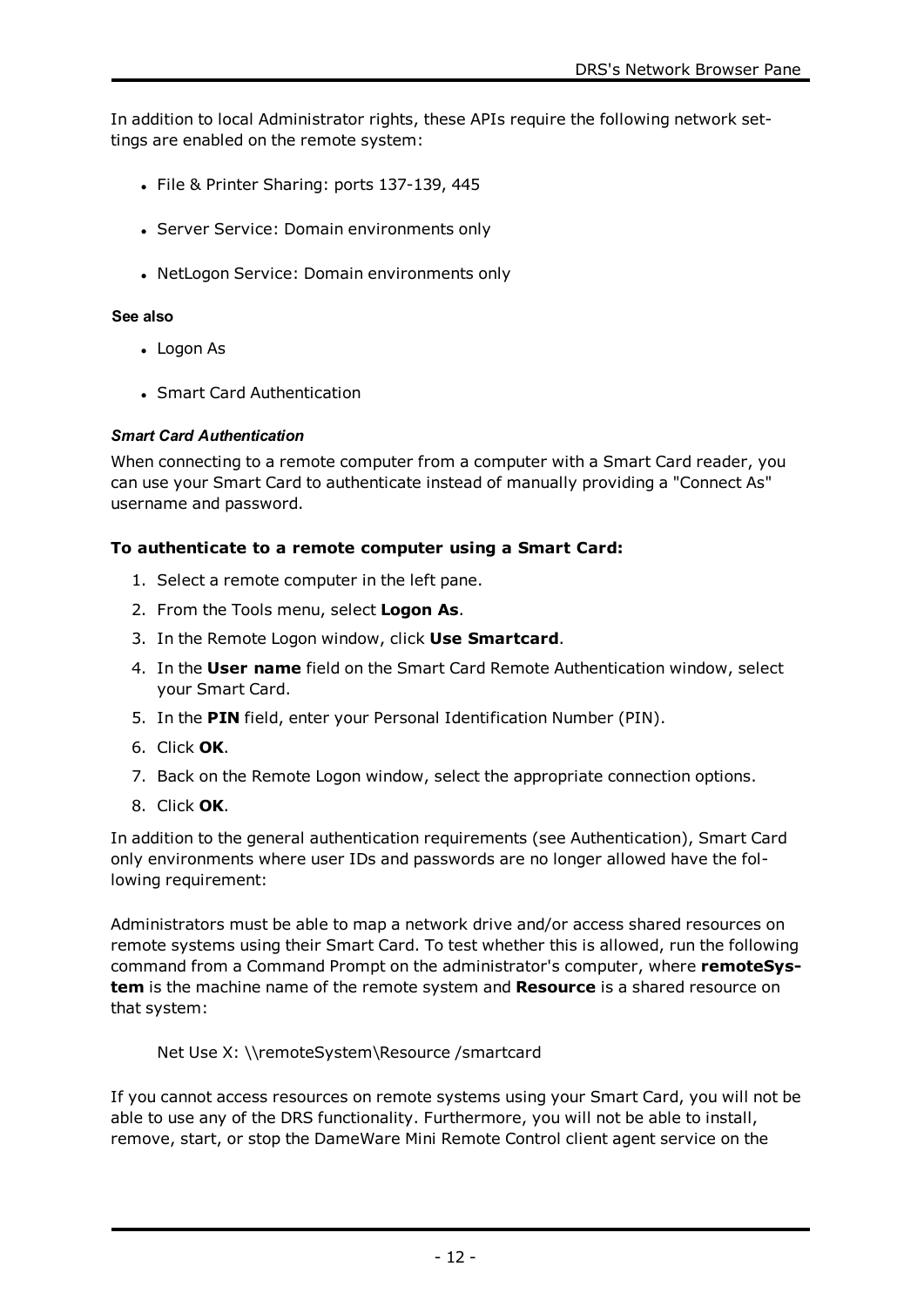In addition to local Administrator rights, these APIs require the following network settings are enabled on the remote system:

- File & Printer Sharing: ports 137-139, 445
- Server Service: Domain environments only
- NetLogon Service: Domain environments only

#### **See also**

- [Logon](#page-21-0) As
- Smart Card [Authentication](#page-14-0)

#### <span id="page-14-0"></span>*Smart Card Authentication*

When connecting to a remote computer from a computer with a Smart Card reader, you can use your Smart Card to authenticate instead of manually providing a "Connect As" username and password.

#### **To authenticate to a remote computer using a Smart Card:**

- 1. Select a remote computer in the left pane.
- 2. From the Tools menu, select **Logon As**.
- 3. In the Remote Logon window, click **Use Smartcard**.
- 4. In the **User name** field on the Smart Card Remote Authentication window, select your Smart Card.
- 5. In the **PIN** field, enter your Personal Identification Number (PIN).
- 6. Click **OK**.
- 7. Back on the Remote Logon window, select the appropriate connection options.
- 8. Click **OK**.

In addition to the general authentication requirements (see [Authentication\)](#page-13-0), Smart Card only environments where user IDs and passwords are no longer allowed have the following requirement:

Administrators must be able to map a network drive and/or access shared resources on remote systems using their Smart Card. To test whether this is allowed, run the following command from a Command Prompt on the administrator's computer, where **remoteSystem** is the machine name of the remote system and **Resource** is a shared resource on that system:

Net Use X: \\remoteSystem\Resource /smartcard

If you cannot access resources on remote systems using your Smart Card, you will not be able to use any of the DRS functionality. Furthermore, you will not be able to install, remove, start, or stop the DameWare Mini Remote Control client agent service on the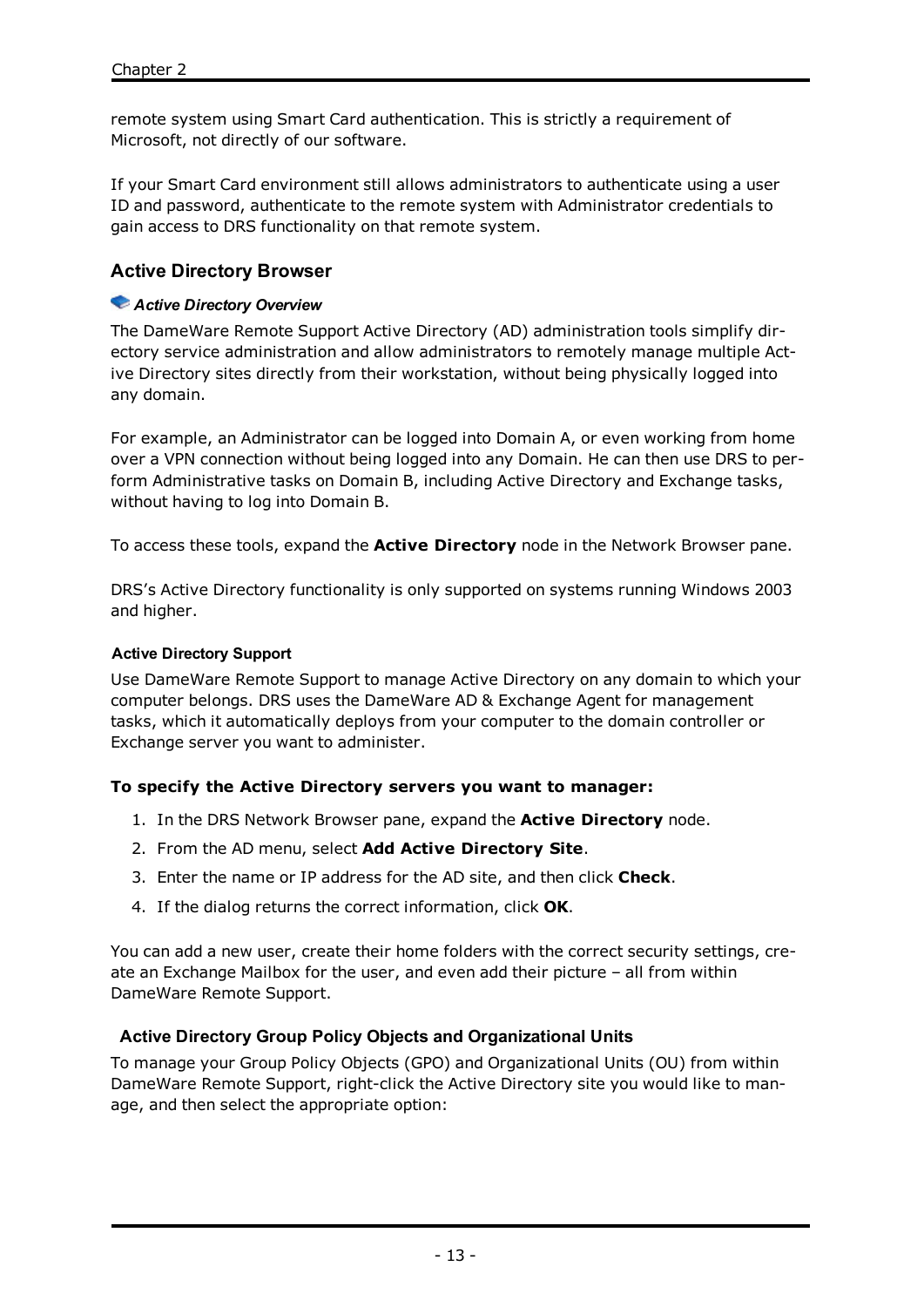remote system using Smart Card authentication. This is strictly a requirement of Microsoft, not directly of our software.

If your Smart Card environment still allows administrators to authenticate using a user ID and password, authenticate to the remote system with Administrator credentials to gain access to DRS functionality on that remote system.

# **Active Directory Browser**

#### *Active Directory Overview*

The DameWare Remote Support Active Directory (AD) administration tools simplify directory service administration and allow administrators to remotely manage multiple Active Directory sites directly from their workstation, without being physically logged into any domain.

For example, an Administrator can be logged into Domain A, or even working from home over a VPN connection without being logged into any Domain. He can then use DRS to perform Administrative tasks on Domain B, including Active Directory and Exchange tasks, without having to log into Domain B.

To access these tools, expand the **Active Directory** node in the Network Browser pane.

DRS's Active Directory functionality is only supported on systems running Windows 2003 and higher.

#### **Active Directory Support**

Use DameWare Remote Support to manage Active Directory on any domain to which your computer belongs. DRS uses the DameWare AD & Exchange Agent for management tasks, which it automatically deploys from your computer to the domain controller or Exchange server you want to administer.

#### **To specify the Active Directory servers you want to manager:**

- 1. In the DRS Network Browser pane, expand the **Active Directory** node.
- 2. From the AD menu, select **Add Active Directory Site**.
- 3. Enter the name or IP address for the AD site, and then click **Check**.
- 4. If the dialog returns the correct information, click **OK**.

You can add a new user, create their home folders with the correct security settings, create an Exchange Mailbox for the user, and even add their picture – all from within DameWare Remote Support.

#### **Active Directory Group Policy Objects and Organizational Units**

To manage your Group Policy Objects (GPO) and Organizational Units (OU) from within DameWare Remote Support, right-click the Active Directory site you would like to manage, and then select the appropriate option: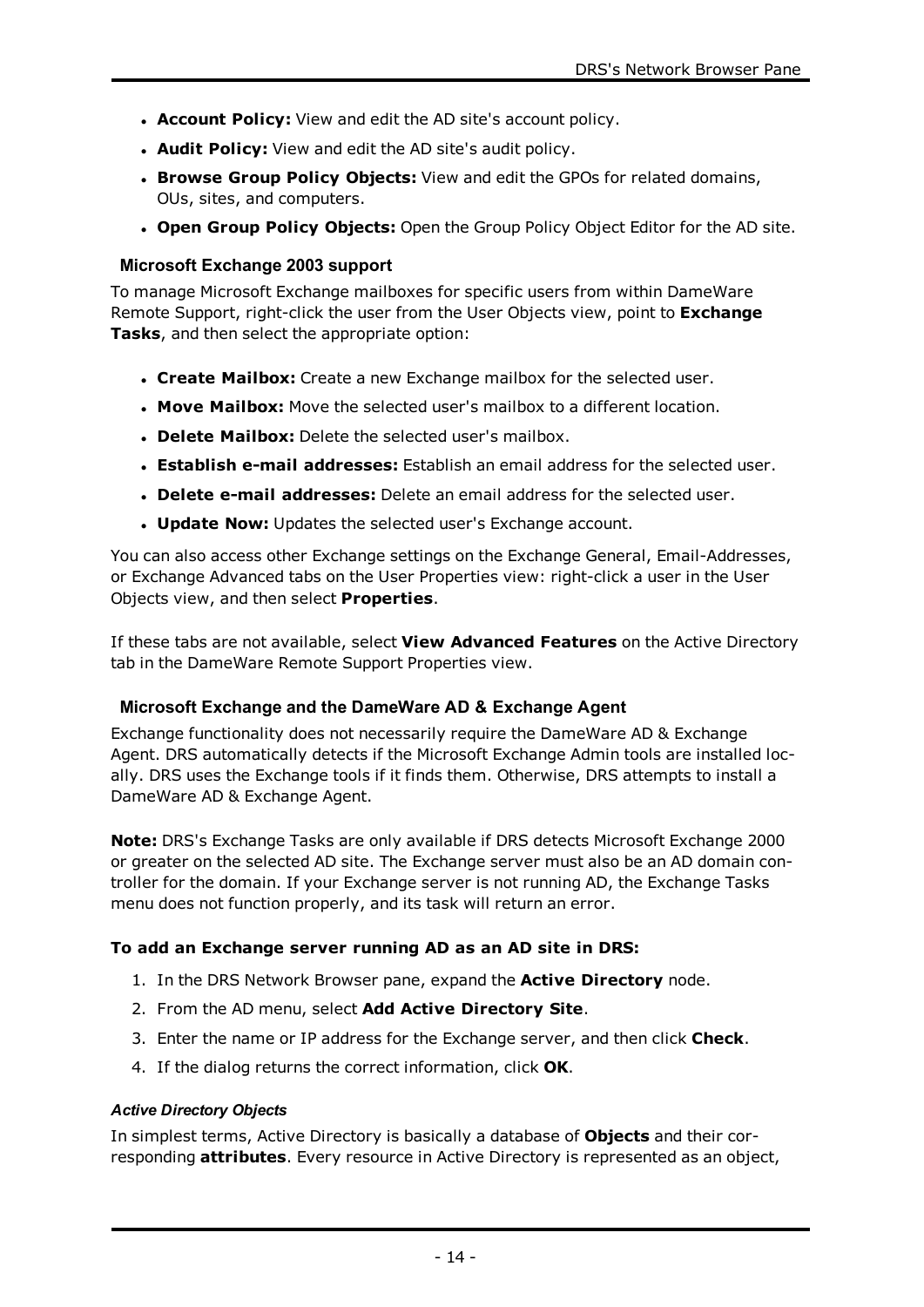- **Account Policy:** View and edit the AD site's account policy.
- **. Audit Policy:** View and edit the AD site's audit policy.
- <sup>l</sup> **Browse Group Policy Objects:** View and edit the GPOs for related domains, OUs, sites, and computers.
- <sup>l</sup> **Open Group Policy Objects:** Open the Group Policy Object Editor for the AD site.

#### **Microsoft Exchange 2003 support**

To manage Microsoft Exchange mailboxes for specific users from within DameWare Remote Support, right-click the user from the User Objects view, point to **Exchange Tasks**, and then select the appropriate option:

- <sup>l</sup> **Create Mailbox:** Create a new Exchange mailbox for the selected user.
- **Move Mailbox:** Move the selected user's mailbox to a different location.
- **. Delete Mailbox:** Delete the selected user's mailbox.
- <sup>l</sup> **Establish e-mail addresses:** Establish an email address for the selected user.
- <sup>l</sup> **Delete e-mail addresses:** Delete an email address for the selected user.
- **. Update Now:** Updates the selected user's Exchange account.

You can also access other Exchange settings on the Exchange General, Email-Addresses, or Exchange Advanced tabs on the User Properties view: right-click a user in the User Objects view, and then select **Properties**.

If these tabs are not available, select **View Advanced Features** on the Active Directory tab in the DameWare Remote Support Properties view.

#### **Microsoft Exchange and the DameWare AD & Exchange Agent**

Exchange functionality does not necessarily require the DameWare AD & Exchange Agent. DRS automatically detects if the Microsoft Exchange Admin tools are installed locally. DRS uses the Exchange tools if it finds them. Otherwise, DRS attempts to install a DameWare AD & Exchange Agent.

**Note:** DRS's Exchange Tasks are only available if DRS detects Microsoft Exchange 2000 or greater on the selected AD site. The Exchange server must also be an AD domain controller for the domain. If your Exchange server is not running AD, the Exchange Tasks menu does not function properly, and its task will return an error.

#### **To add an Exchange server running AD as an AD site in DRS:**

- 1. In the DRS Network Browser pane, expand the **Active Directory** node.
- 2. From the AD menu, select **Add Active Directory Site**.
- 3. Enter the name or IP address for the Exchange server, and then click **Check**.
- 4. If the dialog returns the correct information, click **OK**.

#### *Active Directory Objects*

In simplest terms, Active Directory is basically a database of **Objects** and their corresponding **attributes**. Every resource in Active Directory is represented as an object,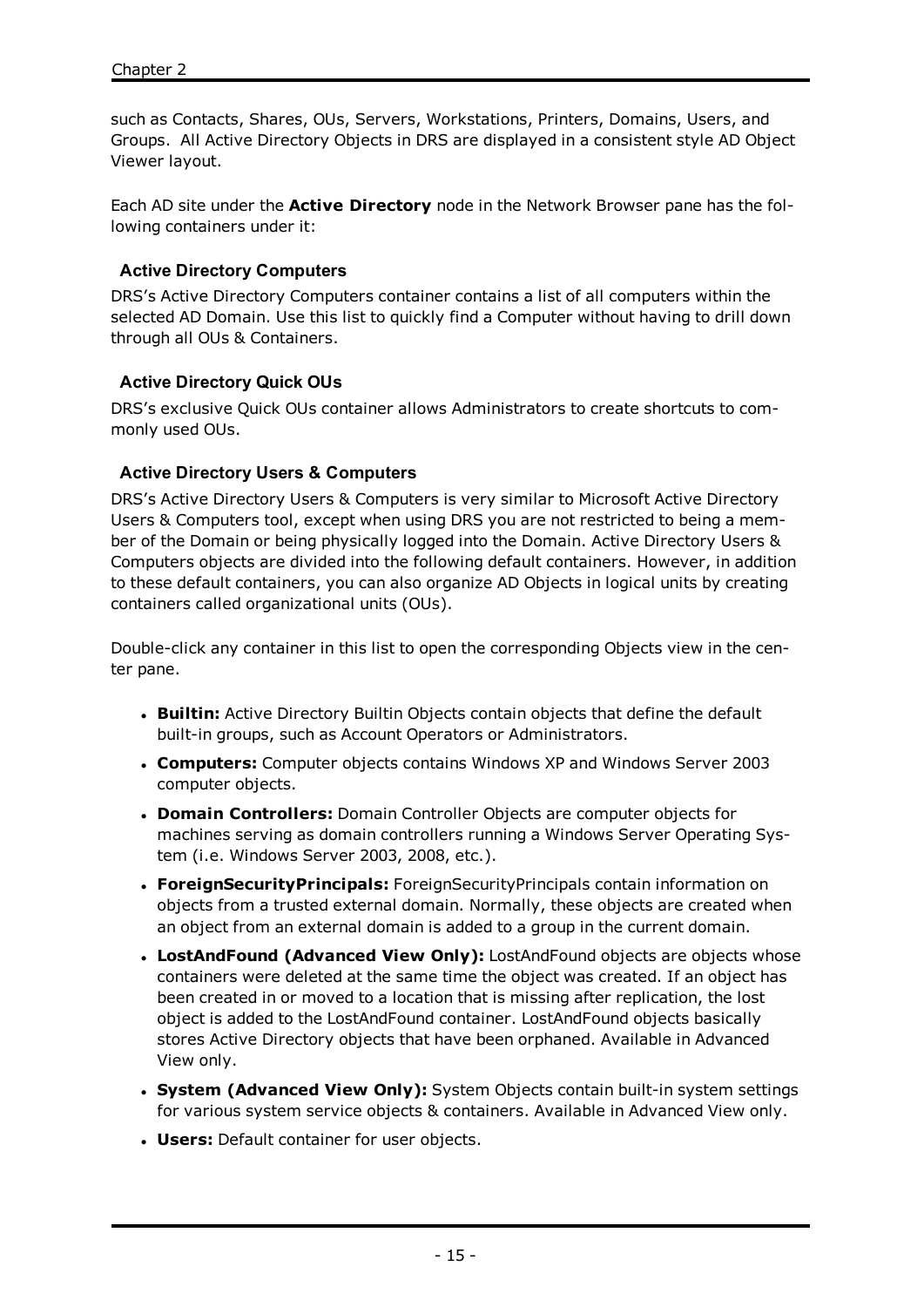such as Contacts, Shares, OUs, Servers, Workstations, Printers, Domains, Users, and Groups. All Active Directory Objects in DRS are displayed in a consistent style AD Object Viewer layout.

Each AD site under the **Active Directory** node in the Network Browser pane has the following containers under it:

#### **Active Directory Computers**

DRS's Active Directory Computers container contains a list of all computers within the selected AD Domain. Use this list to quickly find a Computer without having to drill down through all OUs & Containers.

#### **Active Directory Quick OUs**

DRS's exclusive Quick OUs container allows Administrators to create shortcuts to commonly used OUs.

#### **Active Directory Users & Computers**

DRS's Active Directory Users & Computers is very similar to Microsoft Active Directory Users & Computers tool, except when using DRS you are not restricted to being a member of the Domain or being physically logged into the Domain. Active Directory Users & Computers objects are divided into the following default containers. However, in addition to these default containers, you can also organize AD Objects in logical units by creating containers called organizational units (OUs).

Double-click any container in this list to open the corresponding Objects view in the center pane.

- **Builtin:** Active Directory Builtin Objects contain objects that define the default built-in groups, such as Account Operators or Administrators.
- <sup>l</sup> **Computers:** Computer objects contains Windows XP and Windows Server 2003 computer objects.
- <sup>l</sup> **Domain Controllers:** Domain Controller Objects are computer objects for machines serving as domain controllers running a Windows Server Operating System (i.e. Windows Server 2003, 2008, etc.).
- <sup>l</sup> **ForeignSecurityPrincipals:** ForeignSecurityPrincipals contain information on objects from a trusted external domain. Normally, these objects are created when an object from an external domain is added to a group in the current domain.
- <sup>l</sup> **LostAndFound (Advanced View Only):** LostAndFound objects are objects whose containers were deleted at the same time the object was created. If an object has been created in or moved to a location that is missing after replication, the lost object is added to the LostAndFound container. LostAndFound objects basically stores Active Directory objects that have been orphaned. Available in Advanced View only.
- <sup>l</sup> **System (Advanced View Only):** System Objects contain built-in system settings for various system service objects & containers. Available in Advanced View only.
- **. Users:** Default container for user objects.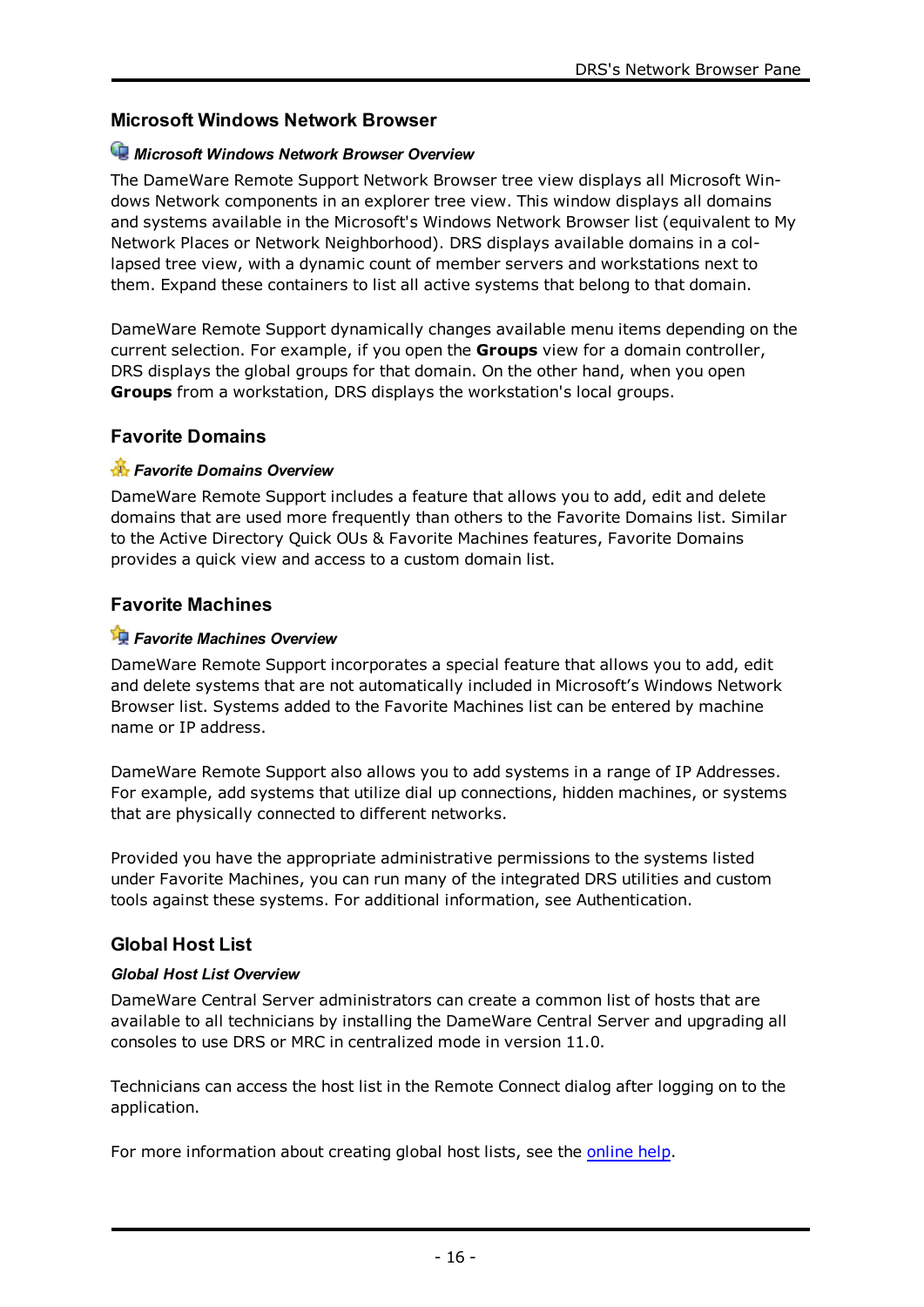# **Microsoft Windows Network Browser**

# *Microsoft Windows Network Browser Overview*

The DameWare Remote Support Network Browser tree view displays all Microsoft Windows Network components in an explorer tree view. This window displays all domains and systems available in the Microsoft's Windows Network Browser list (equivalent to My Network Places or Network Neighborhood). DRS displays available domains in a collapsed tree view, with a dynamic count of member servers and workstations next to them. Expand these containers to list all active systems that belong to that domain.

DameWare Remote Support dynamically changes available menu items depending on the current selection. For example, if you open the **Groups** view for a domain controller, DRS displays the global groups for that domain. On the other hand, when you open **Groups** from a workstation, DRS displays the workstation's local groups.

# **Favorite Domains**

# *Favorite Domains Overview*

DameWare Remote Support includes a feature that allows you to add, edit and delete domains that are used more frequently than others to the Favorite Domains list. Similar to the Active Directory Quick OUs & Favorite Machines features, Favorite Domains provides a quick view and access to a custom domain list.

# **Favorite Machines**

# *Favorite Machines Overview*

DameWare Remote Support incorporates a special feature that allows you to add, edit and delete systems that are not automatically included in Microsoft's Windows Network Browser list. Systems added to the Favorite Machines list can be entered by machine name or IP address.

DameWare Remote Support also allows you to add systems in a range of IP Addresses. For example, add systems that utilize dial up connections, hidden machines, or systems that are physically connected to different networks.

Provided you have the appropriate administrative permissions to the systems listed under Favorite Machines, you can run many of the integrated DRS utilities and custom tools against these systems. For additional information, see [Authentication](#page-13-0).

# **Global Host List**

# *Global Host List Overview*

DameWare Central Server administrators can create a common list of hosts that are available to all technicians by installing the DameWare Central Server and upgrading all consoles to use DRS or MRC in centralized mode in version 11.0.

Technicians can access the host list in the Remote Connect dialog after logging on to the application.

For more information about creating global host lists, see the [online](http://documentation.dameware.com/dmg/) help.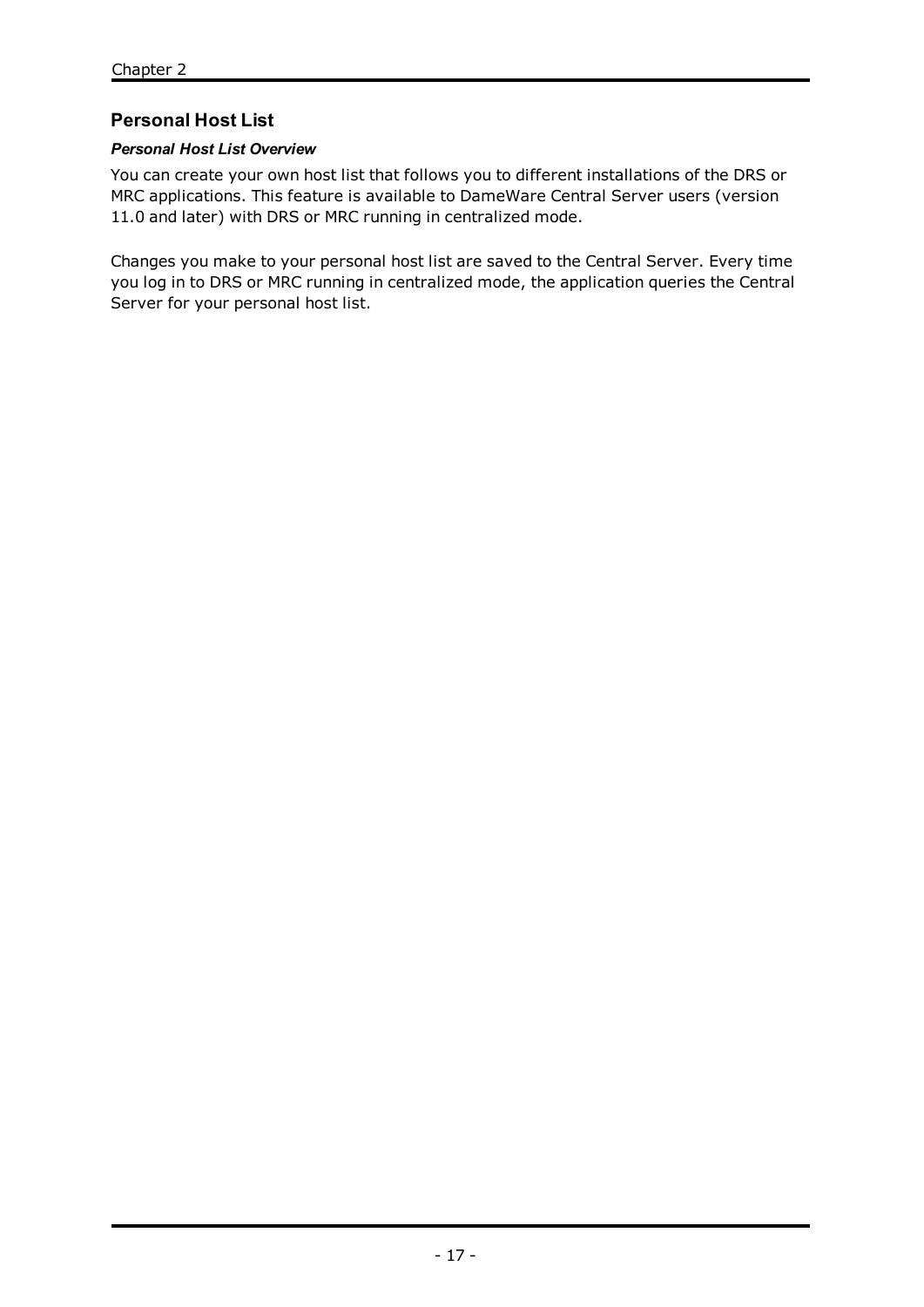# **Personal Host List**

# *Personal Host List Overview*

You can create your own host list that follows you to different installations of the DRS or MRC applications. This feature is available to DameWare Central Server users (version 11.0 and later) with DRS or MRC running in centralized mode.

Changes you make to your personal host list are saved to the Central Server. Every time you log in to DRS or MRC running in centralized mode, the application queries the Central Server for your personal host list.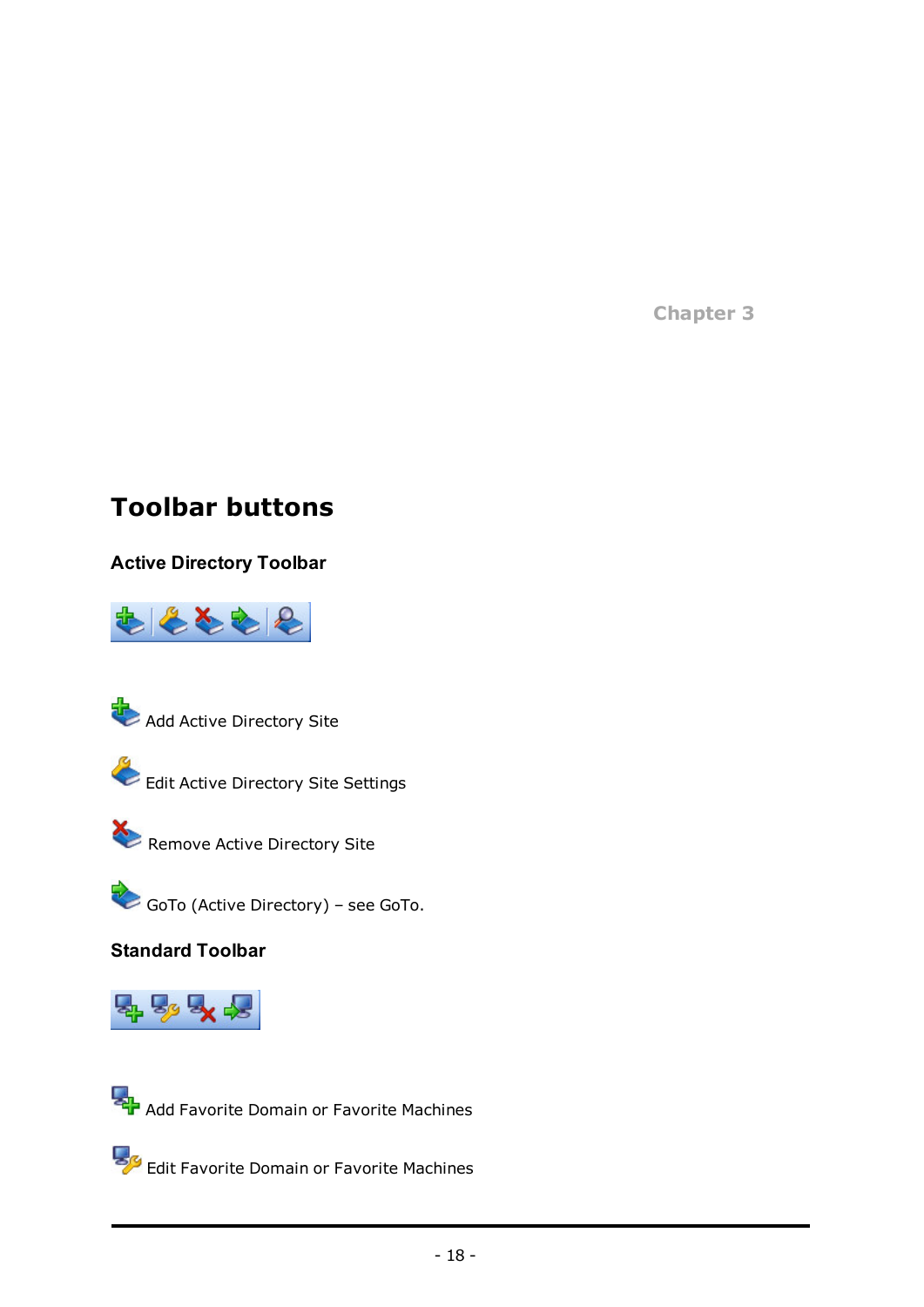**Chapter 3**

# **Toolbar buttons**

# **Active Directory Toolbar**







Edit Active Directory Site Settings



Remove Active Directory Site

GoTo (Active Directory) – see [GoTo](#page-21-1).

**Standard Toolbar**



**Add Favorite Domain or Favorite Machines** 

Edit Favorite Domain or Favorite Machines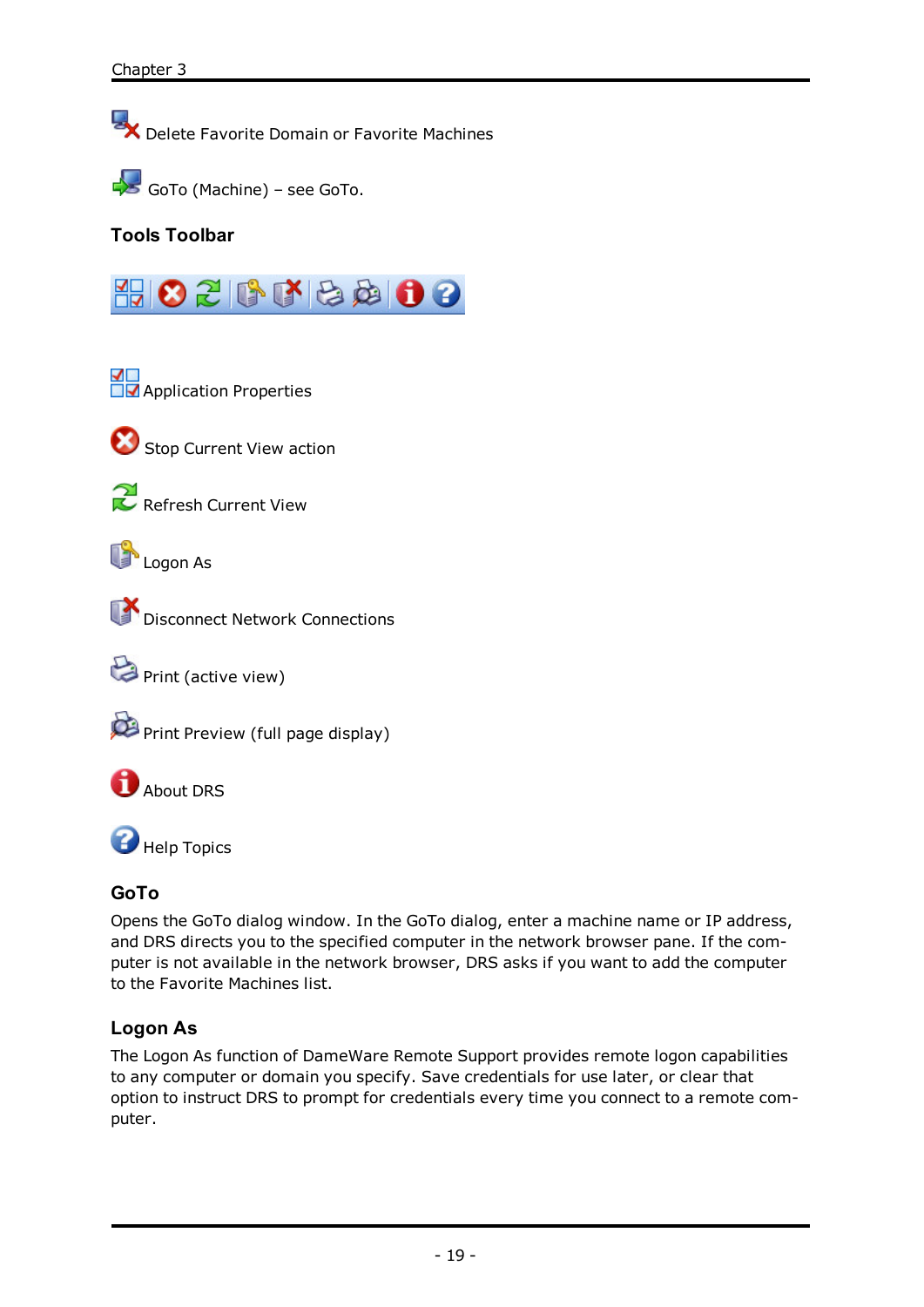Delete Favorite Domain or Favorite Machines



# **Tools Toolbar**



**Application Properties** 



Stop Current View action



Refresh Current View

**Logon As** 



Disconnect Network Connections

Print (active view)



**About DRS** 

**Help Topics** 

# <span id="page-21-1"></span>**GoTo**

Opens the GoTo dialog window. In the GoTo dialog, enter a machine name or IP address, and DRS directs you to the specified computer in the network browser pane. If the computer is not available in the network browser, DRS asks if you want to add the computer to the Favorite Machines list.

# <span id="page-21-0"></span>**Logon As**

The Logon As function of DameWare Remote Support provides remote logon capabilities to any computer or domain you specify. Save credentials for use later, or clear that option to instruct DRS to prompt for credentials every time you connect to a remote computer.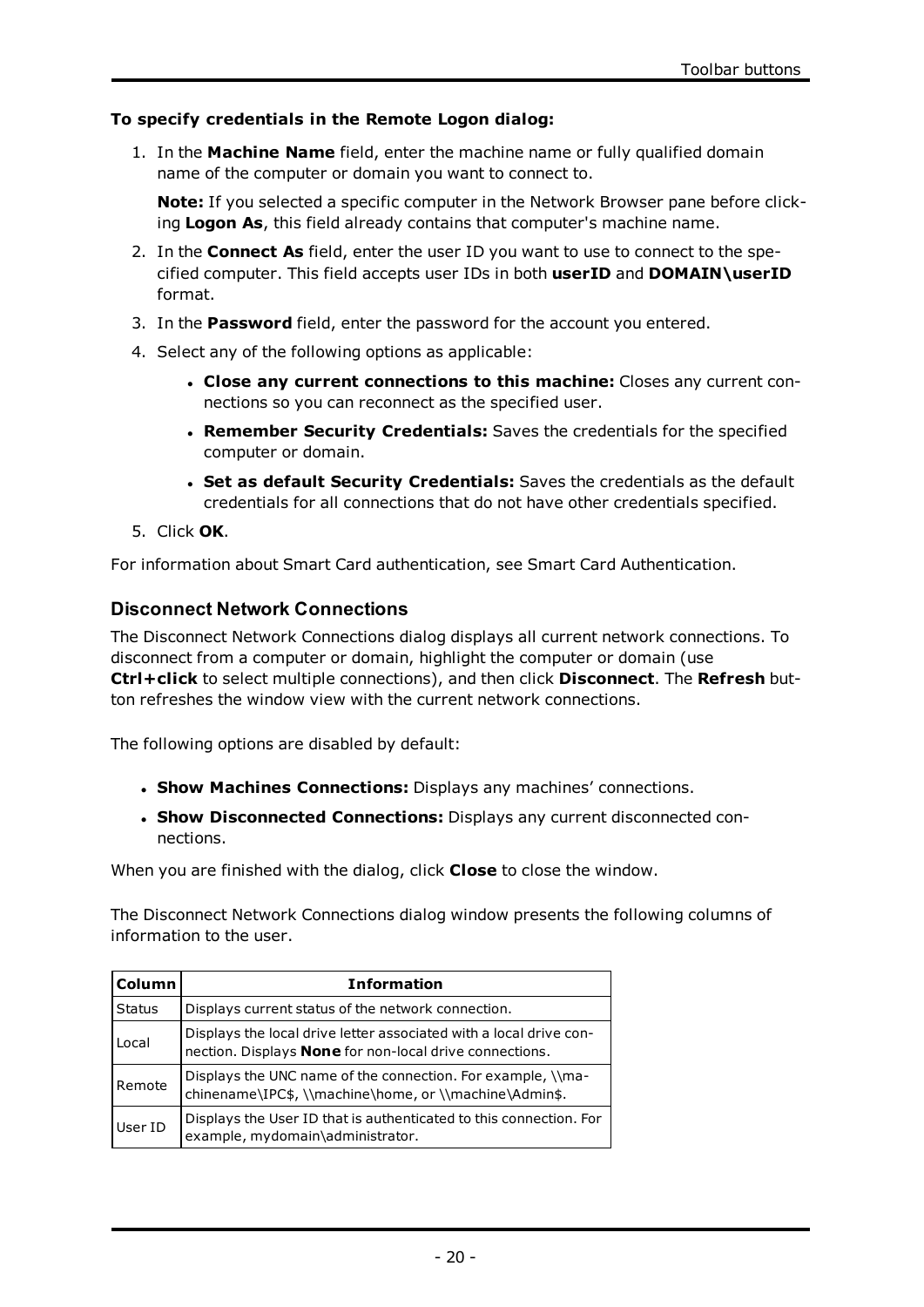#### **To specify credentials in the Remote Logon dialog:**

1. In the **Machine Name** field, enter the machine name or fully qualified domain name of the computer or domain you want to connect to.

**Note:** If you selected a specific computer in the Network Browser pane before clicking **Logon As**, this field already contains that computer's machine name.

- 2. In the **Connect As** field, enter the user ID you want to use to connect to the specified computer. This field accepts user IDs in both **userID** and **DOMAIN\userID** format.
- 3. In the **Password** field, enter the password for the account you entered.
- 4. Select any of the following options as applicable:
	- <sup>l</sup> **Close any current connections to this machine:** Closes any current connections so you can reconnect as the specified user.
	- <sup>l</sup> **Remember Security Credentials:** Saves the credentials for the specified computer or domain.
	- <sup>l</sup> **Set as default Security Credentials:** Saves the credentials as the default credentials for all connections that do not have other credentials specified.
- 5. Click **OK**.

For information about Smart Card authentication, see Smart Card [Authentication](#page-14-0).

#### **Disconnect Network Connections**

The Disconnect Network Connections dialog displays all current network connections. To disconnect from a computer or domain, highlight the computer or domain (use **Ctrl+click** to select multiple connections), and then click **Disconnect**. The **Refresh** button refreshes the window view with the current network connections.

The following options are disabled by default:

- <sup>l</sup> **Show Machines Connections:** Displays any machines' connections.
- <sup>l</sup> **Show Disconnected Connections:** Displays any current disconnected connections.

When you are finished with the dialog, click **Close** to close the window.

The Disconnect Network Connections dialog window presents the following columns of information to the user.

| <b>Column</b> | <b>Information</b>                                                                                                                   |
|---------------|--------------------------------------------------------------------------------------------------------------------------------------|
| Status        | Displays current status of the network connection.                                                                                   |
| Local         | Displays the local drive letter associated with a local drive con-<br>nection. Displays <b>None</b> for non-local drive connections. |
| Remote        | Displays the UNC name of the connection. For example, \\ma-<br>chinename\IPC\$, \\machine\home, or \\machine\Admin\$.                |
| User ID       | Displays the User ID that is authenticated to this connection. For<br>example, mydomain\administrator.                               |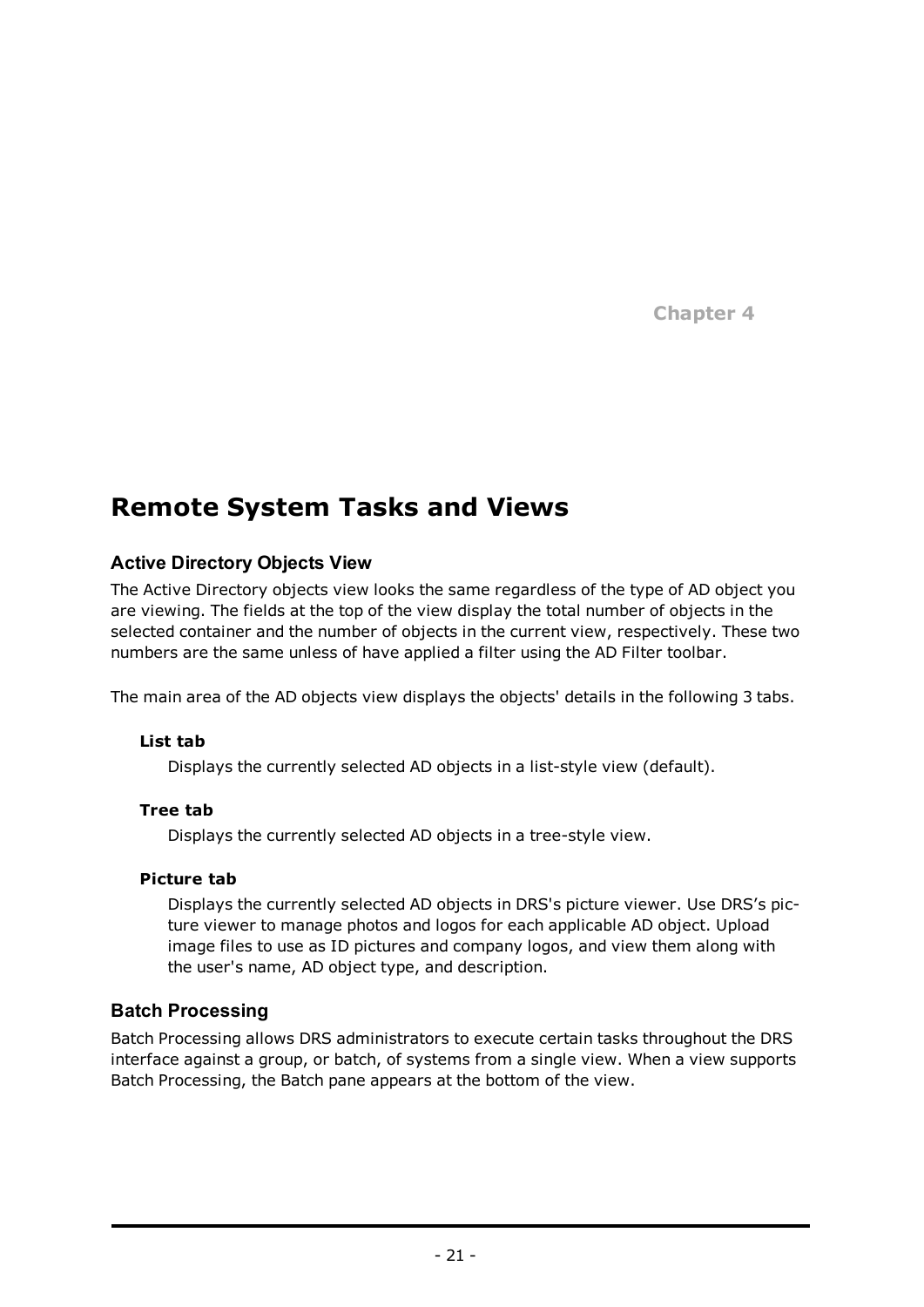**Chapter 4**

# **Remote System Tasks and Views**

# **Active Directory Objects View**

The Active Directory objects view looks the same regardless of the type of AD object you are viewing. The fields at the top of the view display the total number of objects in the selected container and the number of objects in the current view, respectively. These two numbers are the same unless of have applied a filter using the AD Filter toolbar.

The main area of the AD objects view displays the objects' details in the following 3 tabs.

#### **List tab**

Displays the currently selected AD objects in a list-style view (default).

#### **Tree tab**

Displays the currently selected AD objects in a tree-style view.

#### **Picture tab**

Displays the currently selected AD objects in DRS's picture viewer. Use DRS's picture viewer to manage photos and logos for each applicable AD object. Upload image files to use as ID pictures and company logos, and view them along with the user's name, AD object type, and description.

# **Batch Processing**

Batch Processing allows DRS administrators to execute certain tasks throughout the DRS interface against a group, or batch, of systems from a single view. When a view supports Batch Processing, the Batch pane appears at the bottom of the view.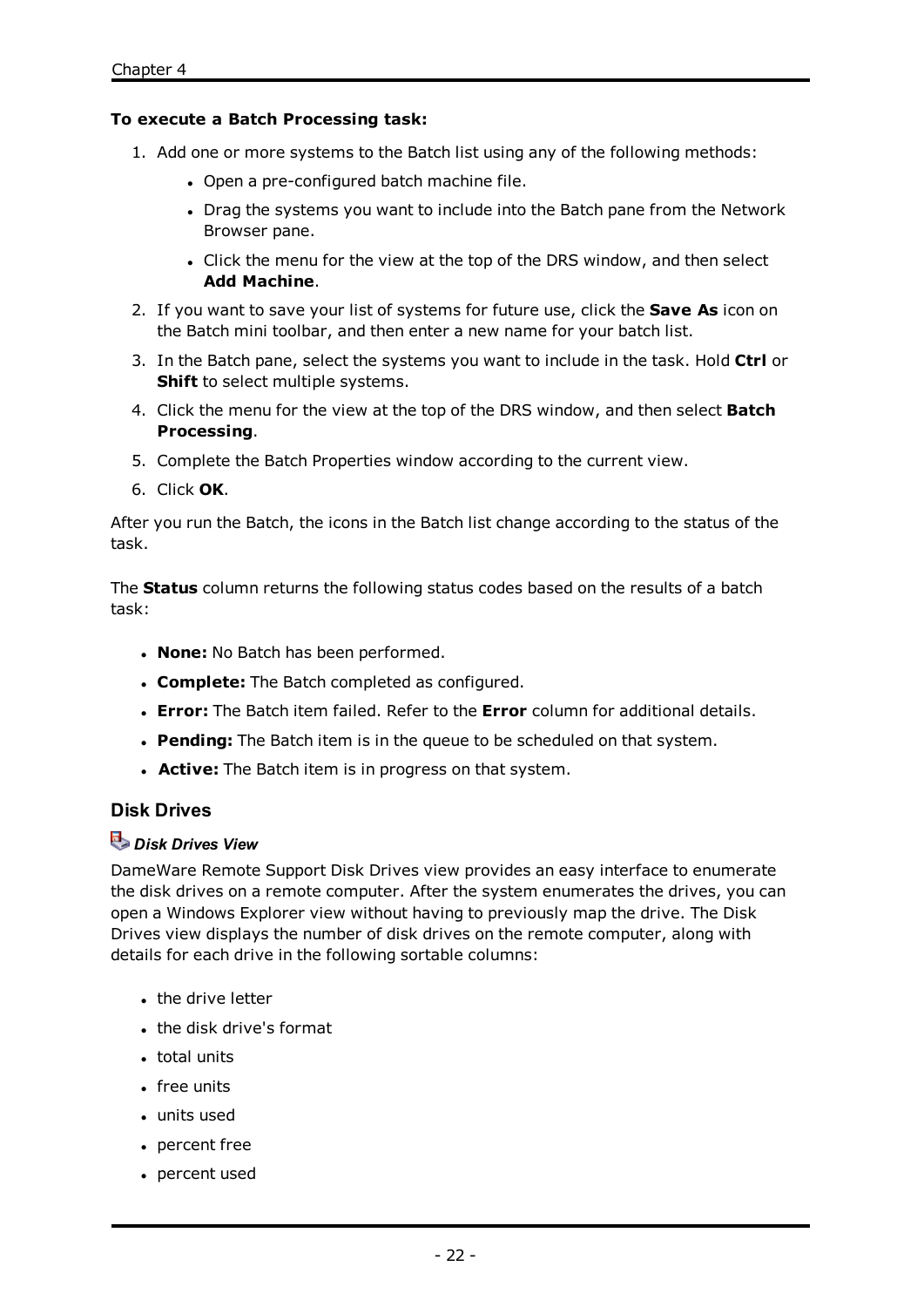#### **To execute a Batch Processing task:**

- 1. Add one or more systems to the Batch list using any of the following methods:
	- Open a pre-configured batch machine file.
	- Drag the systems you want to include into the Batch pane from the Network Browser pane.
	- Click the menu for the view at the top of the DRS window, and then select **Add Machine**.
- 2. If you want to save your list of systems for future use, click the **Save As** icon on the Batch mini toolbar, and then enter a new name for your batch list.
- 3. In the Batch pane, select the systems you want to include in the task. Hold **Ctrl** or **Shift** to select multiple systems.
- 4. Click the menu for the view at the top of the DRS window, and then select **Batch Processing**.
- 5. Complete the Batch Properties window according to the current view.
- 6. Click **OK**.

After you run the Batch, the icons in the Batch list change according to the status of the task.

The **Status** column returns the following status codes based on the results of a batch task:

- **· None:** No Batch has been performed.
- **. Complete:** The Batch completed as configured.
- <sup>l</sup> **Error:** The Batch item failed. Refer to the **Error** column for additional details.
- **Pending:** The Batch item is in the queue to be scheduled on that system.
- **Active:** The Batch item is in progress on that system.

# **Disk Drives**

# *Disk Drives View*

DameWare Remote Support Disk Drives view provides an easy interface to enumerate the disk drives on a remote computer. After the system enumerates the drives, you can open a Windows Explorer view without having to previously map the drive. The Disk Drives view displays the number of disk drives on the remote computer, along with details for each drive in the following sortable columns:

- $\cdot$  the drive letter
- the disk drive's format
- $\bullet$  total units
- **.** free units
- $\cdot$  units used
- $\cdot$  percent free
- percent used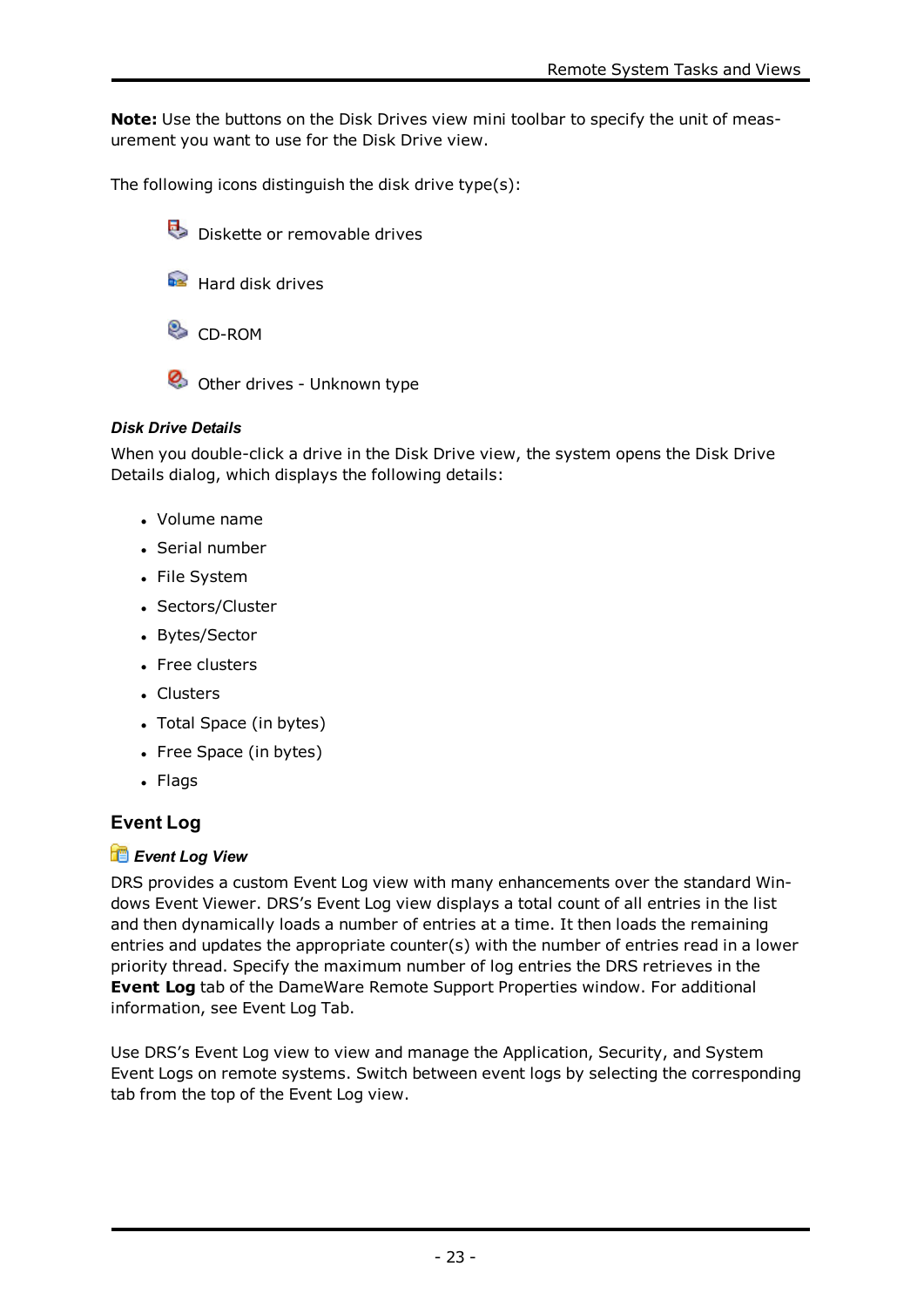**Note:** Use the buttons on the Disk Drives view mini toolbar to specify the unit of measurement you want to use for the Disk Drive view.

The following icons distinguish the disk drive type(s):

- Diskette or removable drives
- Hard disk drives
- **CD-ROM**
- Other drives Unknown type

# *Disk Drive Details*

When you double-click a drive in the Disk Drive view, the system opens the Disk Drive Details dialog, which displays the following details:

- Volume name
- Serial number
- File System
- Sectors/Cluster
- Bytes/Sector
- Free clusters
- Clusters
- Total Space (in bytes)
- Free Space (in bytes)
- Flags

# **Event Log**

# *Event Log View*

DRS provides a custom Event Log view with many enhancements over the standard Windows Event Viewer. DRS's Event Log view displays a total count of all entries in the list and then dynamically loads a number of entries at a time. It then loads the remaining entries and updates the appropriate counter(s) with the number of entries read in a lower priority thread. Specify the maximum number of log entries the DRS retrieves in the **Event Log** tab of the DameWare Remote Support Properties window. For additional information, see [Event](#page-70-0) Log Tab.

Use DRS's Event Log view to view and manage the Application, Security, and System Event Logs on remote systems. Switch between event logs by selecting the corresponding tab from the top of the Event Log view.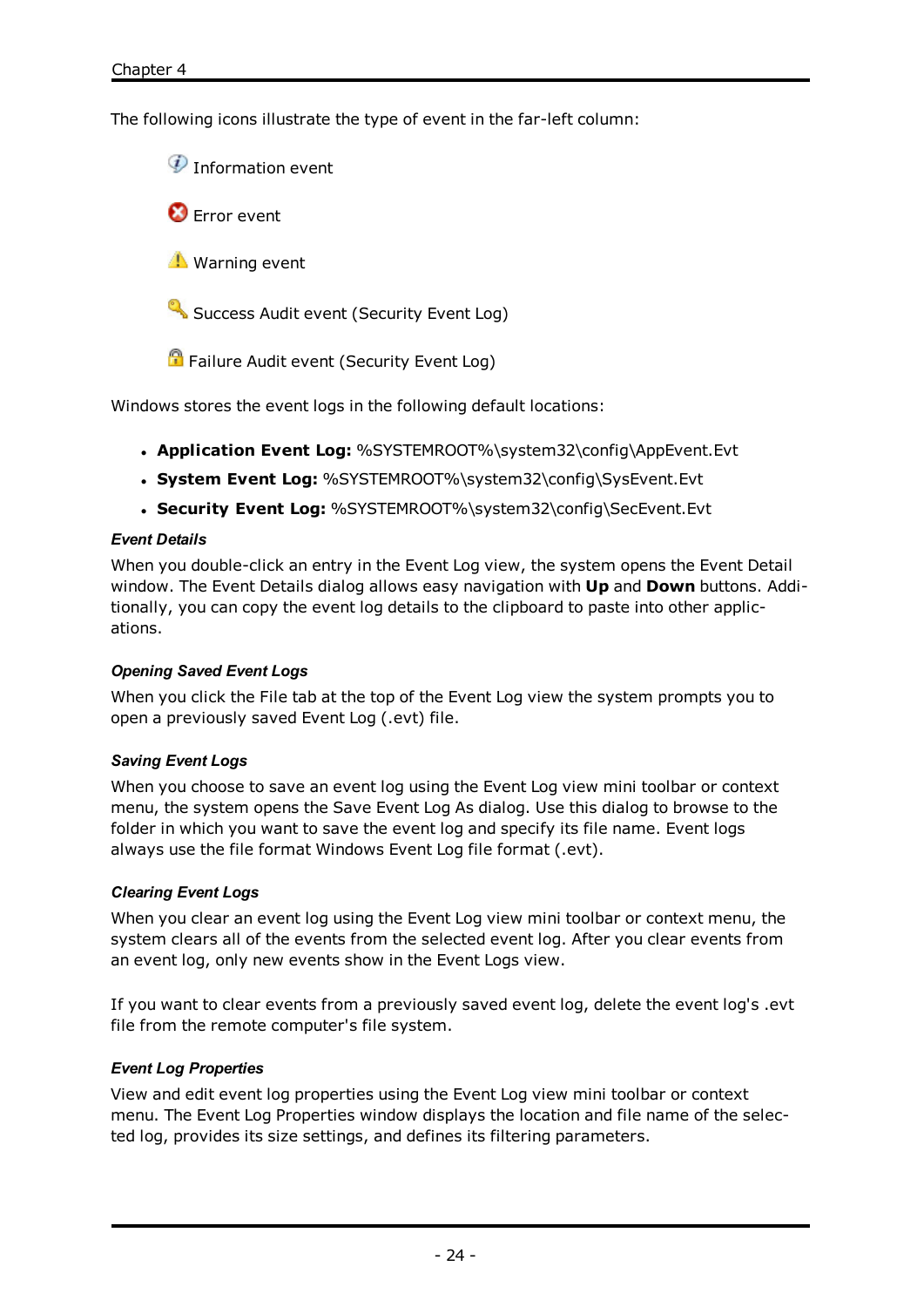The following icons illustrate the type of event in the far-left column:

<sup>1</sup> Information event

**C** Error event

**Warning event** 

Success Audit event (Security Event Log)

**P** Failure Audit event (Security Event Log)

Windows stores the event logs in the following default locations:

- <sup>l</sup> **Application Event Log:** %SYSTEMROOT%\system32\config\AppEvent.Evt
- <sup>l</sup> **System Event Log:** %SYSTEMROOT%\system32\config\SysEvent.Evt
- <sup>l</sup> **Security Event Log:** %SYSTEMROOT%\system32\config\SecEvent.Evt

#### *Event Details*

When you double-click an entry in the Event Log view, the system opens the Event Detail window. The Event Details dialog allows easy navigation with **Up** and **Down** buttons. Additionally, you can copy the event log details to the clipboard to paste into other applications.

# *Opening Saved Event Logs*

When you click the File tab at the top of the Event Log view the system prompts you to open a previously saved Event Log (.evt) file.

# *Saving Event Logs*

When you choose to save an event log using the Event Log view mini toolbar or context menu, the system opens the Save Event Log As dialog. Use this dialog to browse to the folder in which you want to save the event log and specify its file name. Event logs always use the file format Windows Event Log file format (.evt).

# *Clearing Event Logs*

When you clear an event log using the Event Log view mini toolbar or context menu, the system clears all of the events from the selected event log. After you clear events from an event log, only new events show in the Event Logs view.

If you want to clear events from a previously saved event log, delete the event log's .evt file from the remote computer's file system.

# <span id="page-26-0"></span>*Event Log Properties*

View and edit event log properties using the Event Log view mini toolbar or context menu. The Event Log Properties window displays the location and file name of the selected log, provides its size settings, and defines its filtering parameters.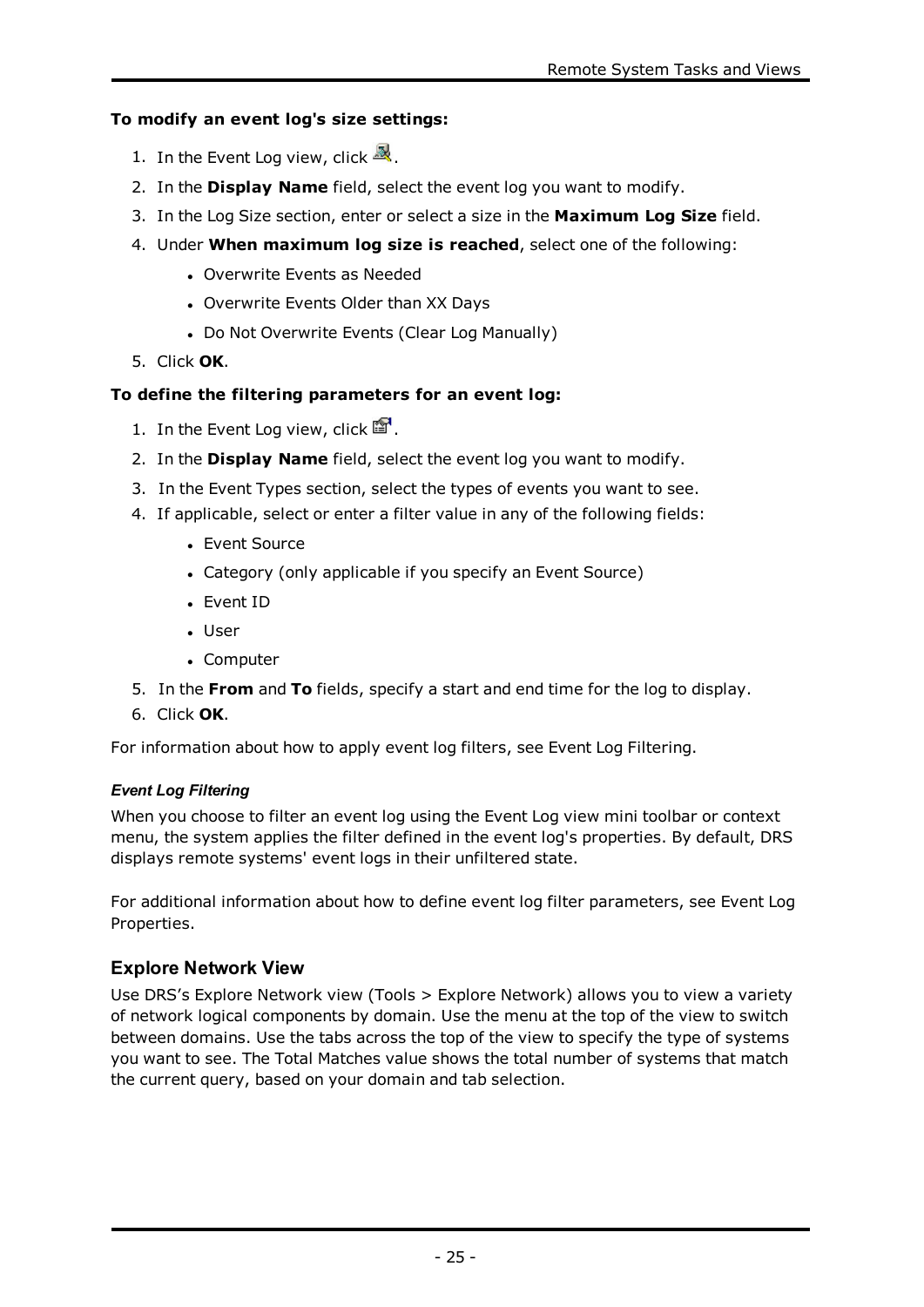# **To modify an event log's size settings:**

- 1. In the Event Log view, click  $\mathbb{R}$ .
- 2. In the **Display Name** field, select the event log you want to modify.
- 3. In the Log Size section, enter or select a size in the **Maximum Log Size** field.
- 4. Under **When maximum log size is reached**, select one of the following:
	- Overwrite Events as Needed
	- Overwrite Events Older than XX Days
	- Do Not Overwrite Events (Clear Log Manually)
- 5. Click **OK**.

# **To define the filtering parameters for an event log:**

- 1. In the Event Log view, click  $\mathbb{F}$ .
- 2. In the **Display Name** field, select the event log you want to modify.
- 3. In the Event Types section, select the types of events you want to see.
- 4. If applicable, select or enter a filter value in any of the following fields:
	- Event Source
	- Category (only applicable if you specify an Event Source)
	- Event ID
	- User
	- Computer
- 5. In the **From** and **To** fields, specify a start and end time for the log to display.
- 6. Click **OK**.

For information about how to apply event log filters, see Event Log [Filtering.](#page-27-0)

# <span id="page-27-0"></span>*Event Log Filtering*

When you choose to filter an event log using the Event Log view mini toolbar or context menu, the system applies the filter defined in the event log's properties. By default, DRS displays remote systems' event logs in their unfiltered state.

For additional information about how to define event log filter parameters, see [Event](#page-26-0) Log [Properties](#page-26-0).

# **Explore Network View**

Use DRS's Explore Network view (Tools > Explore Network) allows you to view a variety of network logical components by domain. Use the menu at the top of the view to switch between domains. Use the tabs across the top of the view to specify the type of systems you want to see. The Total Matches value shows the total number of systems that match the current query, based on your domain and tab selection.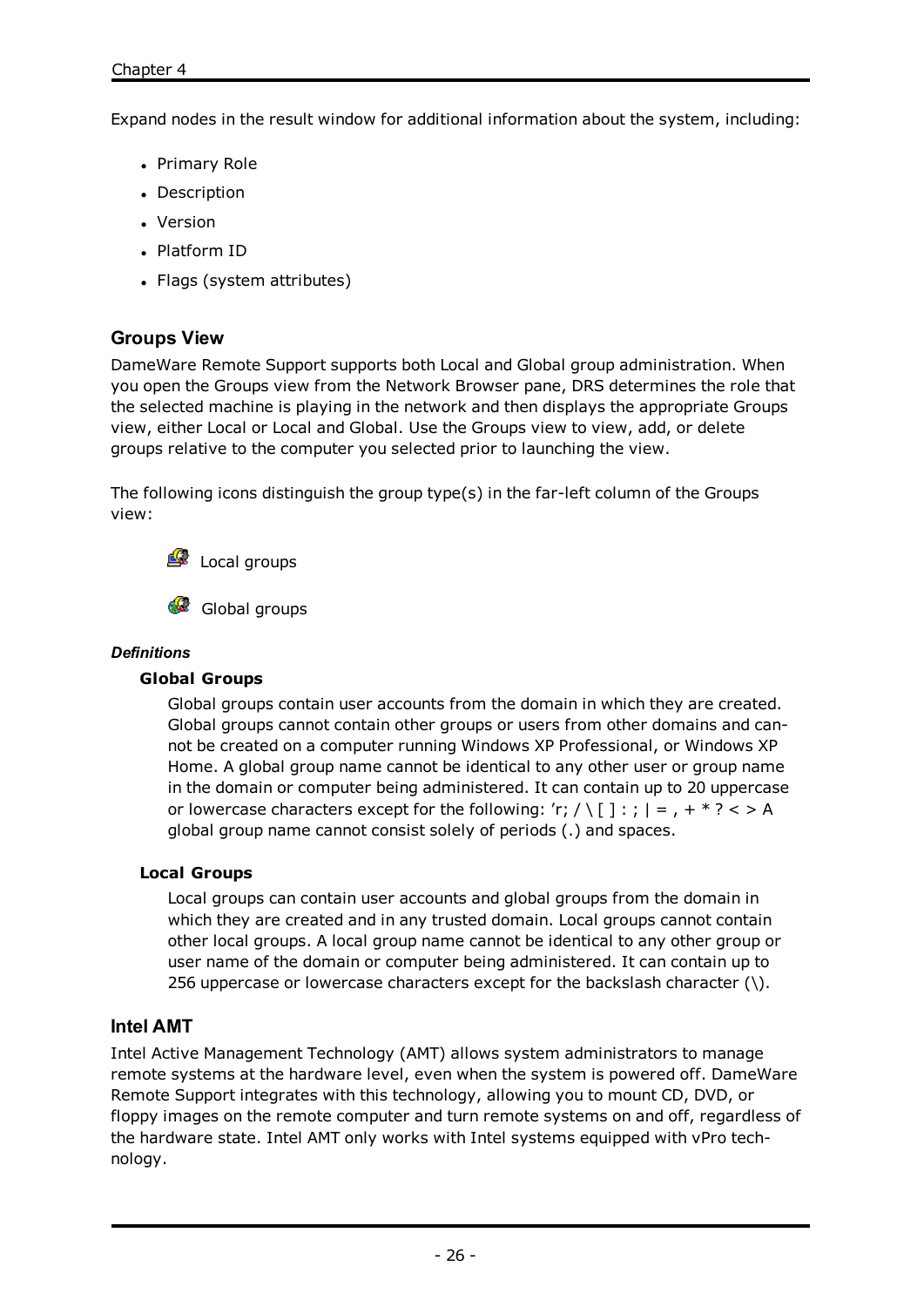Expand nodes in the result window for additional information about the system, including:

- Primary Role
- Description
- Version
- Platform ID
- Flags (system attributes)

# **Groups View**

DameWare Remote Support supports both Local and Global group administration. When you open the Groups view from the Network Browser pane, DRS determines the role that the selected machine is playing in the network and then displays the appropriate Groups view, either Local or Local and Global. Use the Groups view to view, add, or delete groups relative to the computer you selected prior to launching the view.

The following icons distinguish the group type(s) in the far-left column of the Groups view:



Global groups

#### *Definitions*

#### **Global Groups**

Global groups contain user accounts from the domain in which they are created. Global groups cannot contain other groups or users from other domains and cannot be created on a computer running Windows XP Professional, or Windows XP Home. A global group name cannot be identical to any other user or group name in the domain or computer being administered. It can contain up to 20 uppercase or lowercase characters except for the following: 'r; / \[  $] : ; | = , +^*$ ? < > A global group name cannot consist solely of periods (.) and spaces.

# **Local Groups**

Local groups can contain user accounts and global groups from the domain in which they are created and in any trusted domain. Local groups cannot contain other local groups. A local group name cannot be identical to any other group or user name of the domain or computer being administered. It can contain up to 256 uppercase or lowercase characters except for the backslash character (\).

# **Intel AMT**

Intel Active Management Technology (AMT) allows system administrators to manage remote systems at the hardware level, even when the system is powered off. DameWare Remote Support integrates with this technology, allowing you to mount CD, DVD, or floppy images on the remote computer and turn remote systems on and off, regardless of the hardware state. Intel AMT only works with Intel systems equipped with vPro technology.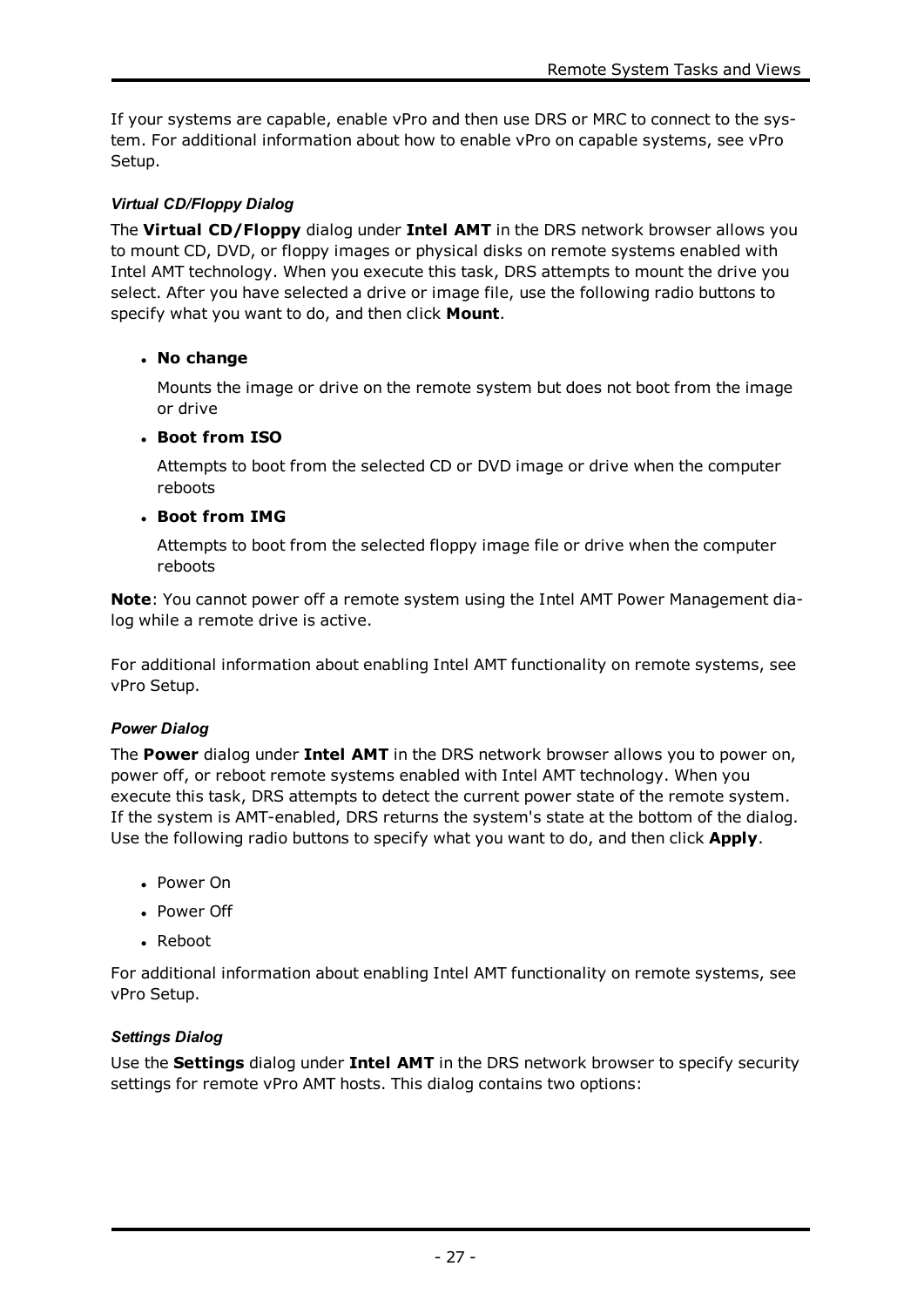If your systems are capable, enable vPro and then use DRS or MRC to connect to the system. For additional information about how to enable vPro on capable systems, see [vPro](#page-30-0) [Setup.](#page-30-0)

# *Virtual CD/Floppy Dialog*

The **Virtual CD/Floppy** dialog under **Intel AMT** in the DRS network browser allows you to mount CD, DVD, or floppy images or physical disks on remote systems enabled with Intel AMT technology. When you execute this task, DRS attempts to mount the drive you select. After you have selected a drive or image file, use the following radio buttons to specify what you want to do, and then click **Mount**.

# <sup>l</sup> **No change**

Mounts the image or drive on the remote system but does not boot from the image or drive

# <sup>l</sup> **Boot from ISO**

Attempts to boot from the selected CD or DVD image or drive when the computer reboots

# <sup>l</sup> **Boot from IMG**

Attempts to boot from the selected floppy image file or drive when the computer reboots

**Note**: You cannot power off a remote system using the Intel AMT Power Management dialog while a remote drive is active.

For additional information about enabling Intel AMT functionality on remote systems, see vPro [Setup](#page-30-0).

# *Power Dialog*

The **Power** dialog under **Intel AMT** in the DRS network browser allows you to power on, power off, or reboot remote systems enabled with Intel AMT technology. When you execute this task, DRS attempts to detect the current power state of the remote system. If the system is AMT-enabled, DRS returns the system's state at the bottom of the dialog. Use the following radio buttons to specify what you want to do, and then click **Apply**.

- Power On
- Power Off
- Reboot

For additional information about enabling Intel AMT functionality on remote systems, see vPro [Setup](#page-30-0).

# *Settings Dialog*

Use the **Settings** dialog under **Intel AMT** in the DRS network browser to specify security settings for remote vPro AMT hosts. This dialog contains two options: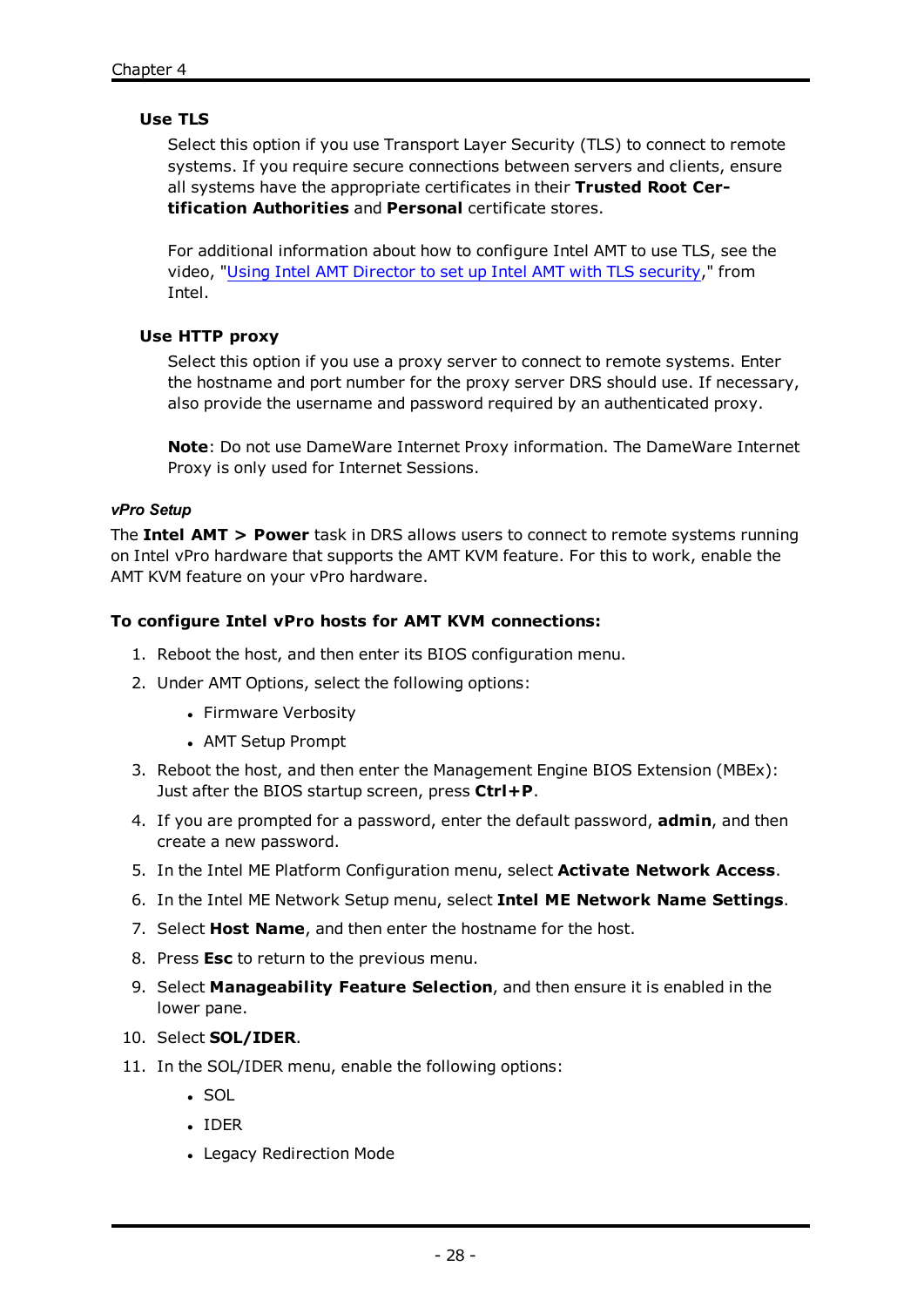# **Use TLS**

Select this option if you use Transport Layer Security (TLS) to connect to remote systems. If you require secure connections between servers and clients, ensure all systems have the appropriate certificates in their **Trusted Root Certification Authorities** and **Personal** certificate stores.

For additional information about how to configure Intel AMT to use TLS, see the video, "Using Intel [AMT Director](http://software.intel.com/en-us/videos/channel/manageability-security/using-intel�-amt-director-to-set-up-intel�-amt-with-tls-security/1127441216001) to set up Intel AMT with TLS security," from Intel.

#### **Use HTTP proxy**

Select this option if you use a proxy server to connect to remote systems. Enter the hostname and port number for the proxy server DRS should use. If necessary, also provide the username and password required by an authenticated proxy.

**Note**: Do not use DameWare Internet Proxy information. The DameWare Internet Proxy is only used for Internet Sessions.

#### <span id="page-30-0"></span>*vPro Setup*

The **Intel AMT > Power** task in DRS allows users to connect to remote systems running on Intel vPro hardware that supports the AMT KVM feature. For this to work, enable the AMT KVM feature on your vPro hardware.

#### **To configure Intel vPro hosts for AMT KVM connections:**

- 1. Reboot the host, and then enter its BIOS configuration menu.
- 2. Under AMT Options, select the following options:
	- Firmware Verbosity
	- AMT Setup Prompt
- 3. Reboot the host, and then enter the Management Engine BIOS Extension (MBEx): Just after the BIOS startup screen, press **Ctrl+P**.
- 4. If you are prompted for a password, enter the default password, **admin**, and then create a new password.
- 5. In the Intel ME Platform Configuration menu, select **Activate Network Access**.
- 6. In the Intel ME Network Setup menu, select **Intel ME Network Name Settings**.
- 7. Select **Host Name**, and then enter the hostname for the host.
- 8. Press **Esc** to return to the previous menu.
- 9. Select **Manageability Feature Selection**, and then ensure it is enabled in the lower pane.
- 10. Select **SOL/IDER**.
- 11. In the SOL/IDER menu, enable the following options:
	- $\cdot$  SOL
	- <sup>l</sup> IDER
	- Legacy Redirection Mode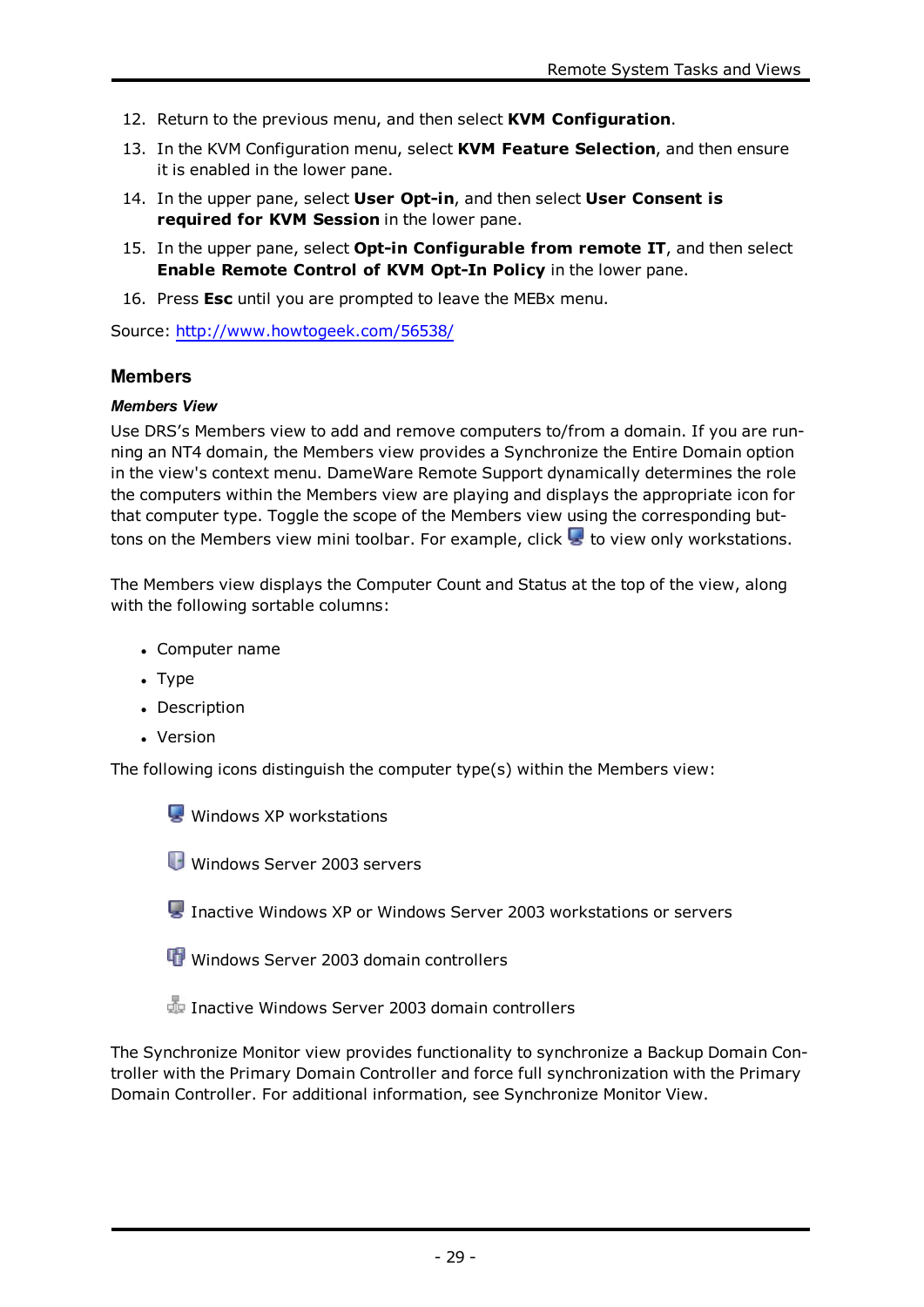- 12. Return to the previous menu, and then select **KVM Configuration**.
- 13. In the KVM Configuration menu, select **KVM Feature Selection**, and then ensure it is enabled in the lower pane.
- 14. In the upper pane, select **User Opt-in**, and then select **User Consent is required for KVM Session** in the lower pane.
- 15. In the upper pane, select **Opt-in Configurable from remote IT**, and then select **Enable Remote Control of KVM Opt-In Policy** in the lower pane.
- 16. Press **Esc** until you are prompted to leave the MEBx menu.

Source: <http://www.howtogeek.com/56538/>

#### **Members**

#### *Members View*

Use DRS's Members view to add and remove computers to/from a domain. If you are running an NT4 domain, the Members view provides a Synchronize the Entire Domain option in the view's context menu. DameWare Remote Support dynamically determines the role the computers within the Members view are playing and displays the appropriate icon for that computer type. Toggle the scope of the Members view using the corresponding buttons on the Members view mini toolbar. For example, click  $\blacktriangleright$  to view only workstations.

The Members view displays the Computer Count and Status at the top of the view, along with the following sortable columns:

- Computer name
- Type
- Description
- Version

The following icons distinguish the computer type(s) within the Members view:

Windows XP workstations

Windows Server 2003 servers

Inactive Windows XP or Windows Server 2003 workstations or servers

Windows Server 2003 domain controllers

Inactive Windows Server 2003 domain controllers

The Synchronize Monitor view provides functionality to synchronize a Backup Domain Controller with the Primary Domain Controller and force full synchronization with the Primary Domain Controller. For additional information, see [Synchronize](#page-32-0) Monitor View.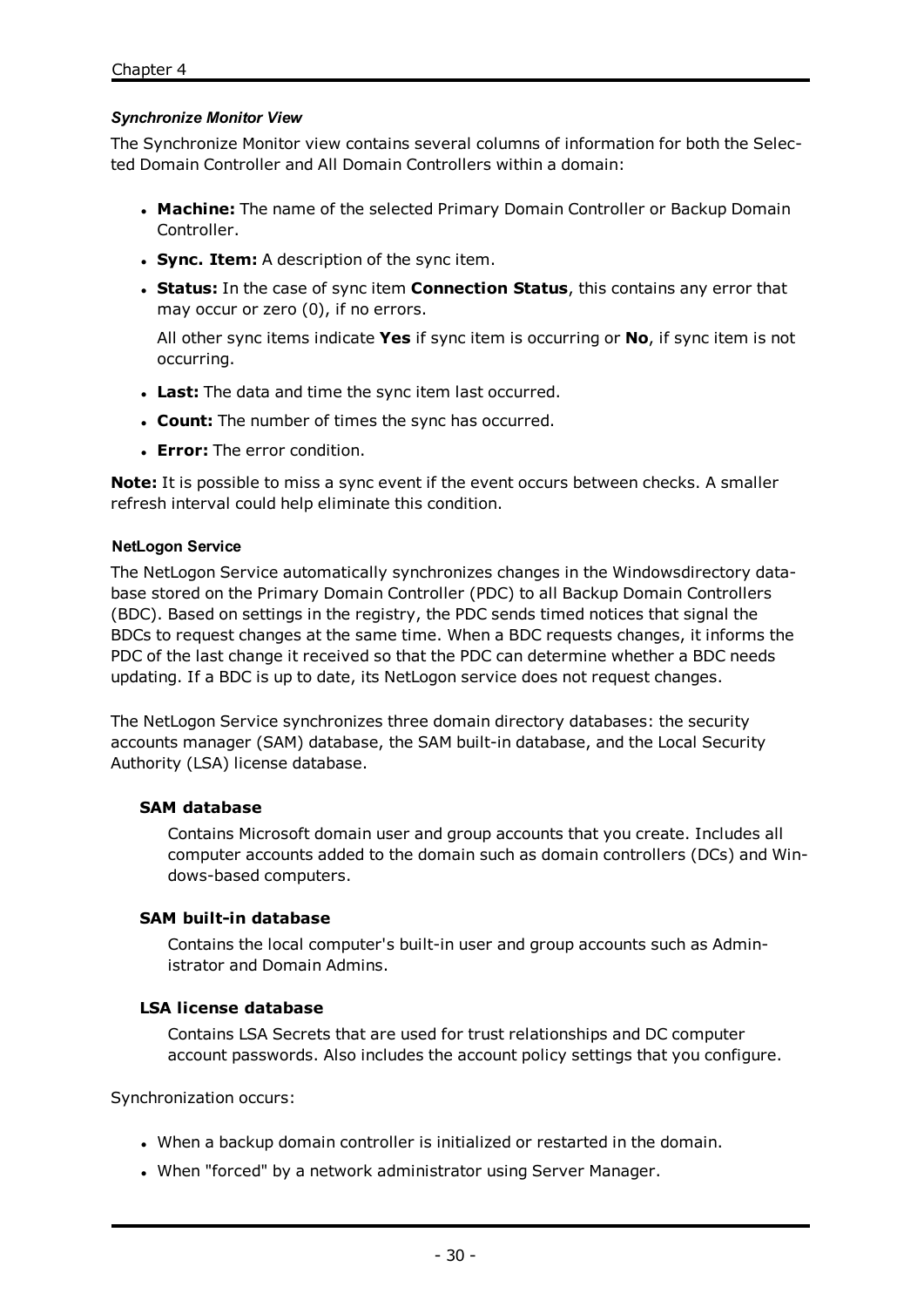#### <span id="page-32-0"></span>*Synchronize Monitor View*

The Synchronize Monitor view contains several columns of information for both the Selected Domain Controller and All Domain Controllers within a domain:

- **Machine:** The name of the selected Primary Domain Controller or Backup Domain Controller.
- **.** Sync. Item: A description of the sync item.
- <sup>l</sup> **Status:** In the case of sync item **Connection Status**, this contains any error that may occur or zero (0), if no errors.

All other sync items indicate **Yes** if sync item is occurring or **No**, if sync item is not occurring.

- **Last:** The data and time the sync item last occurred.
- **. Count:** The number of times the sync has occurred.
- **Error:** The error condition.

**Note:** It is possible to miss a sync event if the event occurs between checks. A smaller refresh interval could help eliminate this condition.

#### **NetLogon Service**

The NetLogon Service automatically synchronizes changes in the Windowsdirectory database stored on the Primary Domain Controller (PDC) to all Backup Domain Controllers (BDC). Based on settings in the registry, the PDC sends timed notices that signal the BDCs to request changes at the same time. When a BDC requests changes, it informs the PDC of the last change it received so that the PDC can determine whether a BDC needs updating. If a BDC is up to date, its NetLogon service does not request changes.

The NetLogon Service synchronizes three domain directory databases: the security accounts manager (SAM) database, the SAM built-in database, and the Local Security Authority (LSA) license database.

#### **SAM database**

Contains Microsoft domain user and group accounts that you create. Includes all computer accounts added to the domain such as domain controllers (DCs) and Windows-based computers.

#### **SAM built-in database**

Contains the local computer's built-in user and group accounts such as Administrator and Domain Admins.

#### **LSA license database**

Contains LSA Secrets that are used for trust relationships and DC computer account passwords. Also includes the account policy settings that you configure.

Synchronization occurs:

- When a backup domain controller is initialized or restarted in the domain.
- When "forced" by a network administrator using Server Manager.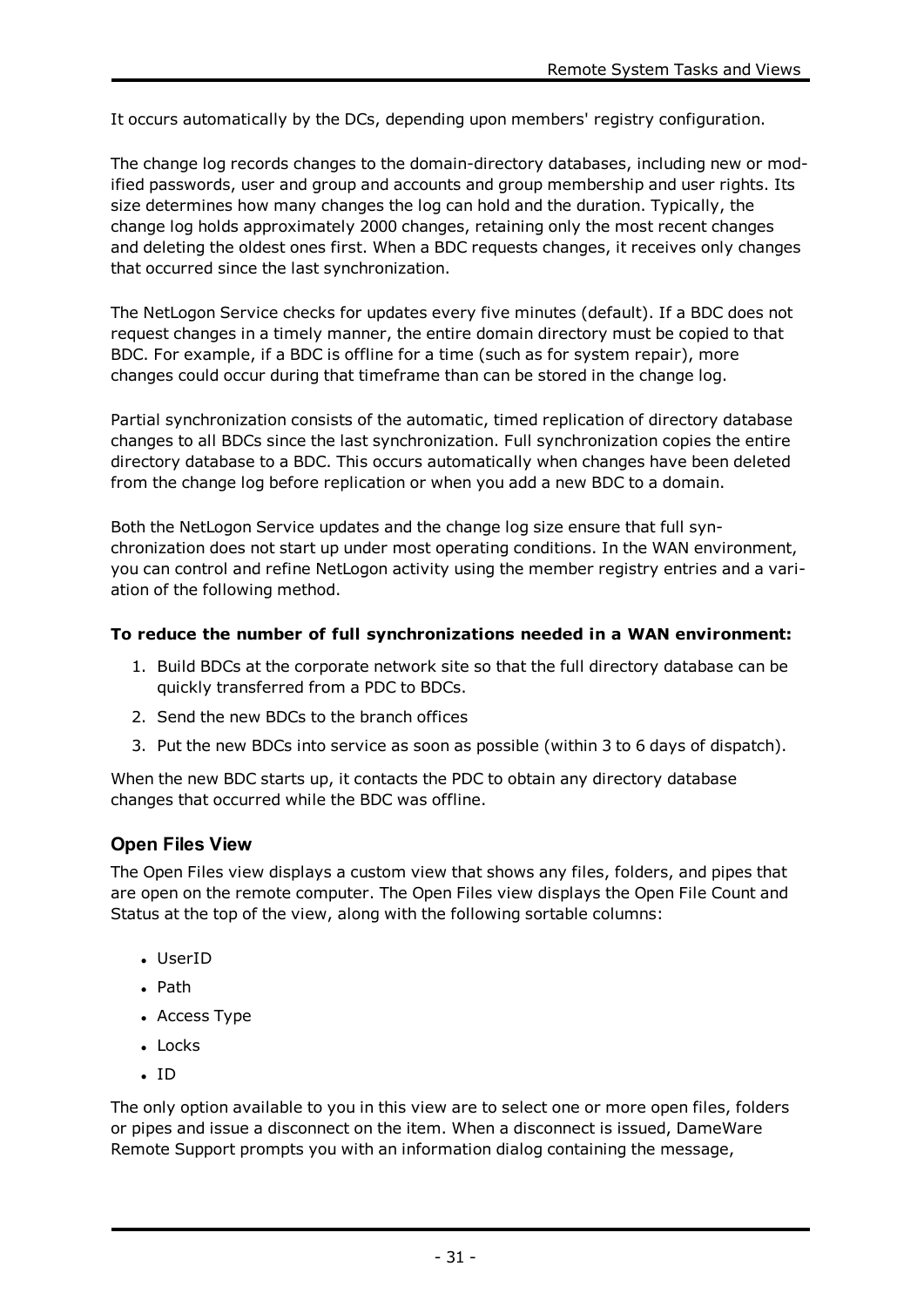It occurs automatically by the DCs, depending upon members' registry configuration.

The change log records changes to the domain-directory databases, including new or modified passwords, user and group and accounts and group membership and user rights. Its size determines how many changes the log can hold and the duration. Typically, the change log holds approximately 2000 changes, retaining only the most recent changes and deleting the oldest ones first. When a BDC requests changes, it receives only changes that occurred since the last synchronization.

The NetLogon Service checks for updates every five minutes (default). If a BDC does not request changes in a timely manner, the entire domain directory must be copied to that BDC. For example, if a BDC is offline for a time (such as for system repair), more changes could occur during that timeframe than can be stored in the change log.

Partial synchronization consists of the automatic, timed replication of directory database changes to all BDCs since the last synchronization. Full synchronization copies the entire directory database to a BDC. This occurs automatically when changes have been deleted from the change log before replication or when you add a new BDC to a domain.

Both the NetLogon Service updates and the change log size ensure that full synchronization does not start up under most operating conditions. In the WAN environment, you can control and refine NetLogon activity using the member registry entries and a variation of the following method.

# **To reduce the number of full synchronizations needed in a WAN environment:**

- 1. Build BDCs at the corporate network site so that the full directory database can be quickly transferred from a PDC to BDCs.
- 2. Send the new BDCs to the branch offices
- 3. Put the new BDCs into service as soon as possible (within 3 to 6 days of dispatch).

When the new BDC starts up, it contacts the PDC to obtain any directory database changes that occurred while the BDC was offline.

# **Open Files View**

The Open Files view displays a custom view that shows any files, folders, and pipes that are open on the remote computer. The Open Files view displays the Open File Count and Status at the top of the view, along with the following sortable columns:

- UserID
- $\bullet$  Path
- Access Type
- Locks
- $\cdot$  ID

The only option available to you in this view are to select one or more open files, folders or pipes and issue a disconnect on the item. When a disconnect is issued, DameWare Remote Support prompts you with an information dialog containing the message,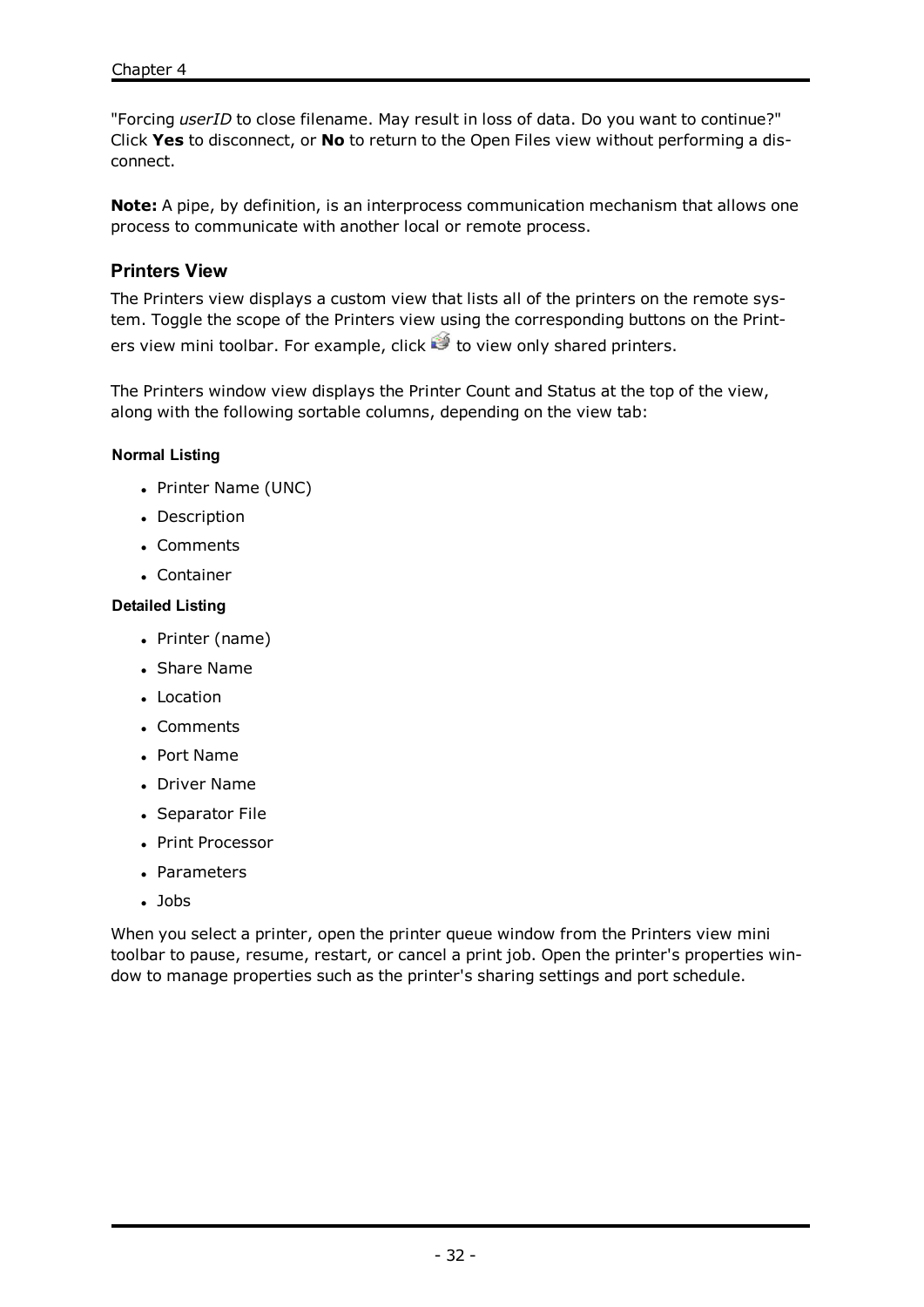"Forcing *userID* to close filename. May result in loss of data. Do you want to continue?" Click **Yes** to disconnect, or **No** to return to the Open Files view without performing a disconnect.

**Note:** A pipe, by definition, is an interprocess communication mechanism that allows one process to communicate with another local or remote process.

# **Printers View**

The Printers view displays a custom view that lists all of the printers on the remote system. Toggle the scope of the Printers view using the corresponding buttons on the Printers view mini toolbar. For example, click  $\mathcal{C}$  to view only shared printers.

The Printers window view displays the Printer Count and Status at the top of the view, along with the following sortable columns, depending on the view tab:

#### **Normal Listing**

- Printer Name (UNC)
- Description
- Comments
- Container

#### **Detailed Listing**

- Printer (name)
- **Share Name**
- Location
- Comments
- <sup>l</sup> Port Name
- Driver Name
- Separator File
- Print Processor
- Parameters
- $\cdot$  Jobs

When you select a printer, open the printer queue window from the Printers view mini toolbar to pause, resume, restart, or cancel a print job. Open the printer's properties window to manage properties such as the printer's sharing settings and port schedule.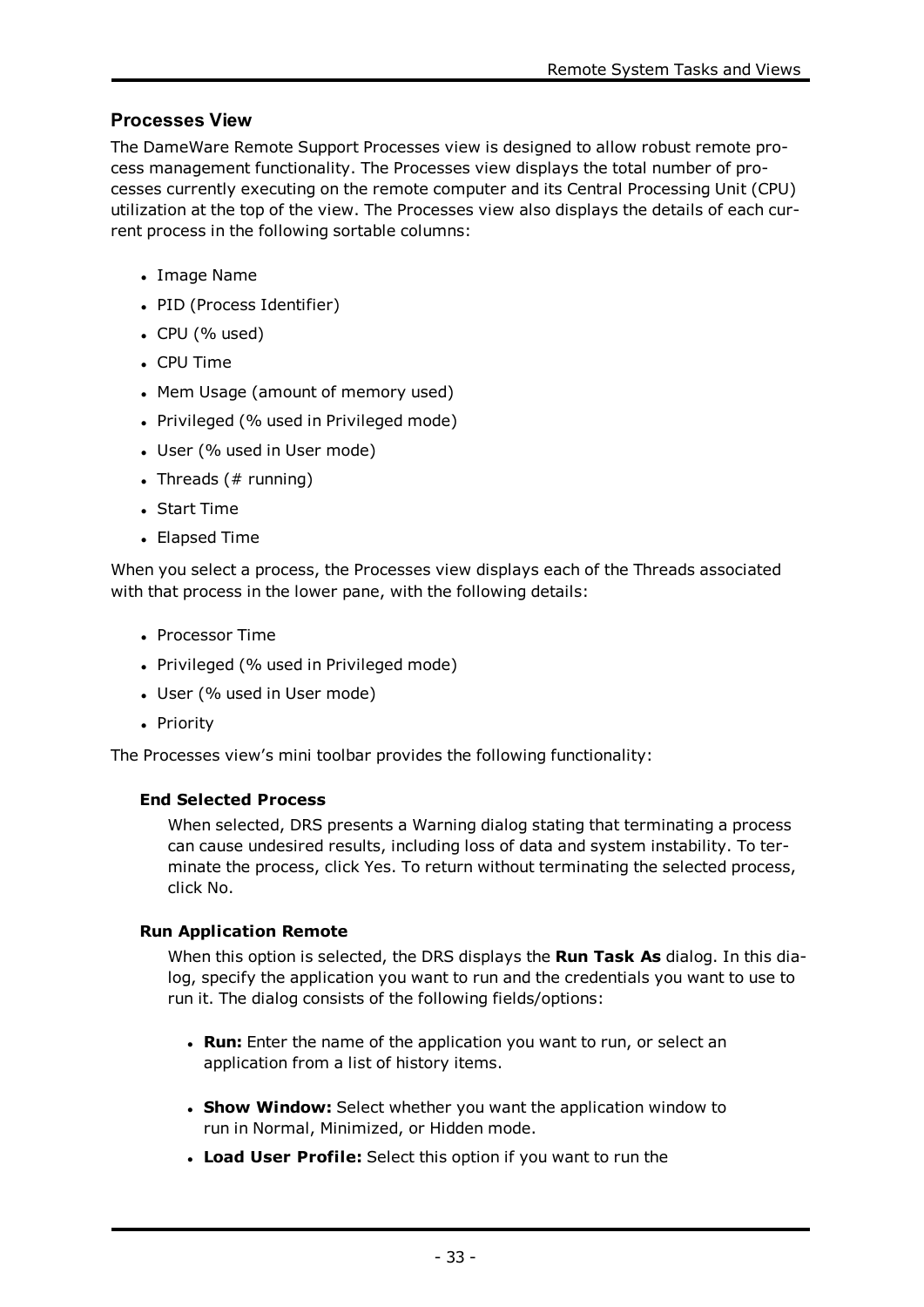# **Processes View**

The DameWare Remote Support Processes view is designed to allow robust remote process management functionality. The Processes view displays the total number of processes currently executing on the remote computer and its Central Processing Unit (CPU) utilization at the top of the view. The Processes view also displays the details of each current process in the following sortable columns:

- Image Name
- PID (Process Identifier)
- $\cdot$  CPU (% used)
- CPU Time
- Mem Usage (amount of memory used)
- Privileged (% used in Privileged mode)
- User (% used in User mode)
- Threads  $( # running)$
- Start Time
- Elapsed Time

When you select a process, the Processes view displays each of the Threads associated with that process in the lower pane, with the following details:

- Processor Time
- Privileged (% used in Privileged mode)
- User (% used in User mode)
- Priority

The Processes view's mini toolbar provides the following functionality:

# **End Selected Process**

When selected, DRS presents a Warning dialog stating that terminating a process can cause undesired results, including loss of data and system instability. To terminate the process, click Yes. To return without terminating the selected process, click No.

# **Run Application Remote**

When this option is selected, the DRS displays the **Run Task As** dialog. In this dialog, specify the application you want to run and the credentials you want to use to run it. The dialog consists of the following fields/options:

- **Run:** Enter the name of the application you want to run, or select an application from a list of history items.
- **. Show Window:** Select whether you want the application window to run in Normal, Minimized, or Hidden mode.
- <sup>l</sup> **Load User Profile:** Select this option if you want to run the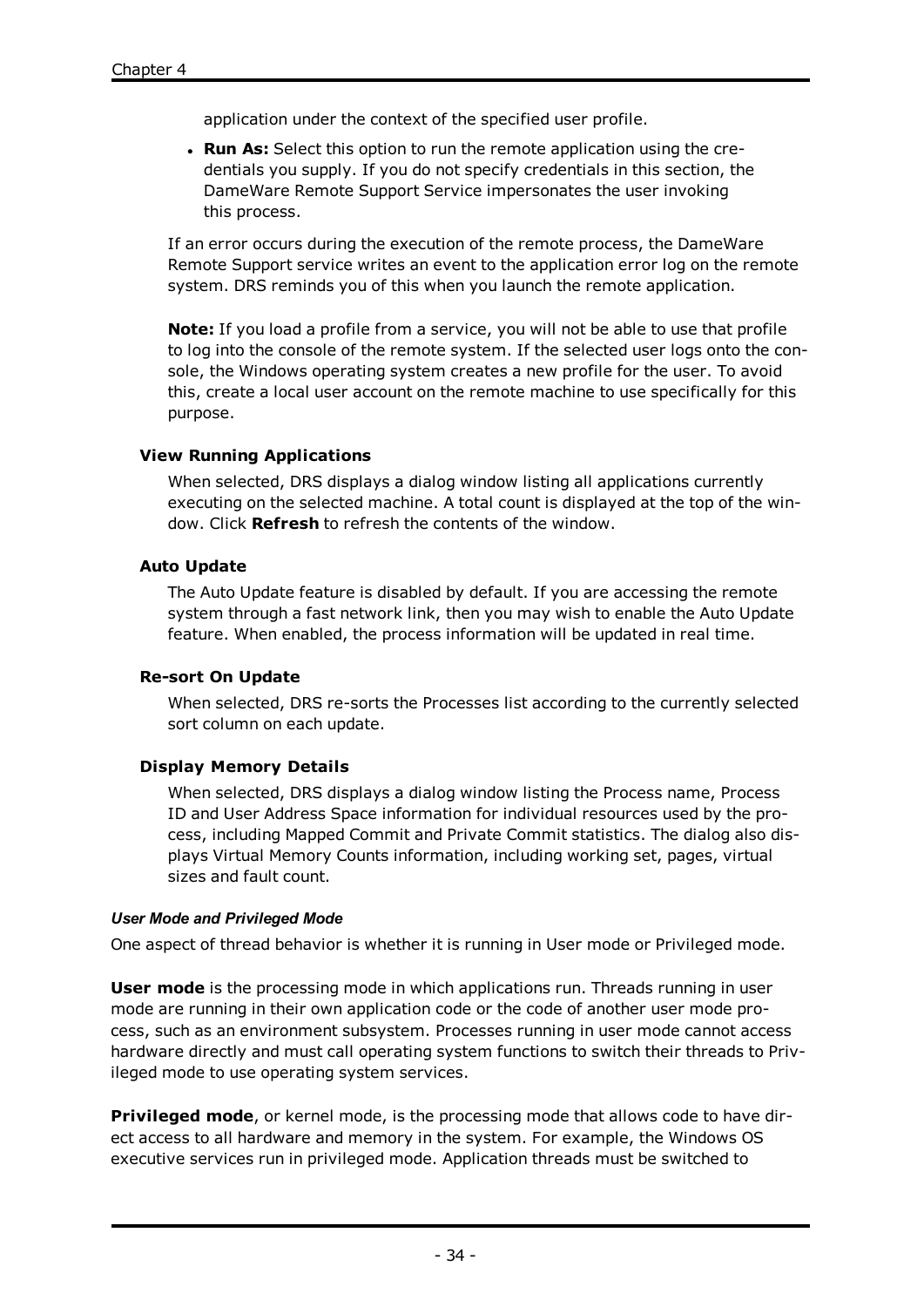application under the context of the specified user profile.

**Run As:** Select this option to run the remote application using the credentials you supply. If you do not specify credentials in this section, the DameWare Remote Support Service impersonates the user invoking this process.

If an error occurs during the execution of the remote process, the DameWare Remote Support service writes an event to the application error log on the remote system. DRS reminds you of this when you launch the remote application.

**Note:** If you load a profile from a service, you will not be able to use that profile to log into the console of the remote system. If the selected user logs onto the console, the Windows operating system creates a new profile for the user. To avoid this, create a local user account on the remote machine to use specifically for this purpose.

### **View Running Applications**

When selected, DRS displays a dialog window listing all applications currently executing on the selected machine. A total count is displayed at the top of the window. Click **Refresh** to refresh the contents of the window.

### **Auto Update**

The Auto Update feature is disabled by default. If you are accessing the remote system through a fast network link, then you may wish to enable the Auto Update feature. When enabled, the process information will be updated in real time.

### **Re-sort On Update**

When selected, DRS re-sorts the Processes list according to the currently selected sort column on each update.

# **Display Memory Details**

When selected, DRS displays a dialog window listing the Process name, Process ID and User Address Space information for individual resources used by the process, including Mapped Commit and Private Commit statistics. The dialog also displays Virtual Memory Counts information, including working set, pages, virtual sizes and fault count.

### *User Mode and Privileged Mode*

One aspect of thread behavior is whether it is running in User mode or Privileged mode.

**User mode** is the processing mode in which applications run. Threads running in user mode are running in their own application code or the code of another user mode process, such as an environment subsystem. Processes running in user mode cannot access hardware directly and must call operating system functions to switch their threads to Privileged mode to use operating system services.

**Privileged mode**, or kernel mode, is the processing mode that allows code to have direct access to all hardware and memory in the system. For example, the Windows OS executive services run in privileged mode. Application threads must be switched to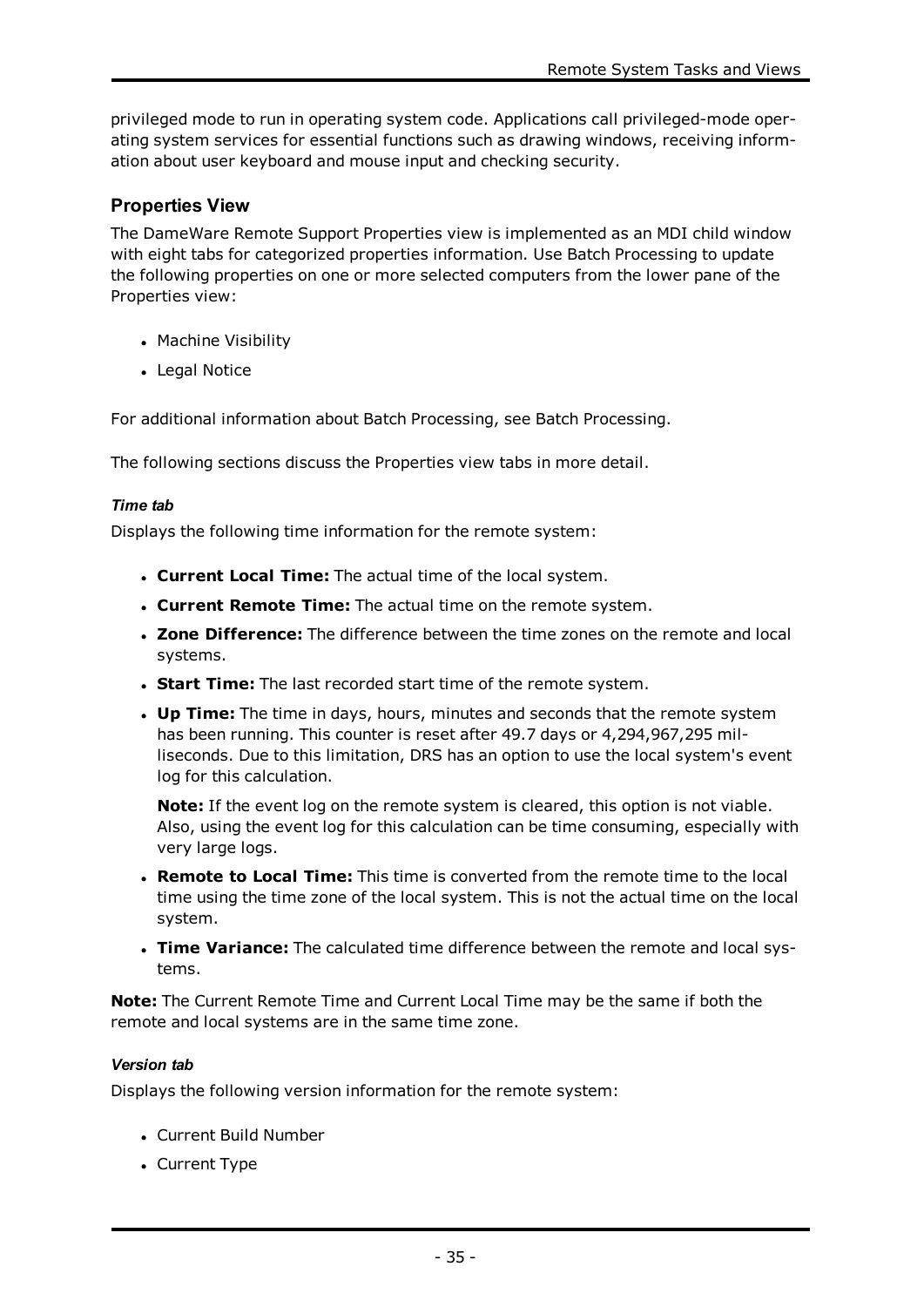privileged mode to run in operating system code. Applications call privileged-mode operating system services for essential functions such as drawing windows, receiving information about user keyboard and mouse input and checking security.

# **Properties View**

The DameWare Remote Support Properties view is implemented as an MDI child window with eight tabs for categorized properties information. Use Batch Processing to update the following properties on one or more selected computers from the lower pane of the Properties view:

- Machine Visibility
- Legal Notice

For additional information about Batch Processing, see Batch [Processing](#page-23-0).

The following sections discuss the Properties view tabs in more detail.

### *Time tab*

Displays the following time information for the remote system:

- <sup>l</sup> **Current Local Time:** The actual time of the local system.
- <sup>l</sup> **Current Remote Time:** The actual time on the remote system.
- <sup>l</sup> **Zone Difference:** The difference between the time zones on the remote and local systems.
- **. Start Time:** The last recorded start time of the remote system.
- **. Up Time:** The time in days, hours, minutes and seconds that the remote system has been running. This counter is reset after 49.7 days or 4,294,967,295 milliseconds. Due to this limitation, DRS has an option to use the local system's event log for this calculation.

**Note:** If the event log on the remote system is cleared, this option is not viable. Also, using the event log for this calculation can be time consuming, especially with very large logs.

- <sup>l</sup> **Remote to Local Time:** This time is converted from the remote time to the local time using the time zone of the local system. This is not the actual time on the local system.
- **Time Variance:** The calculated time difference between the remote and local systems.

**Note:** The Current Remote Time and Current Local Time may be the same if both the remote and local systems are in the same time zone.

### *Version tab*

Displays the following version information for the remote system:

- Current Build Number
- Current Type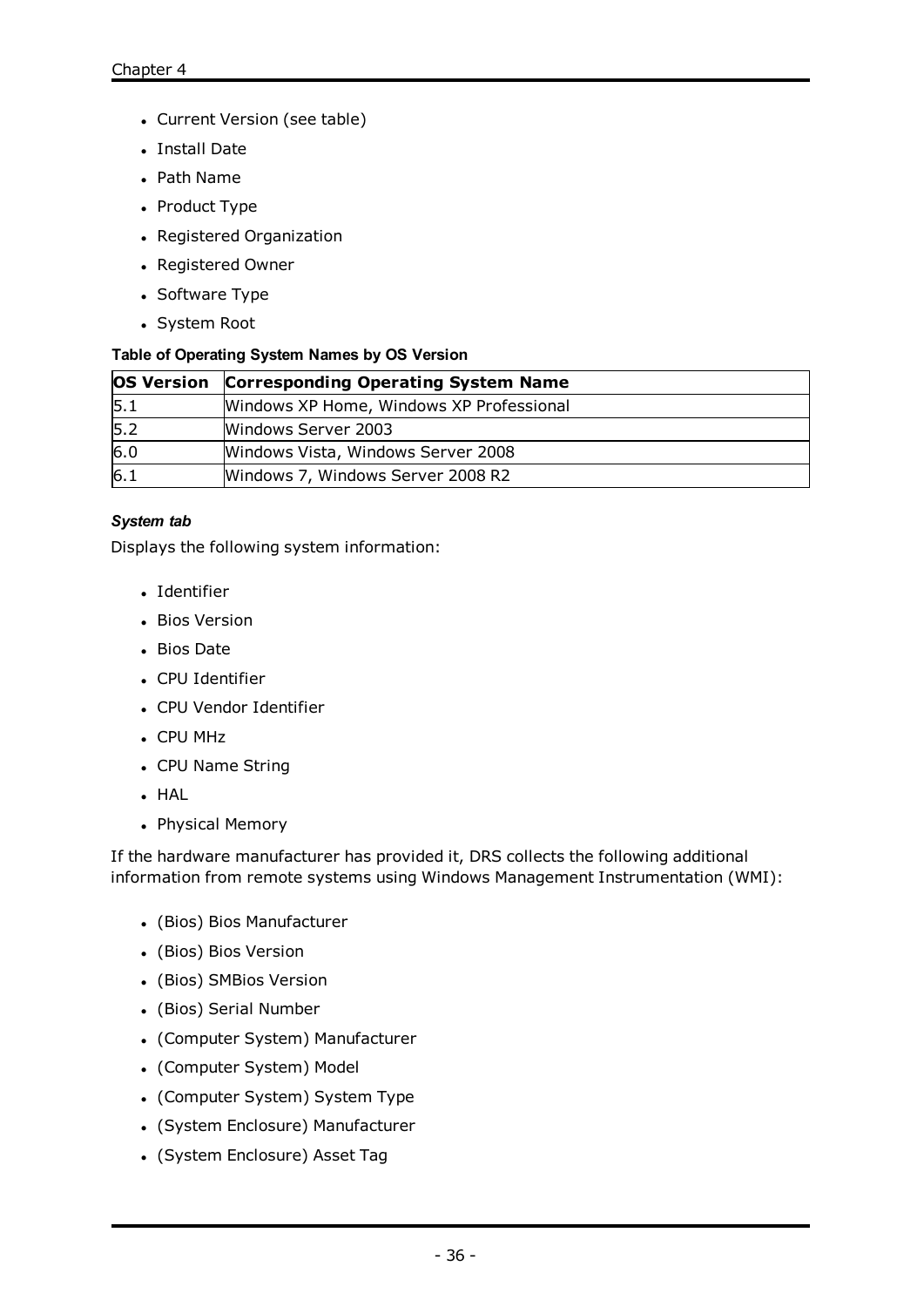- Current Version (see table)
- Install Date
- Path Name
- Product Type
- Registered Organization
- Registered Owner
- Software Type
- System Root

### **Table of Operating System Names by OS Version**

|     | <b>OS Version Corresponding Operating System Name</b> |  |
|-----|-------------------------------------------------------|--|
| 5.1 | Windows XP Home, Windows XP Professional              |  |
| 5.2 | Windows Server 2003                                   |  |
| 6.0 | Windows Vista, Windows Server 2008                    |  |
| 6.1 | Windows 7, Windows Server 2008 R2                     |  |

### *System tab*

Displays the following system information:

- Identifier
- Bios Version
- Bios Date
- CPU Identifier
- CPU Vendor Identifier
- CPU MHz
- CPU Name String
- $-HAL$
- Physical Memory

If the hardware manufacturer has provided it, DRS collects the following additional information from remote systems using Windows Management Instrumentation (WMI):

- (Bios) Bios Manufacturer
- (Bios) Bios Version
- (Bios) SMBios Version
- (Bios) Serial Number
- (Computer System) Manufacturer
- (Computer System) Model
- (Computer System) System Type
- (System Enclosure) Manufacturer
- (System Enclosure) Asset Tag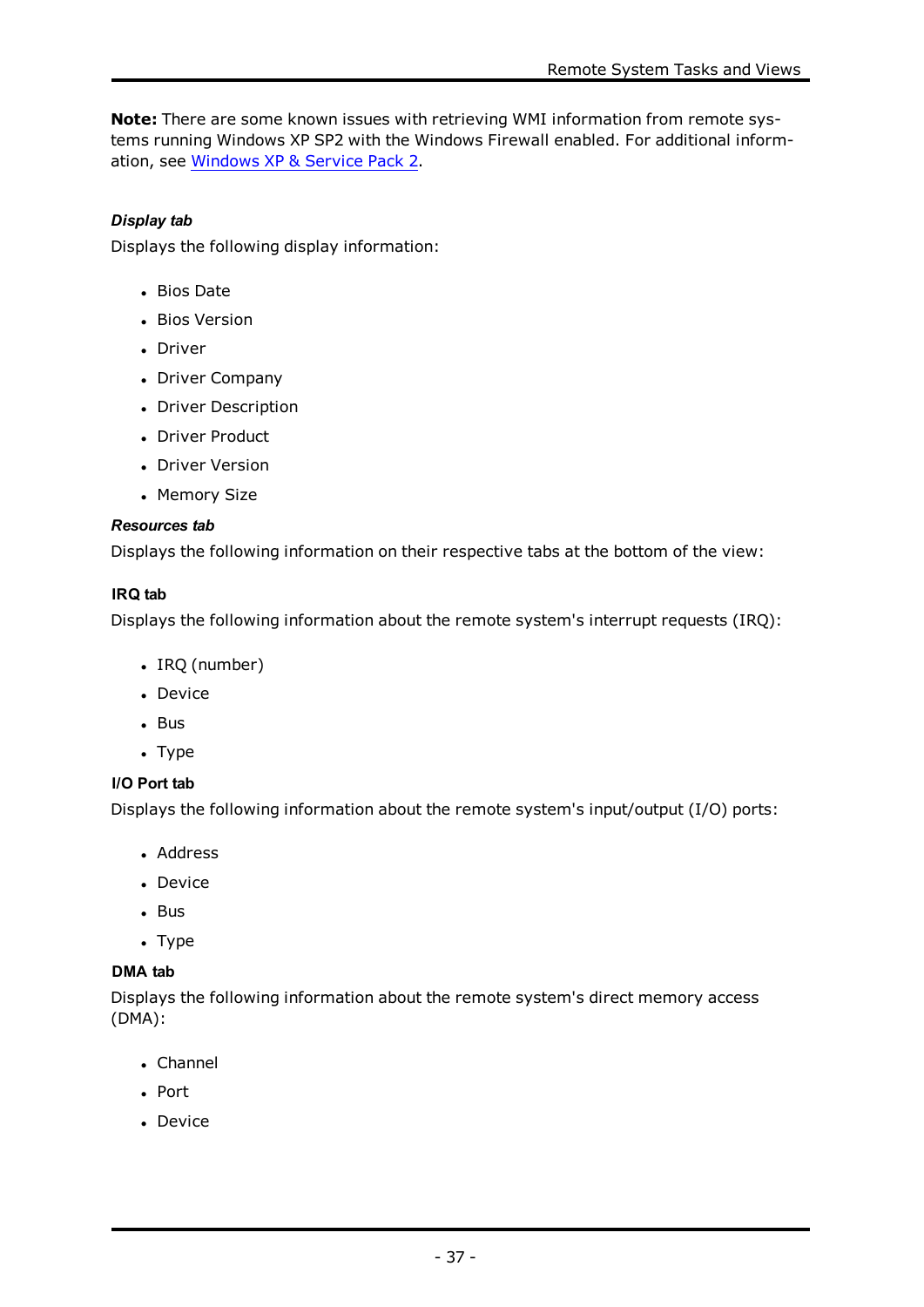**Note:** There are some known issues with retrieving WMI information from remote systems running Windows XP SP2 with the Windows Firewall enabled. For additional information, see [Windows](#page-76-0) XP & Service Pack 2.

# *Display tab*

Displays the following display information:

- Bios Date
- Bios Version
- Driver
- Driver Company
- Driver Description
- Driver Product
- Driver Version
- Memory Size

### *Resources tab*

Displays the following information on their respective tabs at the bottom of the view:

# **IRQ tab**

Displays the following information about the remote system's interrupt requests (IRQ):

- $\cdot$  IRQ (number)
- Device
- $\cdot$  Bus
- $\cdot$  Type

# **I/O Port tab**

Displays the following information about the remote system's input/output (I/O) ports:

- Address
- Device
- $-Bus$
- $\cdot$  Type

# **DMA tab**

Displays the following information about the remote system's direct memory access (DMA):

- Channel
- Port
- . Device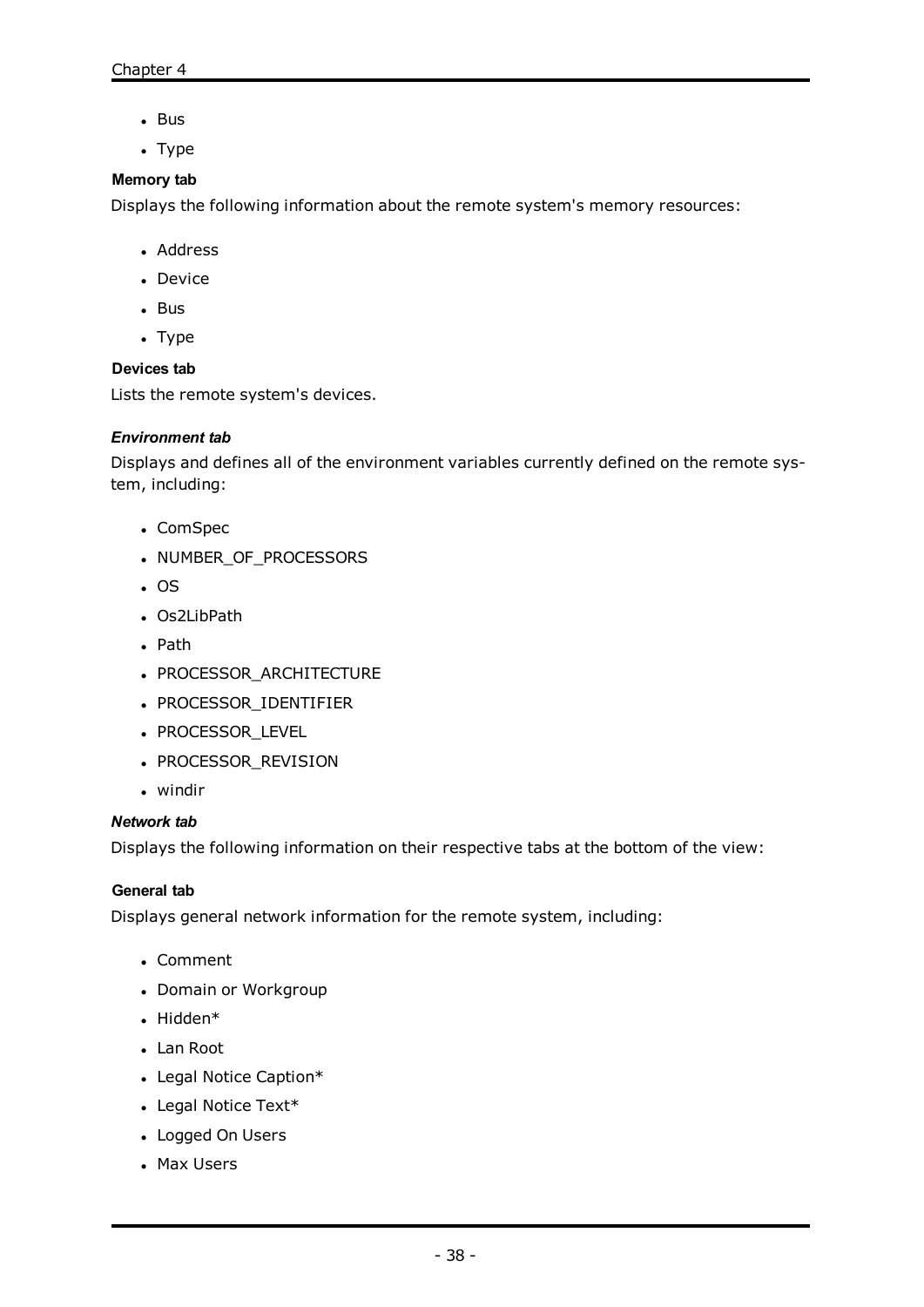- $-Bus$
- $\cdot$  Type

### **Memory tab**

Displays the following information about the remote system's memory resources:

- Address
- Device
- $-Bus$
- $\cdot$  Type

### **Devices tab**

Lists the remote system's devices.

### *Environment tab*

Displays and defines all of the environment variables currently defined on the remote system, including:

- ComSpec
- NUMBER\_OF\_PROCESSORS
- $\cdot$  OS
- Os2LibPath
- Path
- PROCESSOR\_ARCHITECTURE
- PROCESSOR\_IDENTIFIER
- PROCESSOR\_LEVEL
- PROCESSOR\_REVISION
- $\bullet$  windir

### *Network tab*

Displays the following information on their respective tabs at the bottom of the view:

### **General tab**

Displays general network information for the remote system, including:

- Comment
- Domain or Workgroup
- $\bullet$  Hidden\*
- Lan Root
- Legal Notice Caption\*
- $\cdot$  Legal Notice Text\*
- Logged On Users
- Max Users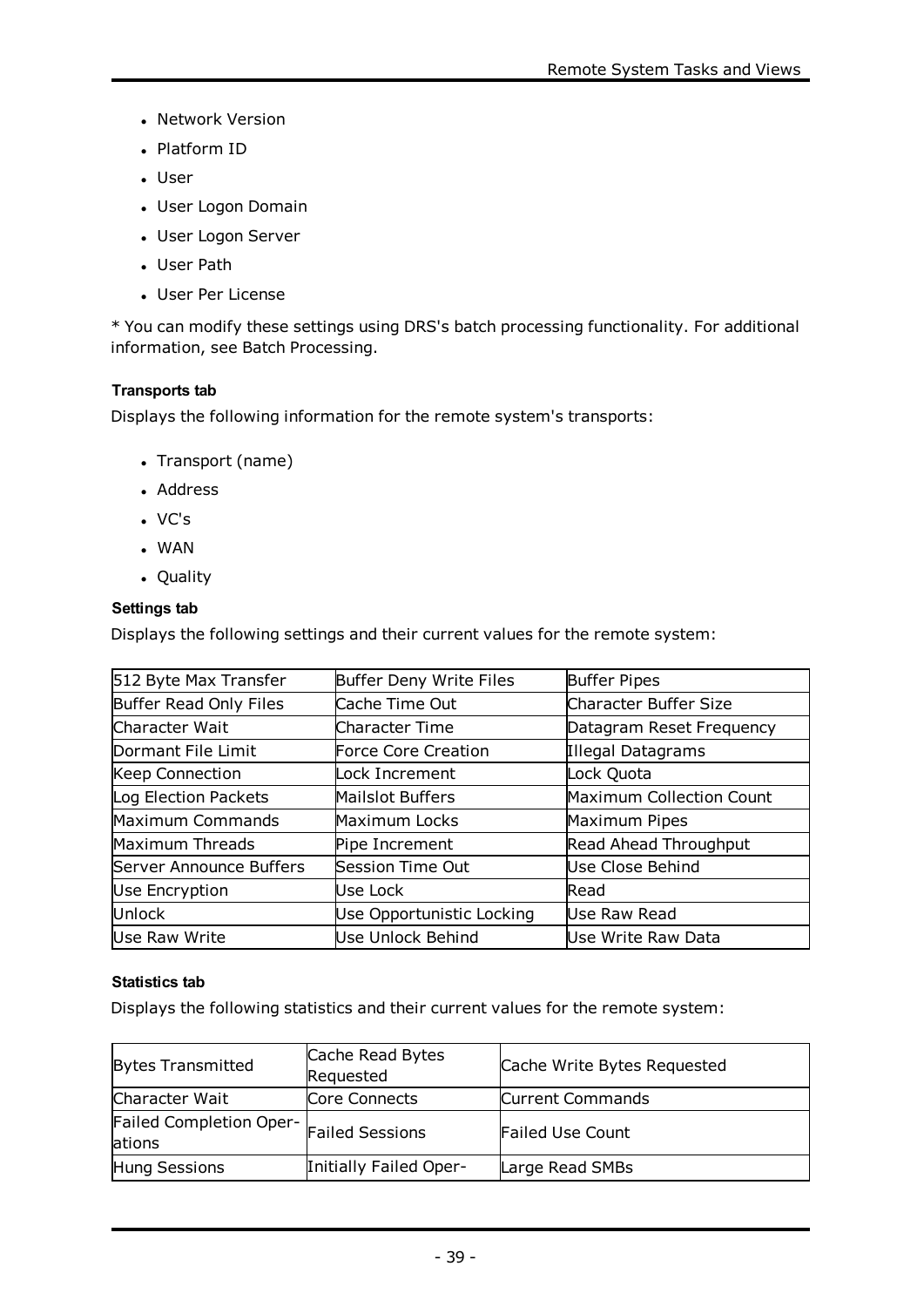- Network Version
- Platform ID
- User
- User Logon Domain
- User Logon Server
- User Path
- User Per License

\* You can modify these settings using DRS's batch processing functionality. For additional information, see Batch [Processing](#page-23-0).

# **Transports tab**

Displays the following information for the remote system's transports:

- Transport (name)
- Address
- $\cdot$  VC's
- $\cdot$  WAN
- Quality

### **Settings tab**

Displays the following settings and their current values for the remote system:

| Buffer Deny Write Files   | Buffer Pipes             |
|---------------------------|--------------------------|
| Cache Time Out            | Character Buffer Size    |
| Character Time            | Datagram Reset Frequency |
| Force Core Creation       | Illegal Datagrams        |
| Lock Increment            | Lock Quota               |
| Mailslot Buffers          | Maximum Collection Count |
| Maximum Locks             | Maximum Pipes            |
| Pipe Increment            | Read Ahead Throughput    |
| Session Time Out          | Use Close Behind         |
| Use Lock                  | <b>Read</b>              |
| Use Opportunistic Locking | Use Raw Read             |
| Use Unlock Behind         | Use Write Raw Data       |
|                           |                          |

# **Statistics tab**

Displays the following statistics and their current values for the remote system:

| <b>Bytes Transmitted</b>                                  | Cache Read Bytes<br>Requested | Cache Write Bytes Requested |
|-----------------------------------------------------------|-------------------------------|-----------------------------|
| Character Wait                                            | Core Connects                 | Current Commands            |
| Failed Completion Oper- Failed Sessions<br><b>lations</b> |                               | <b>Failed Use Count</b>     |
| Hung Sessions                                             | Initially Failed Oper-        | Large Read SMBs             |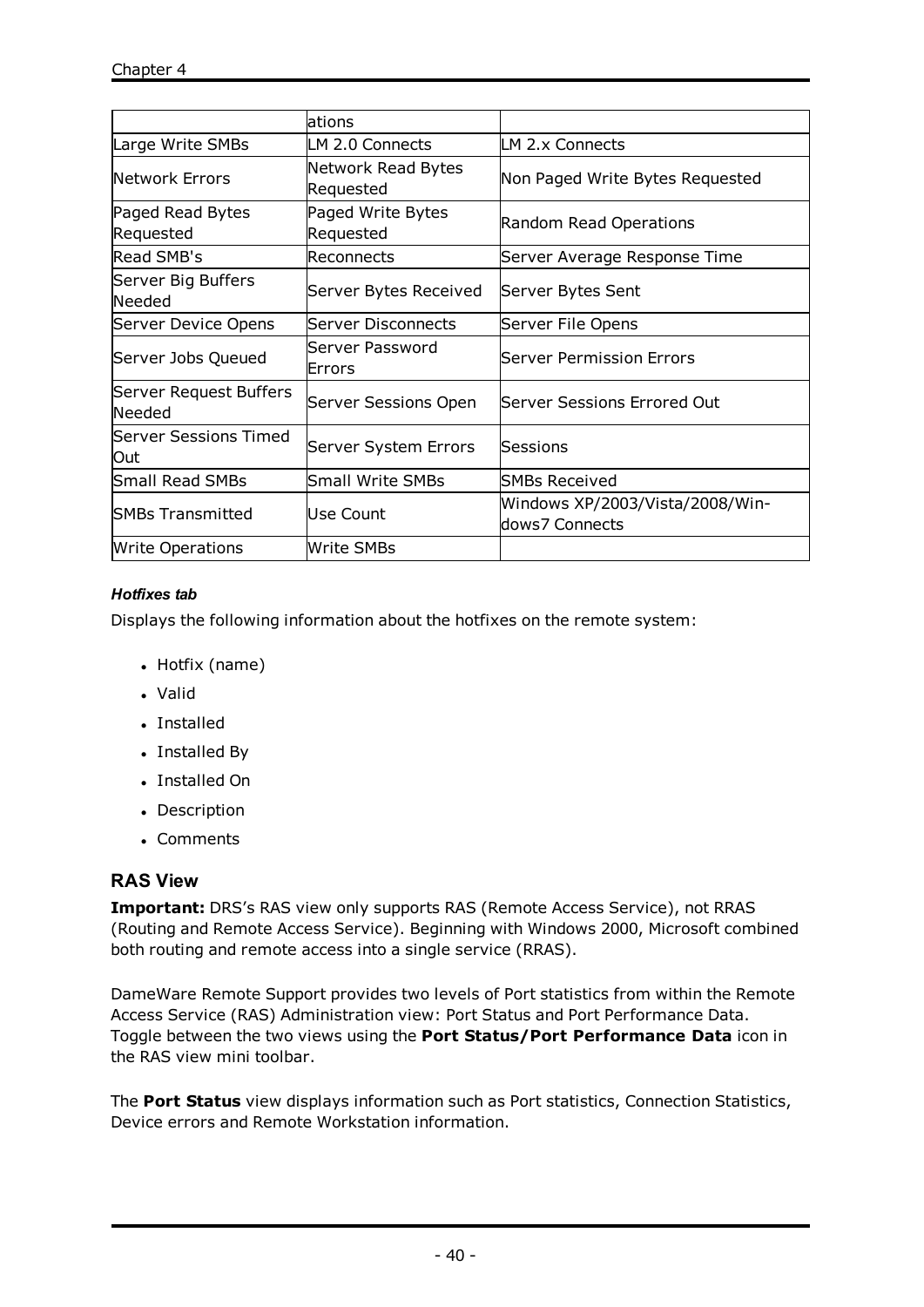|                                  | lations                         |                                                   |
|----------------------------------|---------------------------------|---------------------------------------------------|
| Large Write SMBs                 | LM 2.0 Connects                 | LM 2.x Connects                                   |
| <b>Network Errors</b>            | Network Read Bytes<br>Requested | Non Paged Write Bytes Requested                   |
| Paged Read Bytes<br>Requested    | Paged Write Bytes<br>Requested  | Random Read Operations                            |
| <b>Read SMB's</b>                | Reconnects                      | Server Average Response Time                      |
| Server Big Buffers<br>Needed     | Server Bytes Received           | Server Bytes Sent                                 |
| Server Device Opens              | Server Disconnects              | Server File Opens                                 |
| Server Jobs Queued               | Server Password<br>Errors       | Server Permission Errors                          |
| Server Request Buffers<br>Needed | Server Sessions Open            | lServer Sessions Errored Out                      |
| Server Sessions Timed<br>Out     | Server System Errors            | Sessions                                          |
| <b>Small Read SMBs</b>           | <b>Small Write SMBs</b>         | <b>SMBs Received</b>                              |
| <b>ISMBs Transmitted</b>         | Use Count                       | Windows XP/2003/Vista/2008/Win-<br>dows7 Connects |
| <b>Write Operations</b>          | Write SMBs                      |                                                   |

# *Hotfixes tab*

Displays the following information about the hotfixes on the remote system:

- $\bullet$  Hotfix (name)
- . Valid
- Installed
- Installed By
- Installed On
- Description
- Comments

# **RAS View**

**Important:** DRS's RAS view only supports RAS (Remote Access Service), not RRAS (Routing and Remote Access Service). Beginning with Windows 2000, Microsoft combined both routing and remote access into a single service (RRAS).

DameWare Remote Support provides two levels of Port statistics from within the Remote Access Service (RAS) Administration view: Port Status and Port Performance Data. Toggle between the two views using the **Port Status/Port Performance Data** icon in the RAS view mini toolbar.

The **Port Status** view displays information such as Port statistics, Connection Statistics, Device errors and Remote Workstation information.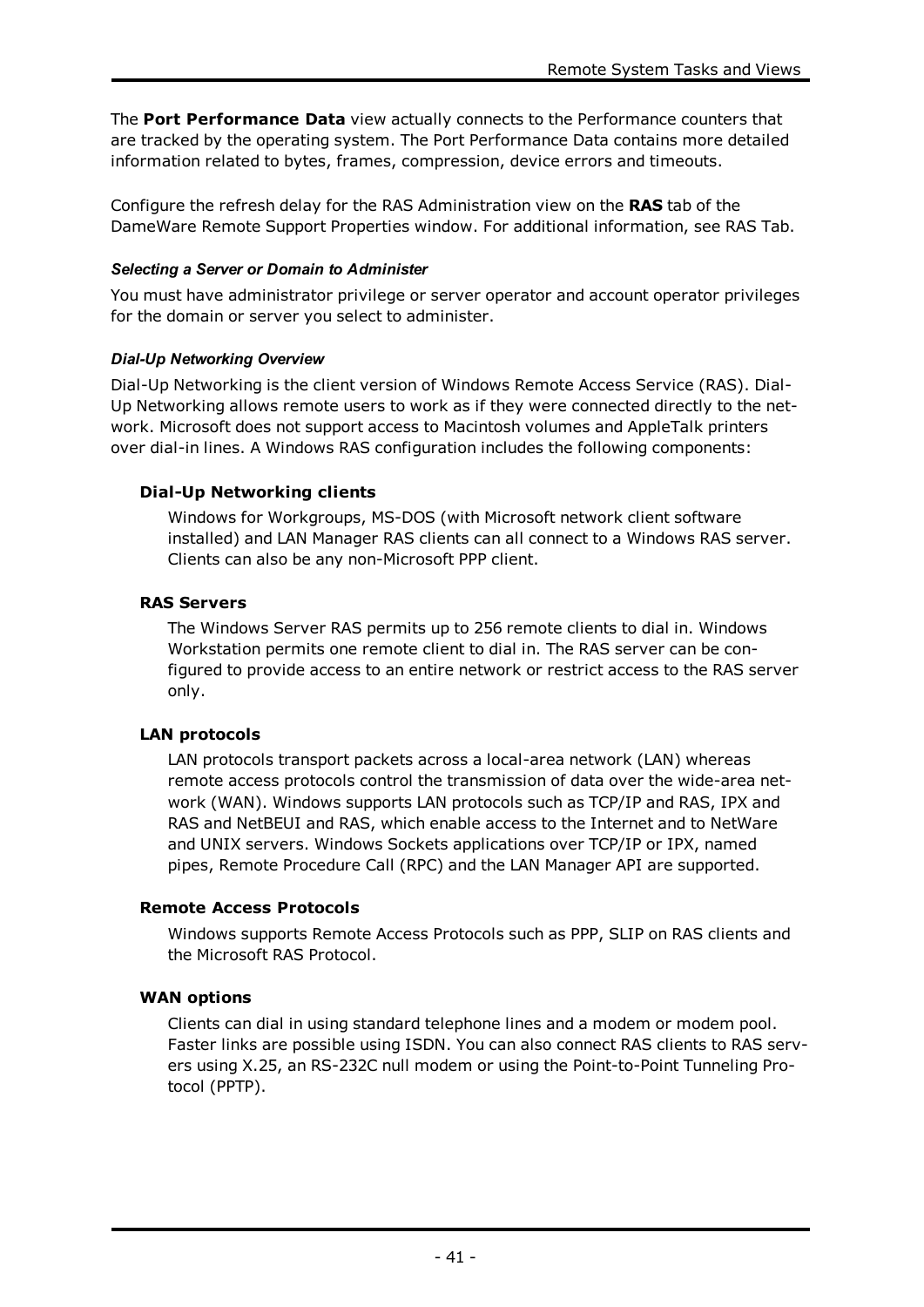The **Port Performance Data** view actually connects to the Performance counters that are tracked by the operating system. The Port Performance Data contains more detailed information related to bytes, frames, compression, device errors and timeouts.

Configure the refresh delay for the RAS Administration view on the **RAS** tab of the DameWare Remote Support Properties window. For additional information, see [RAS](#page-74-0) Tab.

# *Selecting a Server or Domain to Administer*

You must have administrator privilege or server operator and account operator privileges for the domain or server you select to administer.

### *Dial-Up Networking Overview*

Dial-Up Networking is the client version of Windows Remote Access Service (RAS). Dial-Up Networking allows remote users to work as if they were connected directly to the network. Microsoft does not support access to Macintosh volumes and AppleTalk printers over dial-in lines. A Windows RAS configuration includes the following components:

# **Dial-Up Networking clients**

Windows for Workgroups, MS-DOS (with Microsoft network client software installed) and LAN Manager RAS clients can all connect to a Windows RAS server. Clients can also be any non-Microsoft PPP client.

### **RAS Servers**

The Windows Server RAS permits up to 256 remote clients to dial in. Windows Workstation permits one remote client to dial in. The RAS server can be configured to provide access to an entire network or restrict access to the RAS server only.

# **LAN protocols**

LAN protocols transport packets across a local-area network (LAN) whereas remote access protocols control the transmission of data over the wide-area network (WAN). Windows supports LAN protocols such as TCP/IP and RAS, IPX and RAS and NetBEUI and RAS, which enable access to the Internet and to NetWare and UNIX servers. Windows Sockets applications over TCP/IP or IPX, named pipes, Remote Procedure Call (RPC) and the LAN Manager API are supported.

# **Remote Access Protocols**

Windows supports Remote Access Protocols such as PPP, SLIP on RAS clients and the Microsoft RAS Protocol.

# **WAN options**

Clients can dial in using standard telephone lines and a modem or modem pool. Faster links are possible using ISDN. You can also connect RAS clients to RAS servers using X.25, an RS-232C null modem or using the Point-to-Point Tunneling Protocol (PPTP).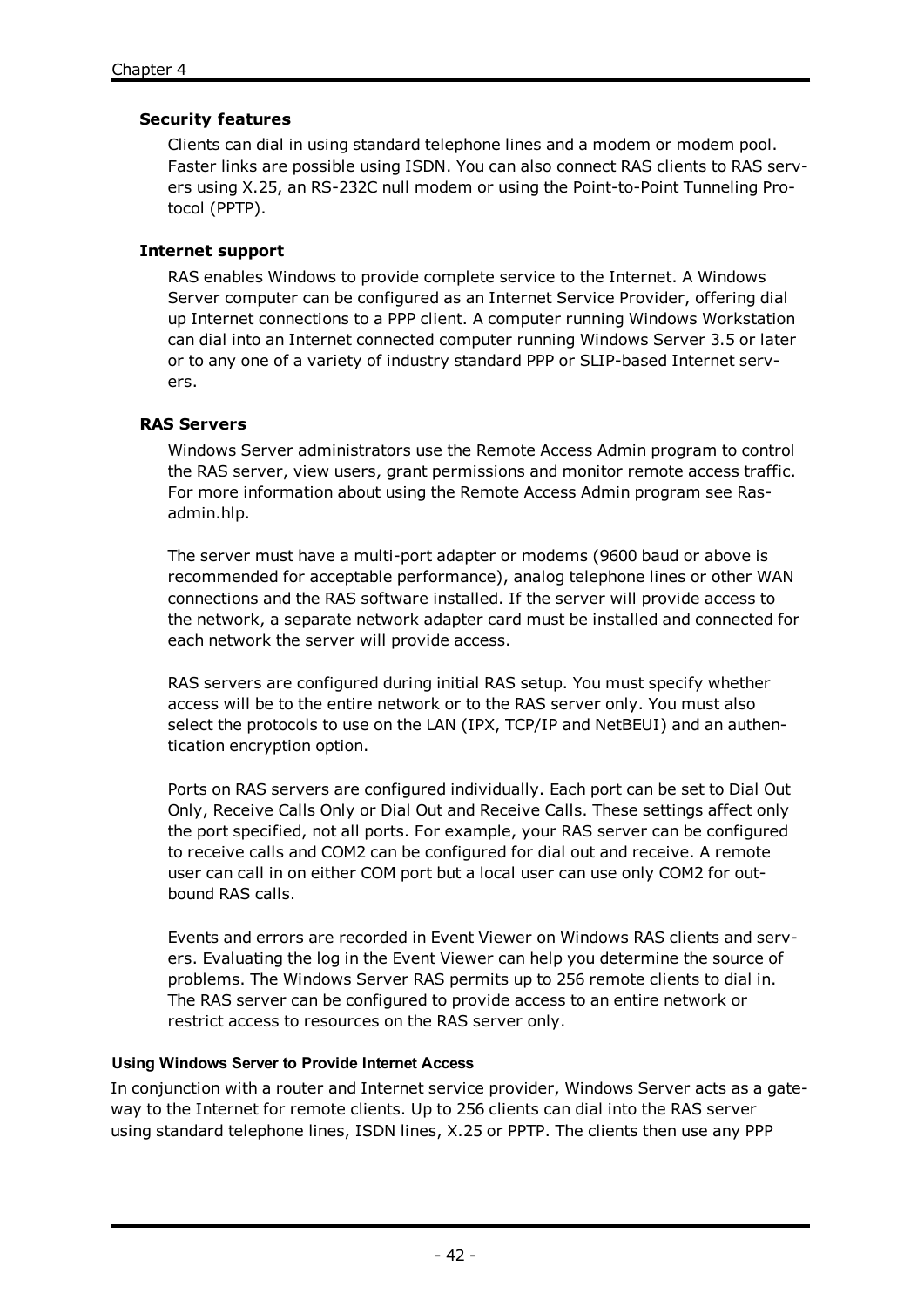### **Security features**

Clients can dial in using standard telephone lines and a modem or modem pool. Faster links are possible using ISDN. You can also connect RAS clients to RAS servers using X.25, an RS-232C null modem or using the Point-to-Point Tunneling Protocol (PPTP).

### **Internet support**

RAS enables Windows to provide complete service to the Internet. A Windows Server computer can be configured as an Internet Service Provider, offering dial up Internet connections to a PPP client. A computer running Windows Workstation can dial into an Internet connected computer running Windows Server 3.5 or later or to any one of a variety of industry standard PPP or SLIP-based Internet servers.

### **RAS Servers**

Windows Server administrators use the Remote Access Admin program to control the RAS server, view users, grant permissions and monitor remote access traffic. For more information about using the Remote Access Admin program see Rasadmin.hlp.

The server must have a multi-port adapter or modems (9600 baud or above is recommended for acceptable performance), analog telephone lines or other WAN connections and the RAS software installed. If the server will provide access to the network, a separate network adapter card must be installed and connected for each network the server will provide access.

RAS servers are configured during initial RAS setup. You must specify whether access will be to the entire network or to the RAS server only. You must also select the protocols to use on the LAN (IPX, TCP/IP and NetBEUI) and an authentication encryption option.

Ports on RAS servers are configured individually. Each port can be set to Dial Out Only, Receive Calls Only or Dial Out and Receive Calls. These settings affect only the port specified, not all ports. For example, your RAS server can be configured to receive calls and COM2 can be configured for dial out and receive. A remote user can call in on either COM port but a local user can use only COM2 for outbound RAS calls.

Events and errors are recorded in Event Viewer on Windows RAS clients and servers. Evaluating the log in the Event Viewer can help you determine the source of problems. The Windows Server RAS permits up to 256 remote clients to dial in. The RAS server can be configured to provide access to an entire network or restrict access to resources on the RAS server only.

### **Using Windows Server to Provide Internet Access**

In conjunction with a router and Internet service provider, Windows Server acts as a gateway to the Internet for remote clients. Up to 256 clients can dial into the RAS server using standard telephone lines, ISDN lines, X.25 or PPTP. The clients then use any PPP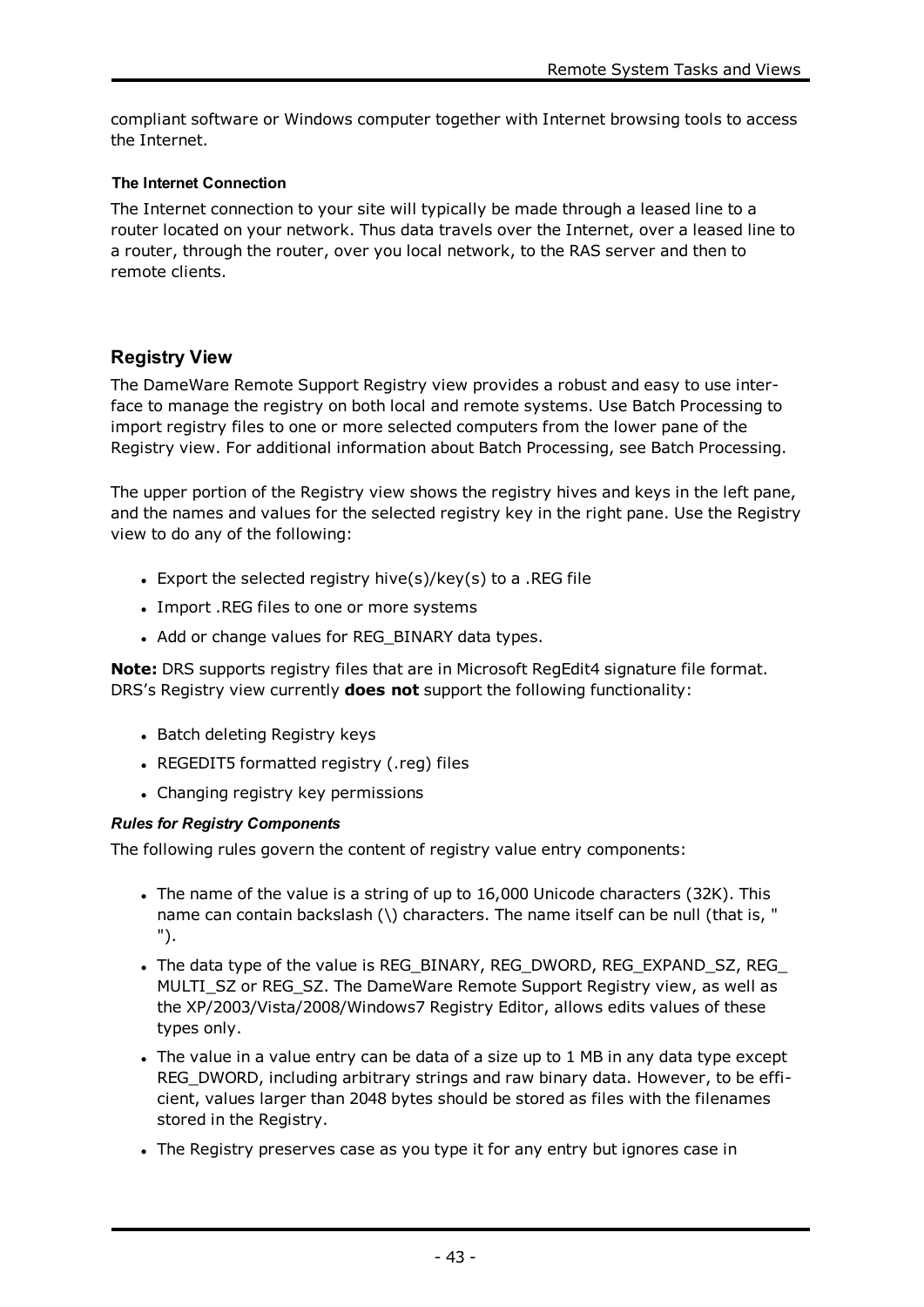compliant software or Windows computer together with Internet browsing tools to access the Internet.

### **The Internet Connection**

The Internet connection to your site will typically be made through a leased line to a router located on your network. Thus data travels over the Internet, over a leased line to a router, through the router, over you local network, to the RAS server and then to remote clients.

# **Registry View**

The DameWare Remote Support Registry view provides a robust and easy to use interface to manage the registry on both local and remote systems. Use Batch Processing to import registry files to one or more selected computers from the lower pane of the Registry view. For additional information about Batch Processing, see Batch [Processing](#page-23-0).

The upper portion of the Registry view shows the registry hives and keys in the left pane, and the names and values for the selected registry key in the right pane. Use the Registry view to do any of the following:

- Export the selected registry hive(s)/key(s) to a .REG file
- Import .REG files to one or more systems
- Add or change values for REG\_BINARY data types.

**Note:** DRS supports registry files that are in Microsoft RegEdit4 signature file format. DRS's Registry view currently **does not** support the following functionality:

- Batch deleting Registry keys
- REGEDIT5 formatted registry (.reg) files
- Changing registry key permissions

### *Rules for Registry Components*

The following rules govern the content of registry value entry components:

- The name of the value is a string of up to 16,000 Unicode characters (32K). This name can contain backslash (\) characters. The name itself can be null (that is, " ").
- The data type of the value is REG\_BINARY, REG\_DWORD, REG\_EXPAND\_SZ, REG MULTI\_SZ or REG\_SZ. The DameWare Remote Support Registry view, as well as the XP/2003/Vista/2008/Windows7 Registry Editor, allows edits values of these types only.
- The value in a value entry can be data of a size up to 1 MB in any data type except REG\_DWORD, including arbitrary strings and raw binary data. However, to be efficient, values larger than 2048 bytes should be stored as files with the filenames stored in the Registry.
- The Registry preserves case as you type it for any entry but ignores case in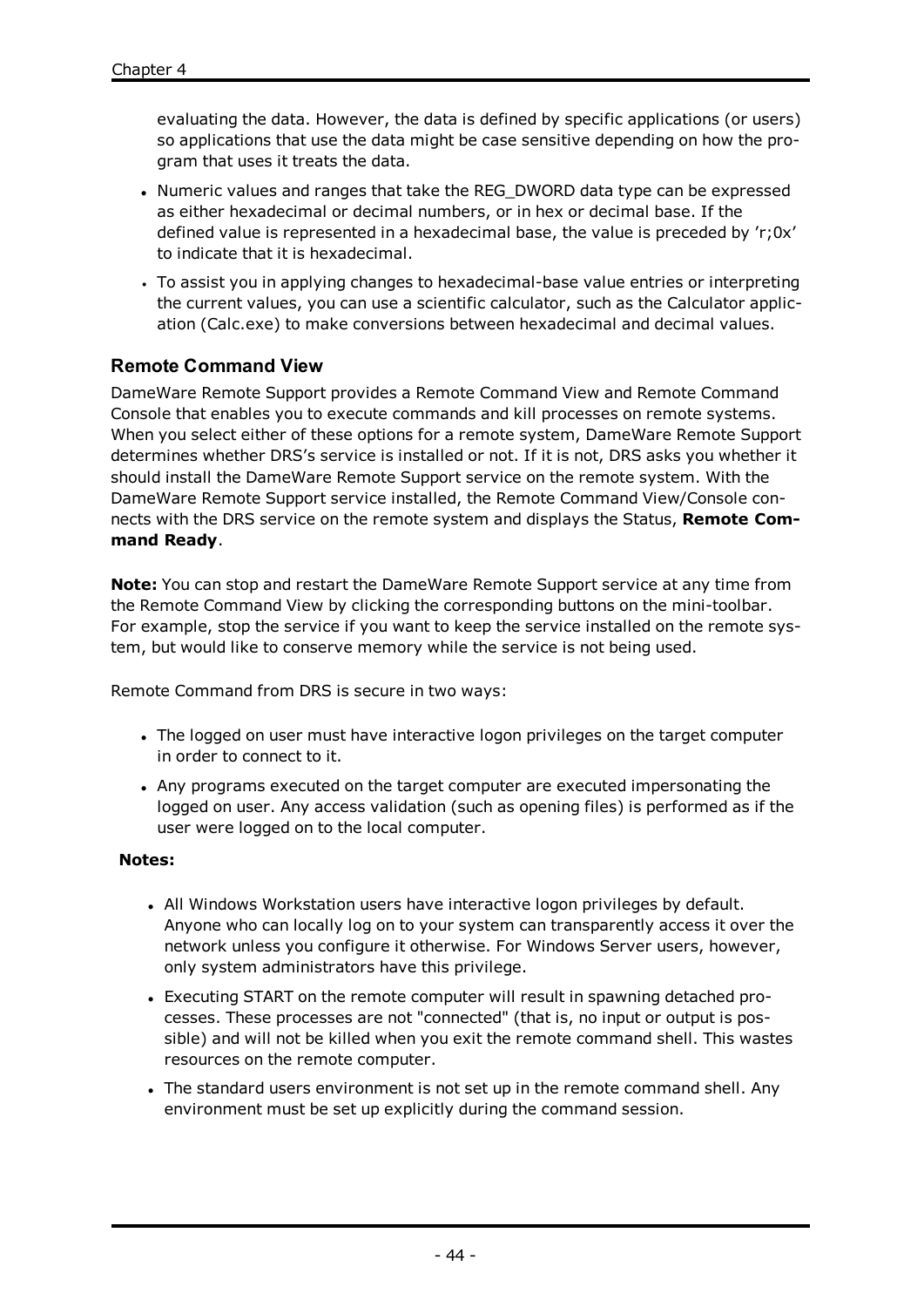evaluating the data. However, the data is defined by specific applications (or users) so applications that use the data might be case sensitive depending on how the program that uses it treats the data.

- Numeric values and ranges that take the REG\_DWORD data type can be expressed as either hexadecimal or decimal numbers, or in hex or decimal base. If the defined value is represented in a hexadecimal base, the value is preceded by 'r;0x' to indicate that it is hexadecimal.
- To assist you in applying changes to hexadecimal-base value entries or interpreting the current values, you can use a scientific calculator, such as the Calculator application (Calc.exe) to make conversions between hexadecimal and decimal values.

# **Remote Command View**

DameWare Remote Support provides a Remote Command View and Remote Command Console that enables you to execute commands and kill processes on remote systems. When you select either of these options for a remote system, DameWare Remote Support determines whether DRS's service is installed or not. If it is not, DRS asks you whether it should install the DameWare Remote Support service on the remote system. With the DameWare Remote Support service installed, the Remote Command View/Console connects with the DRS service on the remote system and displays the Status, **Remote Command Ready**.

**Note:** You can stop and restart the DameWare Remote Support service at any time from the Remote Command View by clicking the corresponding buttons on the mini-toolbar. For example, stop the service if you want to keep the service installed on the remote system, but would like to conserve memory while the service is not being used.

Remote Command from DRS is secure in two ways:

- The logged on user must have interactive logon privileges on the target computer in order to connect to it.
- Any programs executed on the target computer are executed impersonating the logged on user. Any access validation (such as opening files) is performed as if the user were logged on to the local computer.

#### **Notes:**

- All Windows Workstation users have interactive logon privileges by default. Anyone who can locally log on to your system can transparently access it over the network unless you configure it otherwise. For Windows Server users, however, only system administrators have this privilege.
- Executing START on the remote computer will result in spawning detached processes. These processes are not "connected" (that is, no input or output is possible) and will not be killed when you exit the remote command shell. This wastes resources on the remote computer.
- The standard users environment is not set up in the remote command shell. Any environment must be set up explicitly during the command session.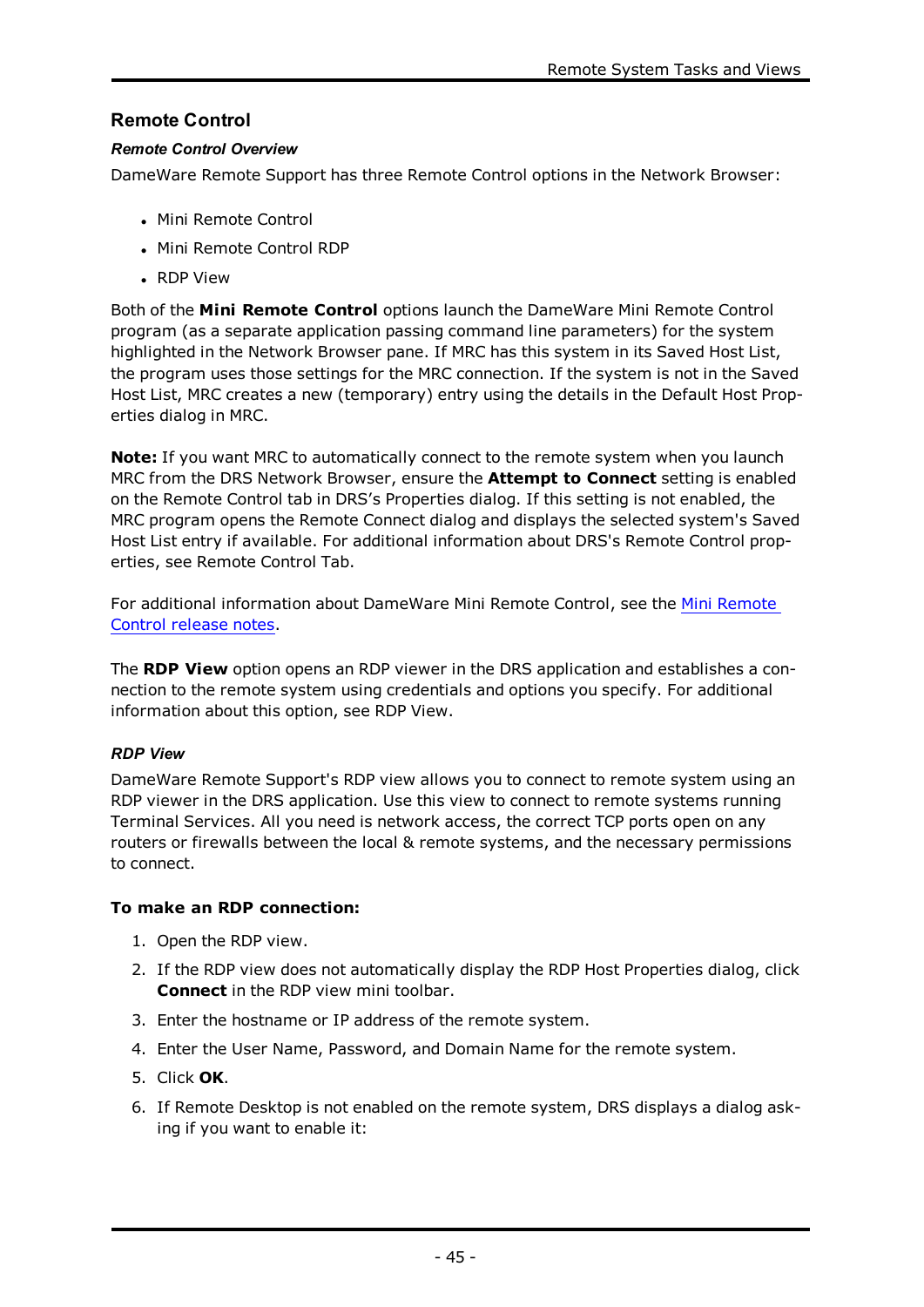# **Remote Control**

### *Remote Control Overview*

DameWare Remote Support has three Remote Control options in the Network Browser:

- Mini Remote Control
- Mini Remote Control RDP
- RDP View

Both of the **Mini Remote Control** options launch the DameWare Mini Remote Control program (as a separate application passing command line parameters) for the system highlighted in the Network Browser pane. If MRC has this system in its Saved Host List, the program uses those settings for the MRC connection. If the system is not in the Saved Host List, MRC creates a new (temporary) entry using the details in the Default Host Properties dialog in MRC.

**Note:** If you want MRC to automatically connect to the remote system when you launch MRC from the DRS Network Browser, ensure the **Attempt to Connect** setting is enabled on the Remote Control tab in DRS's Properties dialog. If this setting is not enabled, the MRC program opens the Remote Connect dialog and displays the selected system's Saved Host List entry if available. For additional information about DRS's Remote Control properties, see [Remote](#page-71-0) Control Tab.

For additional information about DameWare Mini Remote Control, see the Mini [Remote](http://www.dameware.com/products/mini-remote-control/updates.aspx) Control [release](http://www.dameware.com/products/mini-remote-control/updates.aspx) notes.

The **RDP View** option opens an RDP viewer in the DRS application and establishes a connection to the remote system using credentials and options you specify. For additional information about this option, see RDP [View.](#page-47-0)

# <span id="page-47-0"></span>*RDP View*

DameWare Remote Support's RDP view allows you to connect to remote system using an RDP viewer in the DRS application. Use this view to connect to remote systems running Terminal Services. All you need is network access, the correct TCP ports open on any routers or firewalls between the local & remote systems, and the necessary permissions to connect.

# **To make an RDP connection:**

- 1. Open the RDP view.
- 2. If the RDP view does not automatically display the RDP Host Properties dialog, click **Connect** in the RDP view mini toolbar.
- 3. Enter the hostname or IP address of the remote system.
- 4. Enter the User Name, Password, and Domain Name for the remote system.
- 5. Click **OK**.
- 6. If Remote Desktop is not enabled on the remote system, DRS displays a dialog asking if you want to enable it: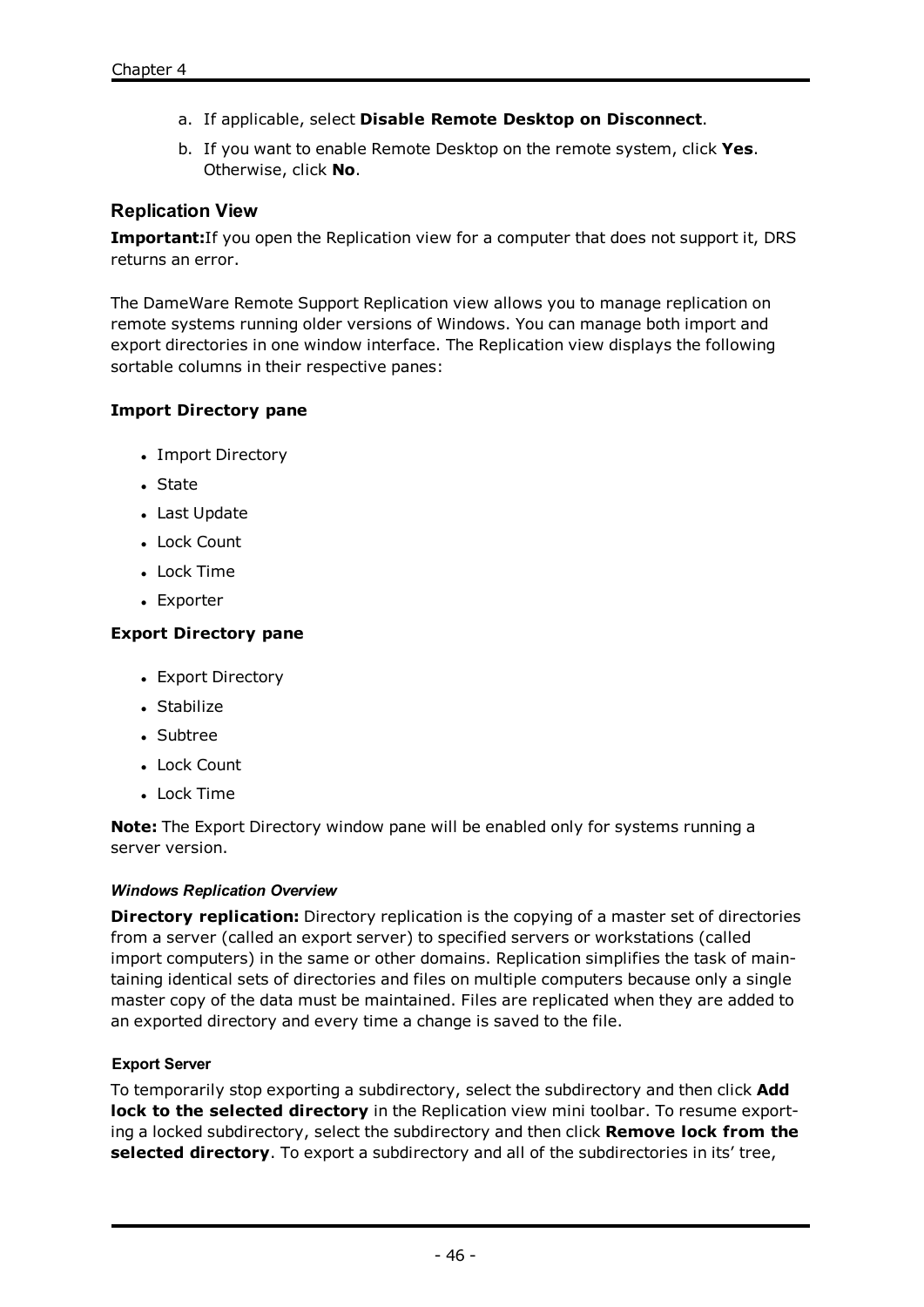- a. If applicable, select **Disable Remote Desktop on Disconnect**.
- b. If you want to enable Remote Desktop on the remote system, click **Yes**. Otherwise, click **No**.

# **Replication View**

**Important:**If you open the Replication view for a computer that does not support it, DRS returns an error.

The DameWare Remote Support Replication view allows you to manage replication on remote systems running older versions of Windows. You can manage both import and export directories in one window interface. The Replication view displays the following sortable columns in their respective panes:

# **Import Directory pane**

- Import Directory
- State
- Last Update
- Lock Count
- Lock Time
- Exporter

### **Export Directory pane**

- Export Directory
- Stabilize
- Subtree
- Lock Count
- Lock Time

**Note:** The Export Directory window pane will be enabled only for systems running a server version.

### *Windows Replication Overview*

**Directory replication:** Directory replication is the copying of a master set of directories from a server (called an export server) to specified servers or workstations (called import computers) in the same or other domains. Replication simplifies the task of maintaining identical sets of directories and files on multiple computers because only a single master copy of the data must be maintained. Files are replicated when they are added to an exported directory and every time a change is saved to the file.

### **Export Server**

To temporarily stop exporting a subdirectory, select the subdirectory and then click **Add lock to the selected directory** in the Replication view mini toolbar. To resume exporting a locked subdirectory, select the subdirectory and then click **Remove lock from the selected directory**. To export a subdirectory and all of the subdirectories in its' tree,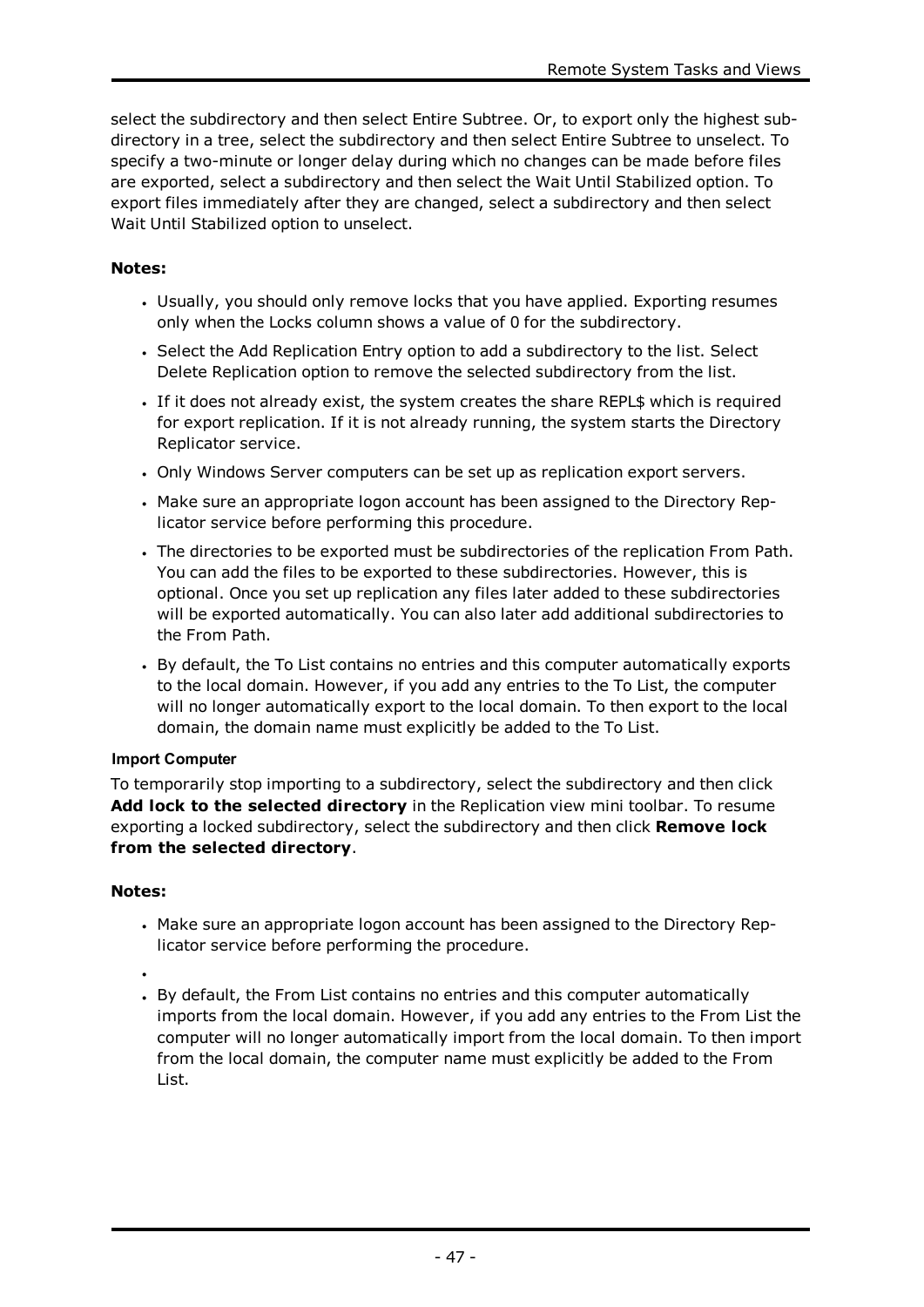select the subdirectory and then select Entire Subtree. Or, to export only the highest subdirectory in a tree, select the subdirectory and then select Entire Subtree to unselect. To specify a two-minute or longer delay during which no changes can be made before files are exported, select a subdirectory and then select the Wait Until Stabilized option. To export files immediately after they are changed, select a subdirectory and then select Wait Until Stabilized option to unselect.

# **Notes:**

- Usually, you should only remove locks that you have applied. Exporting resumes only when the Locks column shows a value of 0 for the subdirectory.
- Select the Add Replication Entry option to add a subdirectory to the list. Select Delete Replication option to remove the selected subdirectory from the list.
- <sup>l</sup> If it does not already exist, the system creates the share REPL\$ which is required for export replication. If it is not already running, the system starts the Directory Replicator service.
- . Only Windows Server computers can be set up as replication export servers.
- <sup>l</sup> Make sure an appropriate logon account has been assigned to the Directory Replicator service before performing this procedure.
- The directories to be exported must be subdirectories of the replication From Path. You can add the files to be exported to these subdirectories. However, this is optional. Once you set up replication any files later added to these subdirectories will be exported automatically. You can also later add additional subdirectories to the From Path.
- By default, the To List contains no entries and this computer automatically exports to the local domain. However, if you add any entries to the To List, the computer will no longer automatically export to the local domain. To then export to the local domain, the domain name must explicitly be added to the To List.

# **Import Computer**

To temporarily stop importing to a subdirectory, select the subdirectory and then click **Add lock to the selected directory** in the Replication view mini toolbar. To resume exporting a locked subdirectory, select the subdirectory and then click **Remove lock from the selected directory**.

# **Notes:**

- <sup>l</sup> Make sure an appropriate logon account has been assigned to the Directory Replicator service before performing the procedure.
- $\bullet$
- By default, the From List contains no entries and this computer automatically imports from the local domain. However, if you add any entries to the From List the computer will no longer automatically import from the local domain. To then import from the local domain, the computer name must explicitly be added to the From List.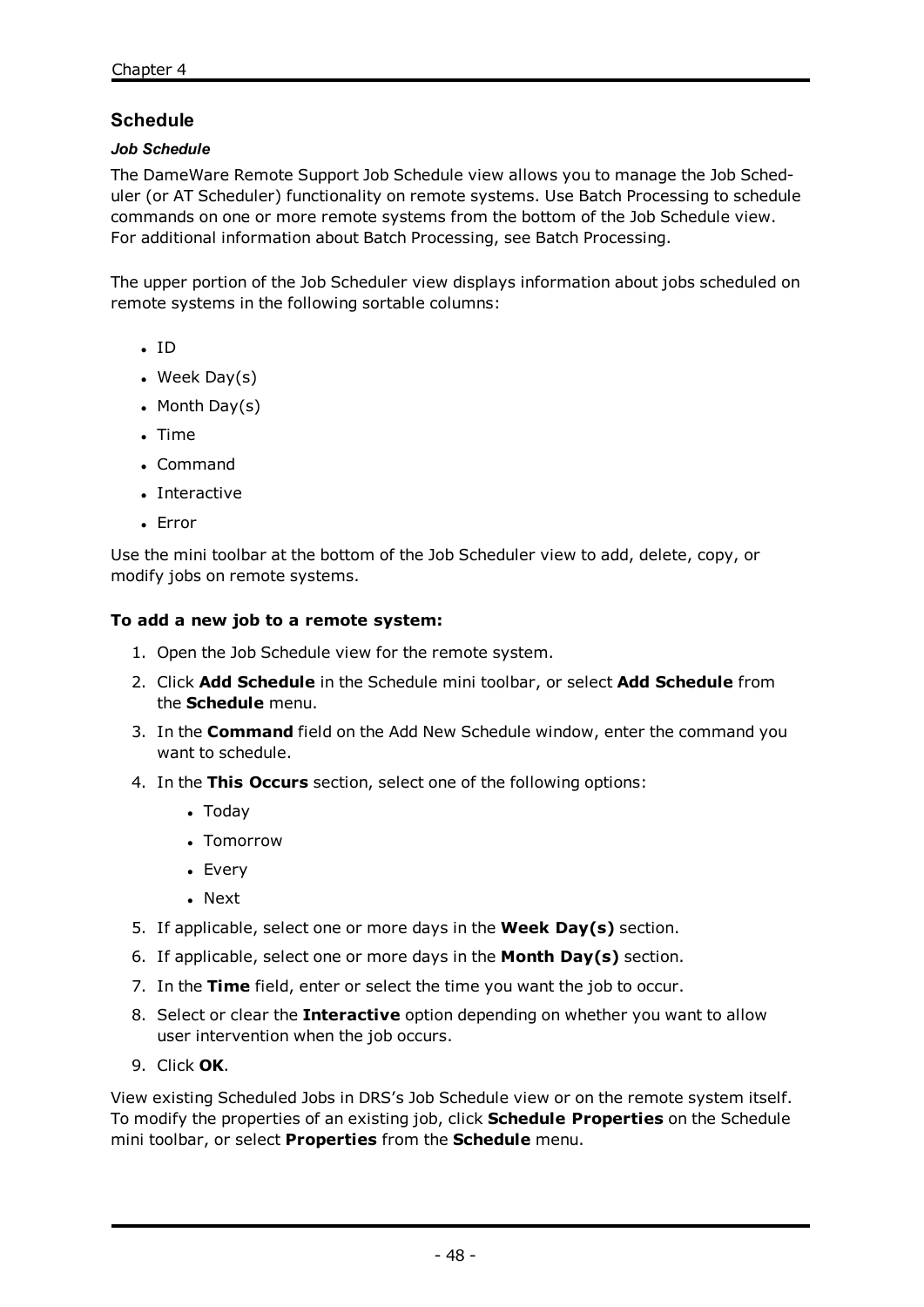# **Schedule**

### *Job Schedule*

The DameWare Remote Support Job Schedule view allows you to manage the Job Scheduler (or AT Scheduler) functionality on remote systems. Use Batch Processing to schedule commands on one or more remote systems from the bottom of the Job Schedule view. For additional information about Batch Processing, see Batch [Processing](#page-23-0).

The upper portion of the Job Scheduler view displays information about jobs scheduled on remote systems in the following sortable columns:

- $\cdot$  ID
- $\bullet$  Week Day(s)
- Month Day $(s)$
- $\blacksquare$  Time
- Command
- Interactive
- Error

Use the mini toolbar at the bottom of the Job Scheduler view to add, delete, copy, or modify jobs on remote systems.

#### **To add a new job to a remote system:**

- 1. Open the Job Schedule view for the remote system.
- 2. Click **Add Schedule** in the Schedule mini toolbar, or select **Add Schedule** from the **Schedule** menu.
- 3. In the **Command** field on the Add New Schedule window, enter the command you want to schedule.
- 4. In the **This Occurs** section, select one of the following options:
	- $\bullet$  Today
	- Tomorrow
	- Every
	- . Next
- 5. If applicable, select one or more days in the **Week Day(s)** section.
- 6. If applicable, select one or more days in the **Month Day(s)** section.
- 7. In the **Time** field, enter or select the time you want the job to occur.
- 8. Select or clear the **Interactive** option depending on whether you want to allow user intervention when the job occurs.
- 9. Click **OK**.

View existing Scheduled Jobs in DRS's Job Schedule view or on the remote system itself. To modify the properties of an existing job, click **Schedule Properties** on the Schedule mini toolbar, or select **Properties** from the **Schedule** menu.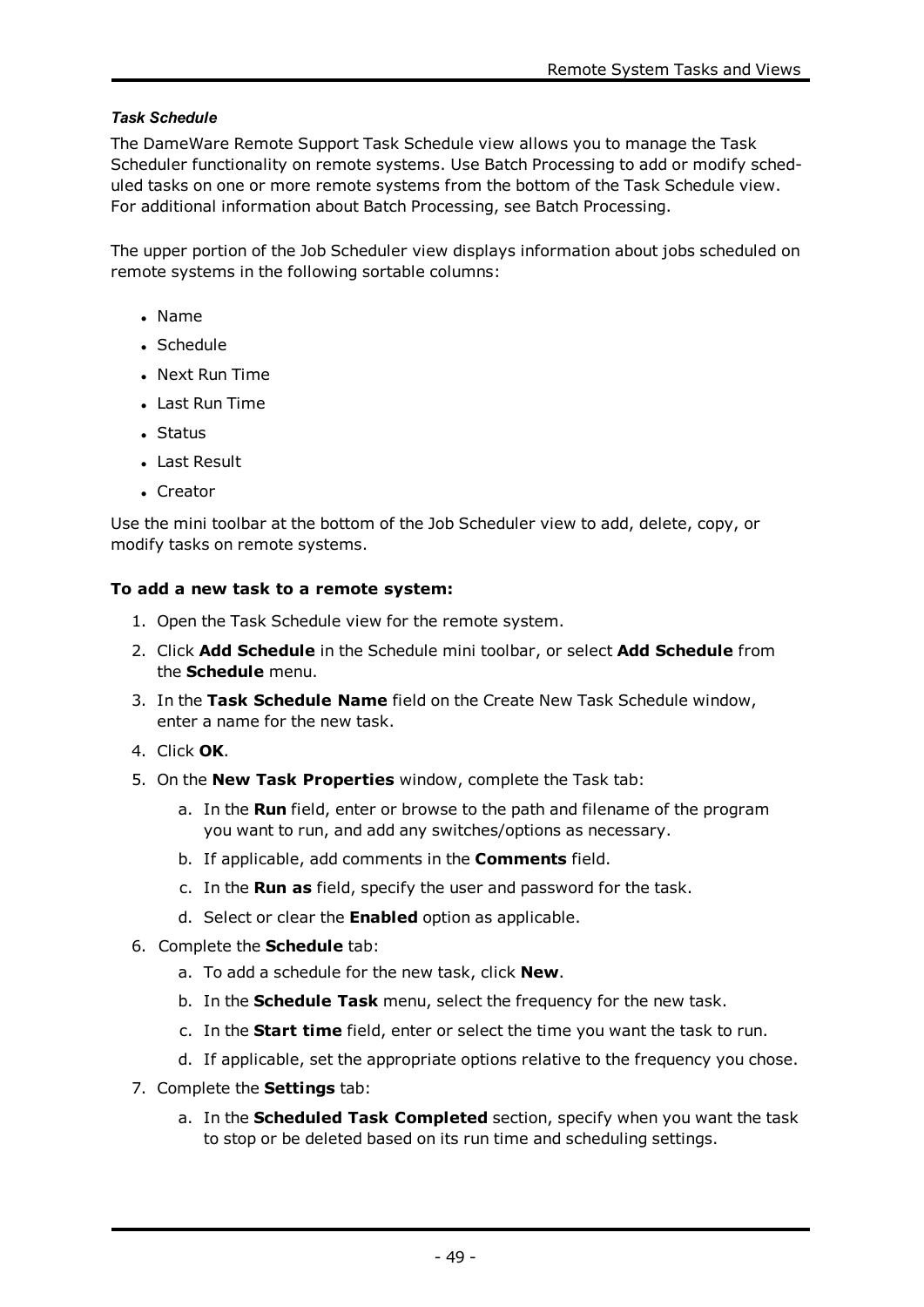### *Task Schedule*

The DameWare Remote Support Task Schedule view allows you to manage the Task Scheduler functionality on remote systems. Use Batch Processing to add or modify scheduled tasks on one or more remote systems from the bottom of the Task Schedule view. For additional information about Batch Processing, see Batch [Processing](#page-23-0).

The upper portion of the Job Scheduler view displays information about jobs scheduled on remote systems in the following sortable columns:

- <sup>l</sup> Name
- Schedule
- Next Run Time
- Last Run Time
- <sup>l</sup> Status
- Last Result
- Creator

Use the mini toolbar at the bottom of the Job Scheduler view to add, delete, copy, or modify tasks on remote systems.

### **To add a new task to a remote system:**

- 1. Open the Task Schedule view for the remote system.
- 2. Click **Add Schedule** in the Schedule mini toolbar, or select **Add Schedule** from the **Schedule** menu.
- 3. In the **Task Schedule Name** field on the Create New Task Schedule window, enter a name for the new task.
- 4. Click **OK**.
- 5. On the **New Task Properties** window, complete the Task tab:
	- a. In the **Run** field, enter or browse to the path and filename of the program you want to run, and add any switches/options as necessary.
	- b. If applicable, add comments in the **Comments** field.
	- c. In the **Run as** field, specify the user and password for the task.
	- d. Select or clear the **Enabled** option as applicable.
- 6. Complete the **Schedule** tab:
	- a. To add a schedule for the new task, click **New**.
	- b. In the **Schedule Task** menu, select the frequency for the new task.
	- c. In the **Start time** field, enter or select the time you want the task to run.
	- d. If applicable, set the appropriate options relative to the frequency you chose.
- 7. Complete the **Settings** tab:
	- a. In the **Scheduled Task Completed** section, specify when you want the task to stop or be deleted based on its run time and scheduling settings.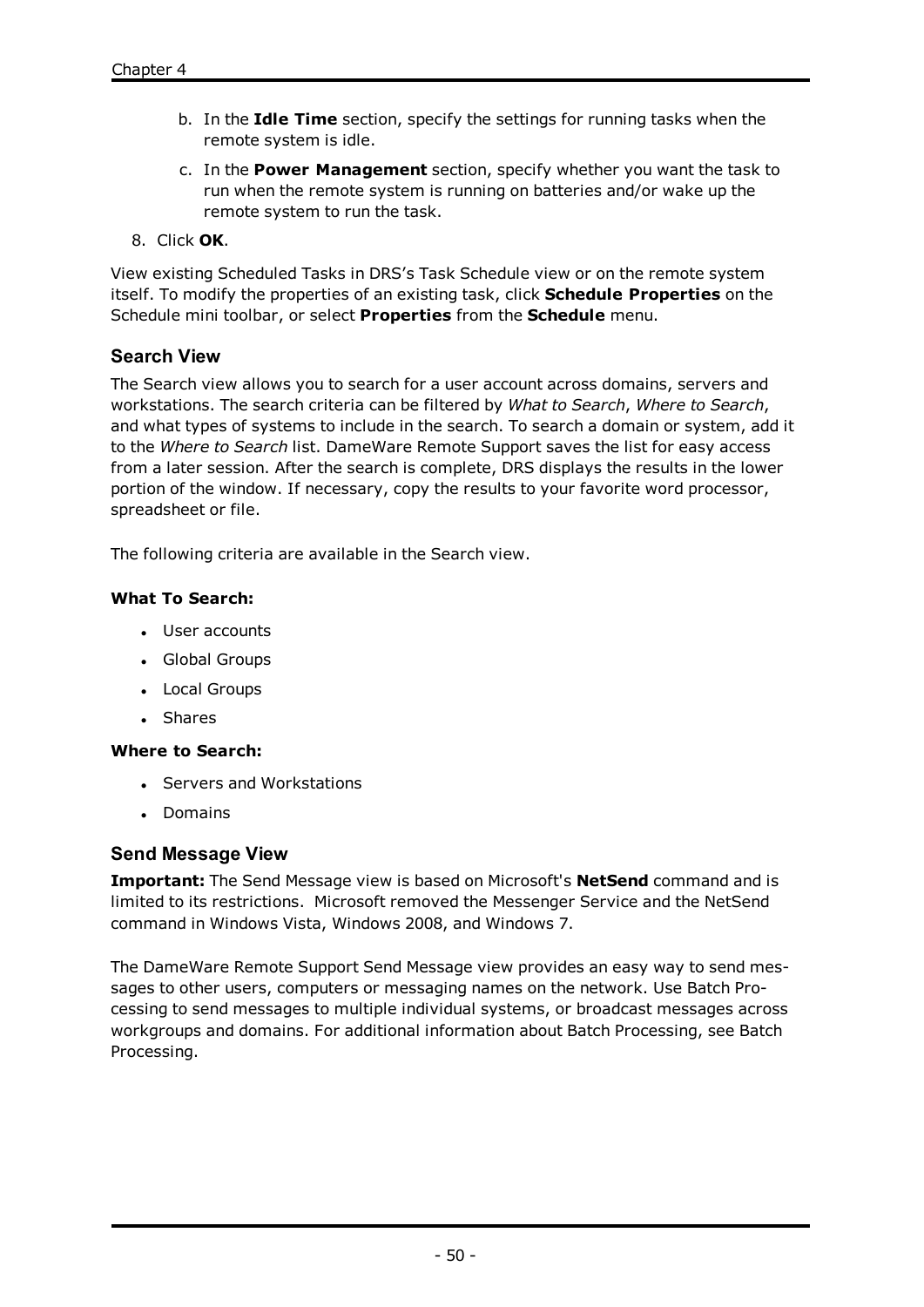- b. In the **Idle Time** section, specify the settings for running tasks when the remote system is idle.
- c. In the **Power Management** section, specify whether you want the task to run when the remote system is running on batteries and/or wake up the remote system to run the task.
- 8. Click **OK**.

View existing Scheduled Tasks in DRS's Task Schedule view or on the remote system itself. To modify the properties of an existing task, click **Schedule Properties** on the Schedule mini toolbar, or select **Properties** from the **Schedule** menu.

### **Search View**

The Search view allows you to search for a user account across domains, servers and workstations. The search criteria can be filtered by *What to Search*, *Where to Search*, and what types of systems to include in the search. To search a domain or system, add it to the *Where to Search* list. DameWare Remote Support saves the list for easy access from a later session. After the search is complete, DRS displays the results in the lower portion of the window. If necessary, copy the results to your favorite word processor, spreadsheet or file.

The following criteria are available in the Search view.

### **What To Search:**

- User accounts
- Global Groups
- Local Groups
- Shares

#### **Where to Search:**

- Servers and Workstations
- Domains

### **Send Message View**

**Important:** The Send Message view is based on Microsoft's **NetSend** command and is limited to its restrictions. Microsoft removed the Messenger Service and the NetSend command in Windows Vista, Windows 2008, and Windows 7.

The DameWare Remote Support Send Message view provides an easy way to send messages to other users, computers or messaging names on the network. Use Batch Processing to send messages to multiple individual systems, or broadcast messages across workgroups and domains. For additional information about Batch Processing, see [Batch](#page-23-0) [Processing](#page-23-0).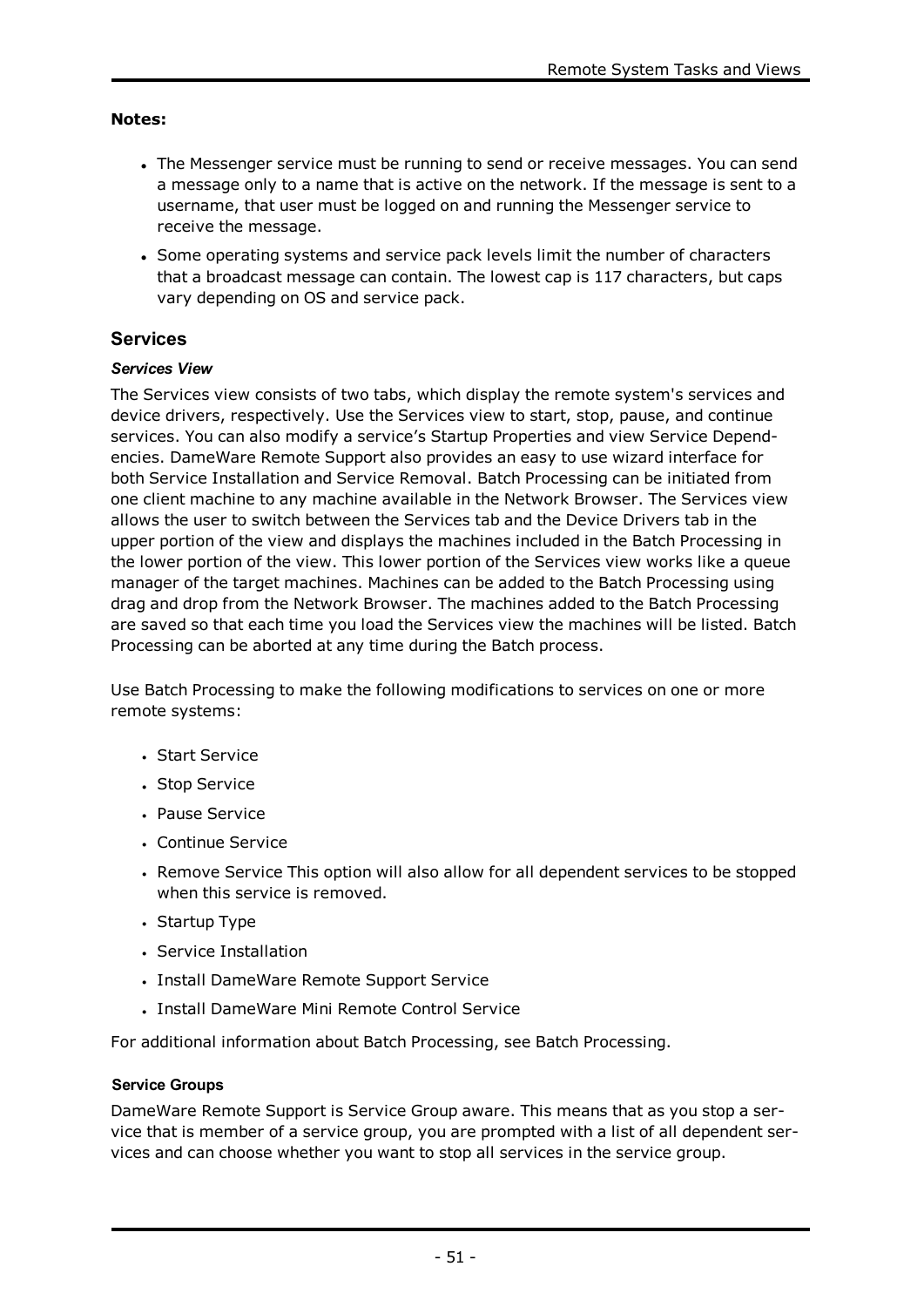### **Notes:**

- The Messenger service must be running to send or receive messages. You can send a message only to a name that is active on the network. If the message is sent to a username, that user must be logged on and running the Messenger service to receive the message.
- Some operating systems and service pack levels limit the number of characters that a broadcast message can contain. The lowest cap is 117 characters, but caps vary depending on OS and service pack.

# **Services**

# *Services View*

The Services view consists of two tabs, which display the remote system's services and device drivers, respectively. Use the Services view to start, stop, pause, and continue services. You can also modify a service's Startup Properties and view Service Dependencies. DameWare Remote Support also provides an easy to use wizard interface for both Service Installation and Service Removal. Batch Processing can be initiated from one client machine to any machine available in the Network Browser. The Services view allows the user to switch between the Services tab and the Device Drivers tab in the upper portion of the view and displays the machines included in the Batch Processing in the lower portion of the view. This lower portion of the Services view works like a queue manager of the target machines. Machines can be added to the Batch Processing using drag and drop from the Network Browser. The machines added to the Batch Processing are saved so that each time you load the Services view the machines will be listed. Batch Processing can be aborted at any time during the Batch process.

Use Batch Processing to make the following modifications to services on one or more remote systems:

- Start Service
- Stop Service
- Pause Service
- Continue Service
- Remove Service This option will also allow for all dependent services to be stopped when this service is removed.
- Startup Type
- Service Installation
- Install DameWare Remote Support Service
- Install DameWare Mini Remote Control Service

For additional information about Batch Processing, see Batch [Processing](#page-23-0).

### **Service Groups**

DameWare Remote Support is Service Group aware. This means that as you stop a service that is member of a service group, you are prompted with a list of all dependent services and can choose whether you want to stop all services in the service group.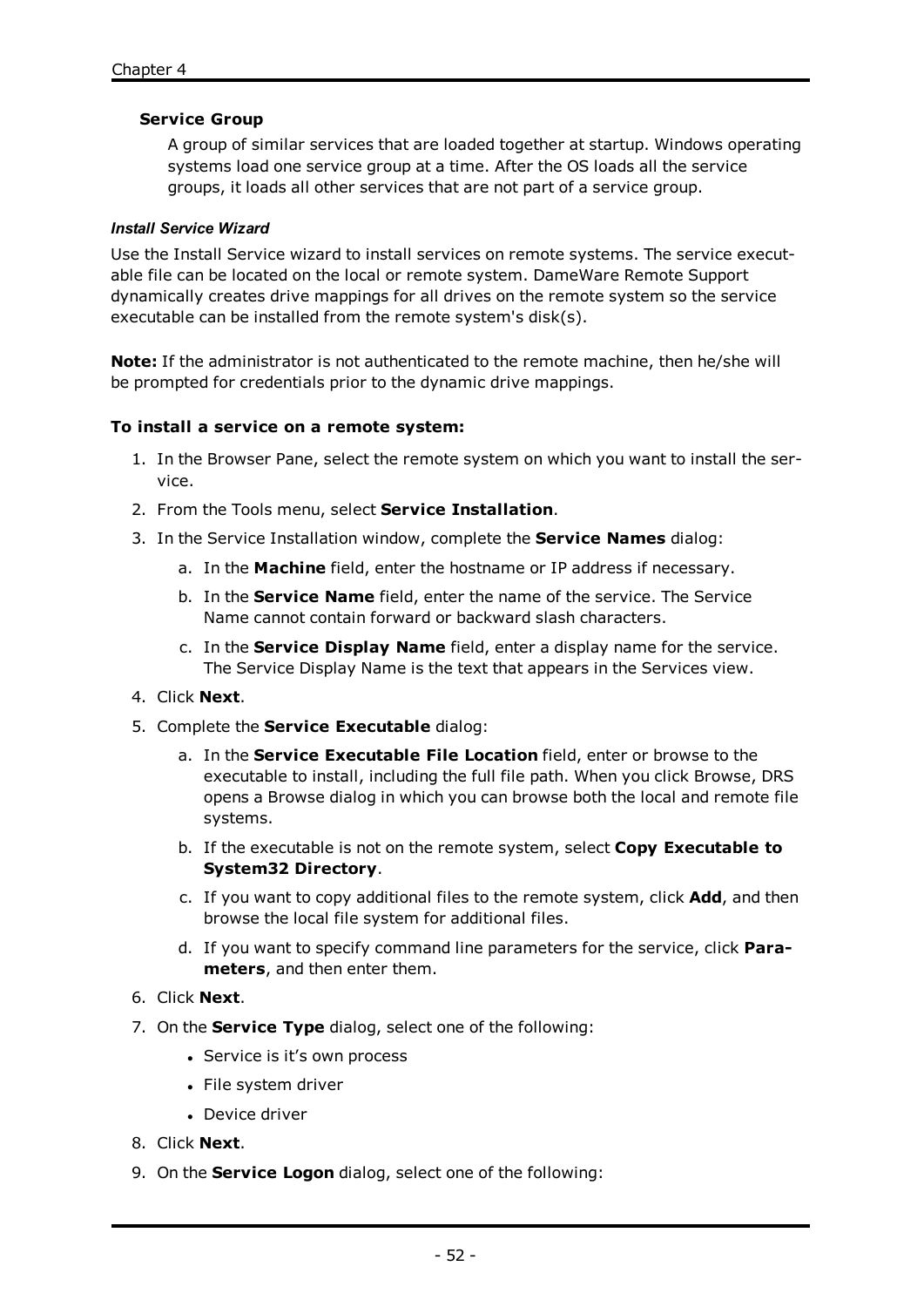### **Service Group**

A group of similar services that are loaded together at startup. Windows operating systems load one service group at a time. After the OS loads all the service groups, it loads all other services that are not part of a service group.

#### *Install Service Wizard*

Use the Install Service wizard to install services on remote systems. The service executable file can be located on the local or remote system. DameWare Remote Support dynamically creates drive mappings for all drives on the remote system so the service executable can be installed from the remote system's disk(s).

**Note:** If the administrator is not authenticated to the remote machine, then he/she will be prompted for credentials prior to the dynamic drive mappings.

### **To install a service on a remote system:**

- 1. In the Browser Pane, select the remote system on which you want to install the service.
- 2. From the Tools menu, select **Service Installation**.
- 3. In the Service Installation window, complete the **Service Names** dialog:
	- a. In the **Machine** field, enter the hostname or IP address if necessary.
	- b. In the **Service Name** field, enter the name of the service. The Service Name cannot contain forward or backward slash characters.
	- c. In the **Service Display Name** field, enter a display name for the service. The Service Display Name is the text that appears in the Services view.
- 4. Click **Next**.
- 5. Complete the **Service Executable** dialog:
	- a. In the **Service Executable File Location** field, enter or browse to the executable to install, including the full file path. When you click Browse, DRS opens a Browse dialog in which you can browse both the local and remote file systems.
	- b. If the executable is not on the remote system, select **Copy Executable to System32 Directory**.
	- c. If you want to copy additional files to the remote system, click **Add**, and then browse the local file system for additional files.
	- d. If you want to specify command line parameters for the service, click **Parameters**, and then enter them.
- 6. Click **Next**.
- 7. On the **Service Type** dialog, select one of the following:
	- Service is it's own process
	- File system driver
	- Device driver
- 8. Click **Next**.
- 9. On the **Service Logon** dialog, select one of the following: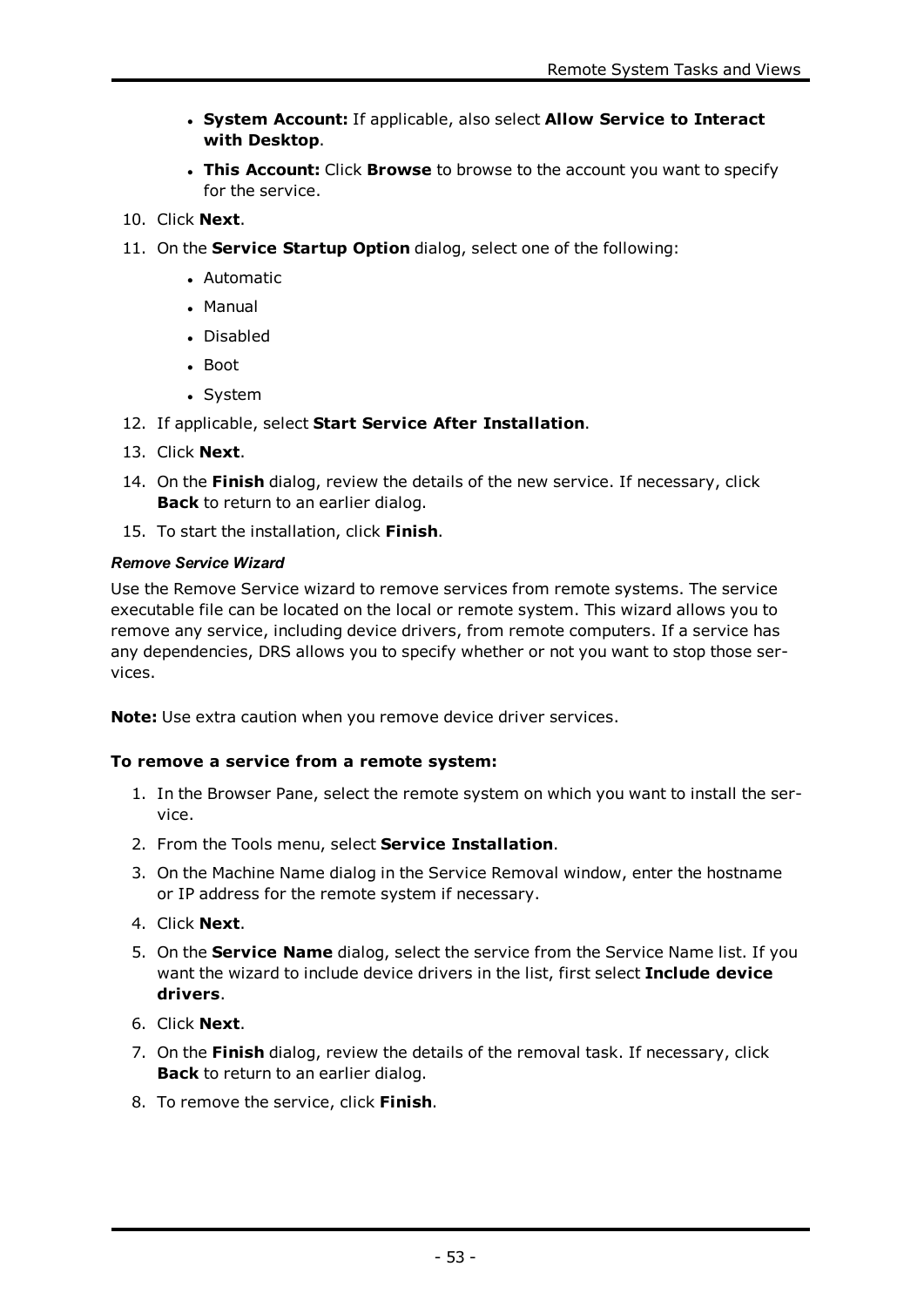- <sup>l</sup> **System Account:** If applicable, also select **Allow Service to Interact with Desktop**.
- <sup>l</sup> **This Account:** Click **Browse** to browse to the account you want to specify for the service.
- 10. Click **Next**.
- 11. On the **Service Startup Option** dialog, select one of the following:
	- Automatic
	- <sup>l</sup> Manual
	- Disabled
	- Boot
	- System
- 12. If applicable, select **Start Service After Installation**.
- 13. Click **Next**.
- 14. On the **Finish** dialog, review the details of the new service. If necessary, click **Back** to return to an earlier dialog.
- 15. To start the installation, click **Finish**.

# *Remove Service Wizard*

Use the Remove Service wizard to remove services from remote systems. The service executable file can be located on the local or remote system. This wizard allows you to remove any service, including device drivers, from remote computers. If a service has any dependencies, DRS allows you to specify whether or not you want to stop those services.

**Note:** Use extra caution when you remove device driver services.

# **To remove a service from a remote system:**

- 1. In the Browser Pane, select the remote system on which you want to install the service.
- 2. From the Tools menu, select **Service Installation**.
- 3. On the Machine Name dialog in the Service Removal window, enter the hostname or IP address for the remote system if necessary.
- 4. Click **Next**.
- 5. On the **Service Name** dialog, select the service from the Service Name list. If you want the wizard to include device drivers in the list, first select **Include device drivers**.
- 6. Click **Next**.
- 7. On the **Finish** dialog, review the details of the removal task. If necessary, click **Back** to return to an earlier dialog.
- 8. To remove the service, click **Finish**.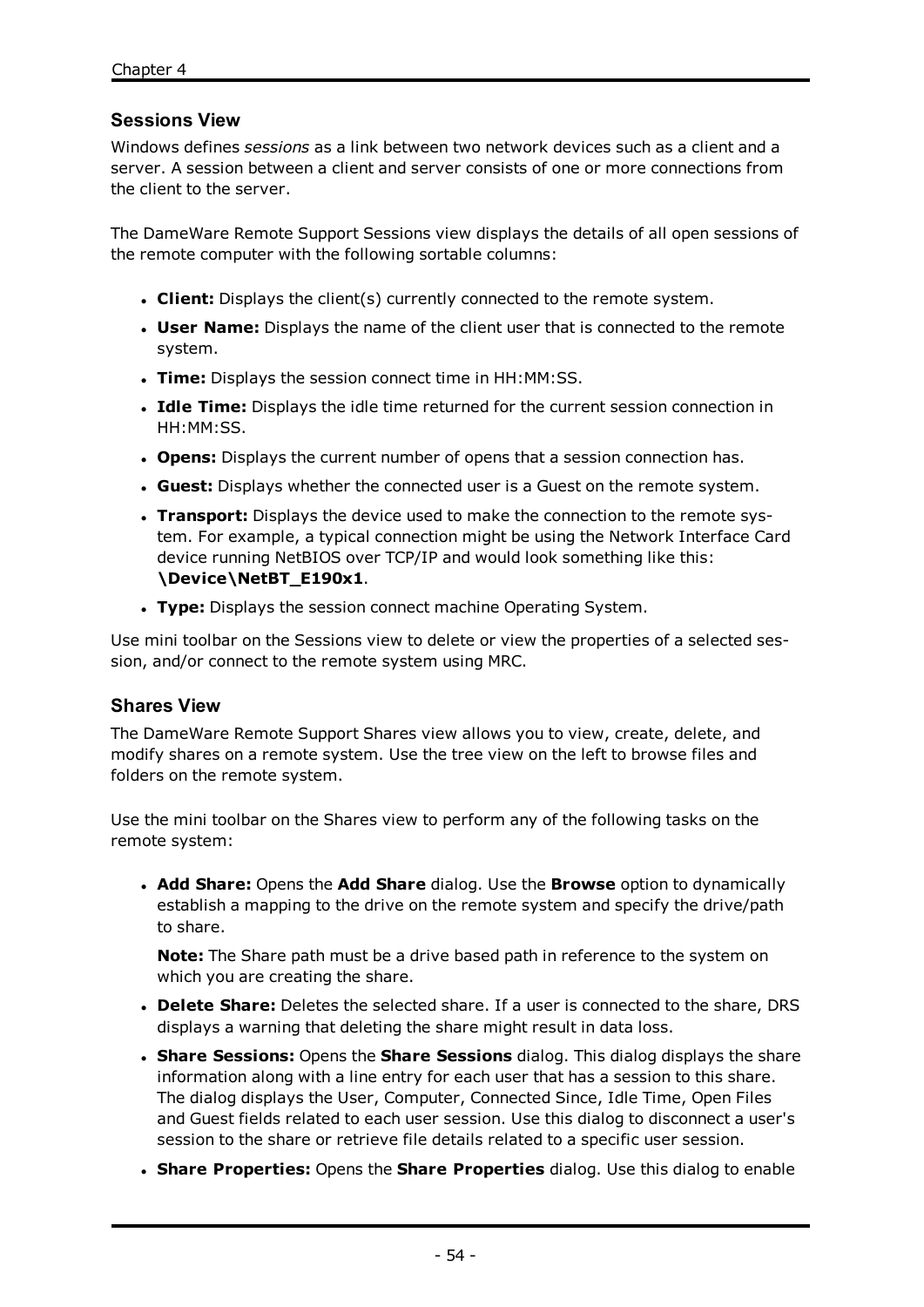# **Sessions View**

Windows defines *sessions* as a link between two network devices such as a client and a server. A session between a client and server consists of one or more connections from the client to the server.

The DameWare Remote Support Sessions view displays the details of all open sessions of the remote computer with the following sortable columns:

- **. Client:** Displays the client(s) currently connected to the remote system.
- **User Name:** Displays the name of the client user that is connected to the remote system.
- **Time:** Displays the session connect time in HH:MM:SS.
- **Idle Time:** Displays the idle time returned for the current session connection in HH:MM:SS.
- **. Opens:** Displays the current number of opens that a session connection has.
- **Guest:** Displays whether the connected user is a Guest on the remote system.
- **Transport:** Displays the device used to make the connection to the remote system. For example, a typical connection might be using the Network Interface Card device running NetBIOS over TCP/IP and would look something like this: **\Device\NetBT\_E190x1**.
- **Type:** Displays the session connect machine Operating System.

Use mini toolbar on the Sessions view to delete or view the properties of a selected session, and/or connect to the remote system using MRC.

# **Shares View**

The DameWare Remote Support Shares view allows you to view, create, delete, and modify shares on a remote system. Use the tree view on the left to browse files and folders on the remote system.

Use the mini toolbar on the Shares view to perform any of the following tasks on the remote system:

<sup>l</sup> **Add Share:** Opens the **Add Share** dialog. Use the **Browse** option to dynamically establish a mapping to the drive on the remote system and specify the drive/path to share.

**Note:** The Share path must be a drive based path in reference to the system on which you are creating the share.

- **. Delete Share:** Deletes the selected share. If a user is connected to the share, DRS displays a warning that deleting the share might result in data loss.
- **. Share Sessions:** Opens the **Share Sessions** dialog. This dialog displays the share information along with a line entry for each user that has a session to this share. The dialog displays the User, Computer, Connected Since, Idle Time, Open Files and Guest fields related to each user session. Use this dialog to disconnect a user's session to the share or retrieve file details related to a specific user session.
- <sup>l</sup> **Share Properties:** Opens the **Share Properties** dialog. Use this dialog to enable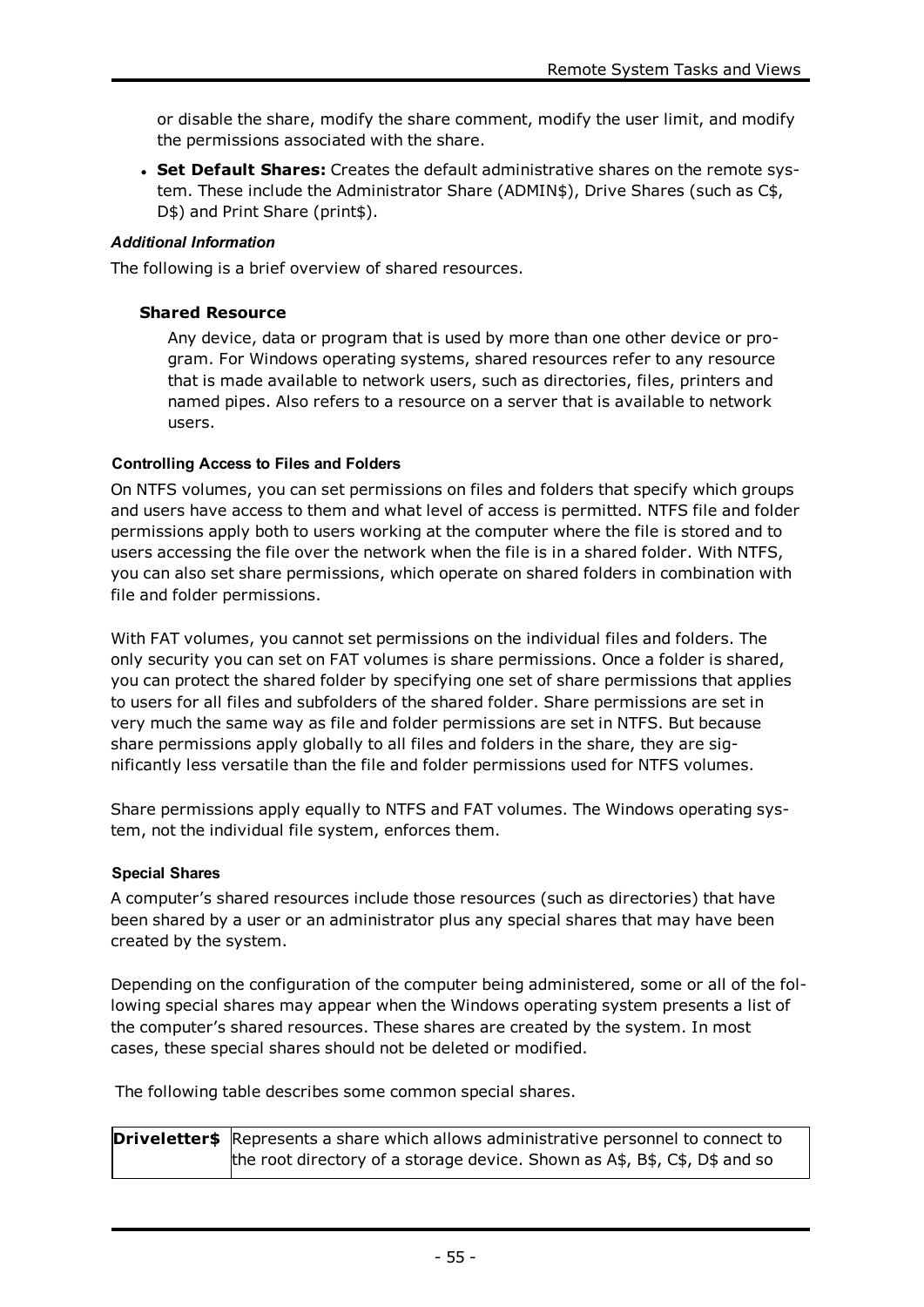or disable the share, modify the share comment, modify the user limit, and modify the permissions associated with the share.

<sup>l</sup> **Set Default Shares:** Creates the default administrative shares on the remote system. These include the Administrator Share (ADMIN\$), Drive Shares (such as C\$, D\$) and Print Share (print\$).

#### *Additional Information*

The following is a brief overview of shared resources.

#### **Shared Resource**

Any device, data or program that is used by more than one other device or program. For Windows operating systems, shared resources refer to any resource that is made available to network users, such as directories, files, printers and named pipes. Also refers to a resource on a server that is available to network users.

#### **Controlling Access to Files and Folders**

On NTFS volumes, you can set permissions on files and folders that specify which groups and users have access to them and what level of access is permitted. NTFS file and folder permissions apply both to users working at the computer where the file is stored and to users accessing the file over the network when the file is in a shared folder. With NTFS, you can also set share permissions, which operate on shared folders in combination with file and folder permissions.

With FAT volumes, you cannot set permissions on the individual files and folders. The only security you can set on FAT volumes is share permissions. Once a folder is shared, you can protect the shared folder by specifying one set of share permissions that applies to users for all files and subfolders of the shared folder. Share permissions are set in very much the same way as file and folder permissions are set in NTFS. But because share permissions apply globally to all files and folders in the share, they are significantly less versatile than the file and folder permissions used for NTFS volumes.

Share permissions apply equally to NTFS and FAT volumes. The Windows operating system, not the individual file system, enforces them.

#### **Special Shares**

A computer's shared resources include those resources (such as directories) that have been shared by a user or an administrator plus any special shares that may have been created by the system.

Depending on the configuration of the computer being administered, some or all of the following special shares may appear when the Windows operating system presents a list of the computer's shared resources. These shares are created by the system. In most cases, these special shares should not be deleted or modified.

The following table describes some common special shares.

| <b>Driveletter\$</b> Represents a share which allows administrative personnel to connect to |  |
|---------------------------------------------------------------------------------------------|--|
| the root directory of a storage device. Shown as A\$, B\$, C\$, D\$ and so                  |  |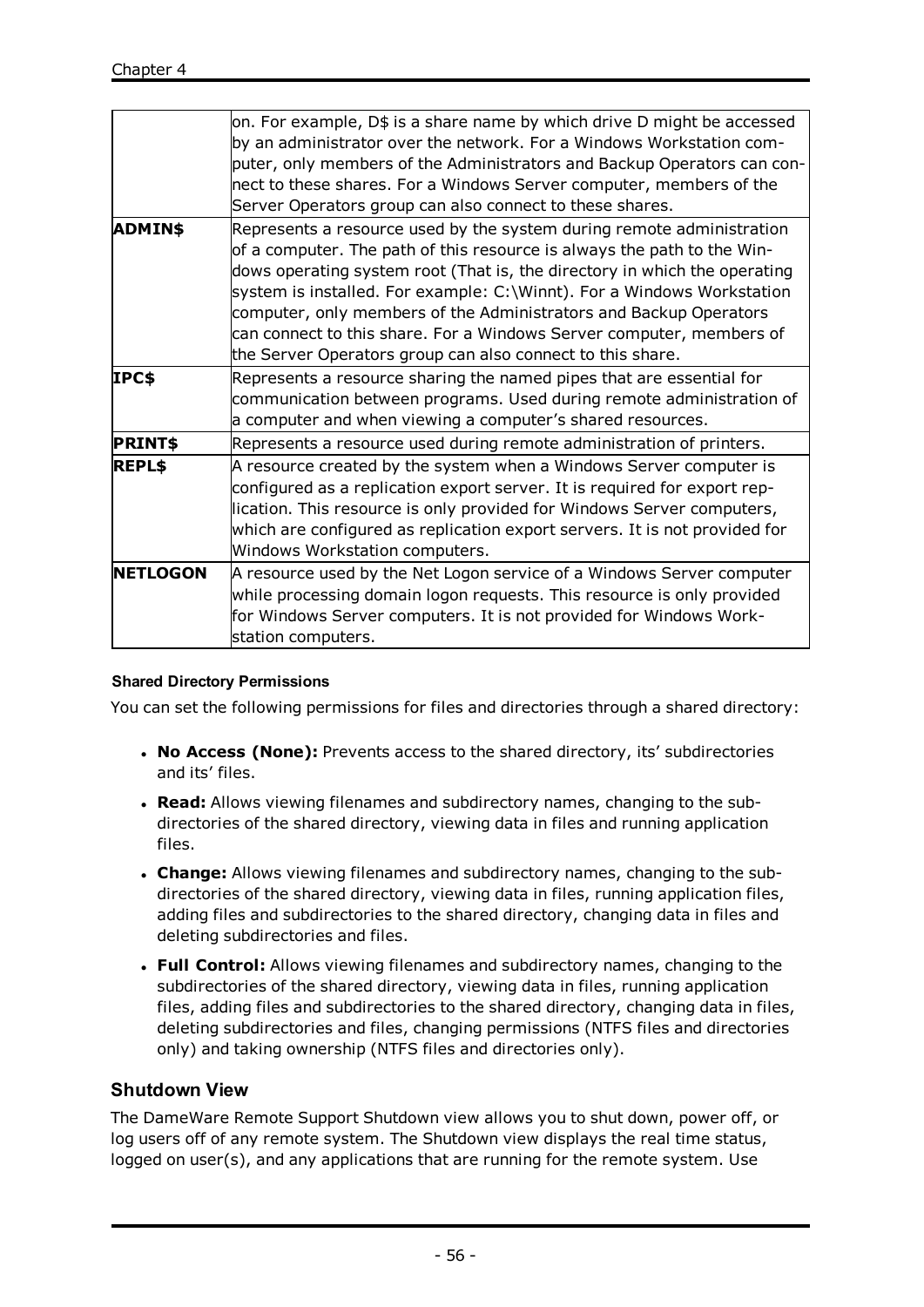|                 | on. For example, D\$ is a share name by which drive D might be accessed<br>by an administrator over the network. For a Windows Workstation com- |
|-----------------|-------------------------------------------------------------------------------------------------------------------------------------------------|
|                 | puter, only members of the Administrators and Backup Operators can con-                                                                         |
|                 | nect to these shares. For a Windows Server computer, members of the                                                                             |
|                 | Server Operators group can also connect to these shares.                                                                                        |
| ADMIN\$         | Represents a resource used by the system during remote administration                                                                           |
|                 | of a computer. The path of this resource is always the path to the Win-                                                                         |
|                 | dows operating system root (That is, the directory in which the operating                                                                       |
|                 | system is installed. For example: C:\Winnt). For a Windows Workstation                                                                          |
|                 | computer, only members of the Administrators and Backup Operators                                                                               |
|                 | can connect to this share. For a Windows Server computer, members of                                                                            |
|                 | the Server Operators group can also connect to this share.                                                                                      |
| IPC\$           | Represents a resource sharing the named pipes that are essential for                                                                            |
|                 | communication between programs. Used during remote administration of                                                                            |
|                 | a computer and when viewing a computer's shared resources.                                                                                      |
| <b>PRINT\$</b>  | Represents a resource used during remote administration of printers.                                                                            |
| REPL\$          | A resource created by the system when a Windows Server computer is                                                                              |
|                 | configured as a replication export server. It is required for export rep-                                                                       |
|                 | lication. This resource is only provided for Windows Server computers,                                                                          |
|                 | which are configured as replication export servers. It is not provided for                                                                      |
|                 | Windows Workstation computers.                                                                                                                  |
| <b>NETLOGON</b> | A resource used by the Net Logon service of a Windows Server computer                                                                           |
|                 | while processing domain logon requests. This resource is only provided                                                                          |
|                 | for Windows Server computers. It is not provided for Windows Work-                                                                              |
|                 | station computers.                                                                                                                              |
|                 |                                                                                                                                                 |

# **Shared Directory Permissions**

You can set the following permissions for files and directories through a shared directory:

- <sup>l</sup> **No Access (None):** Prevents access to the shared directory, its' subdirectories and its' files.
- **Read:** Allows viewing filenames and subdirectory names, changing to the subdirectories of the shared directory, viewing data in files and running application files.
- **Change:** Allows viewing filenames and subdirectory names, changing to the subdirectories of the shared directory, viewing data in files, running application files, adding files and subdirectories to the shared directory, changing data in files and deleting subdirectories and files.
- <sup>l</sup> **Full Control:** Allows viewing filenames and subdirectory names, changing to the subdirectories of the shared directory, viewing data in files, running application files, adding files and subdirectories to the shared directory, changing data in files, deleting subdirectories and files, changing permissions (NTFS files and directories only) and taking ownership (NTFS files and directories only).

# **Shutdown View**

The DameWare Remote Support Shutdown view allows you to shut down, power off, or log users off of any remote system. The Shutdown view displays the real time status, logged on user(s), and any applications that are running for the remote system. Use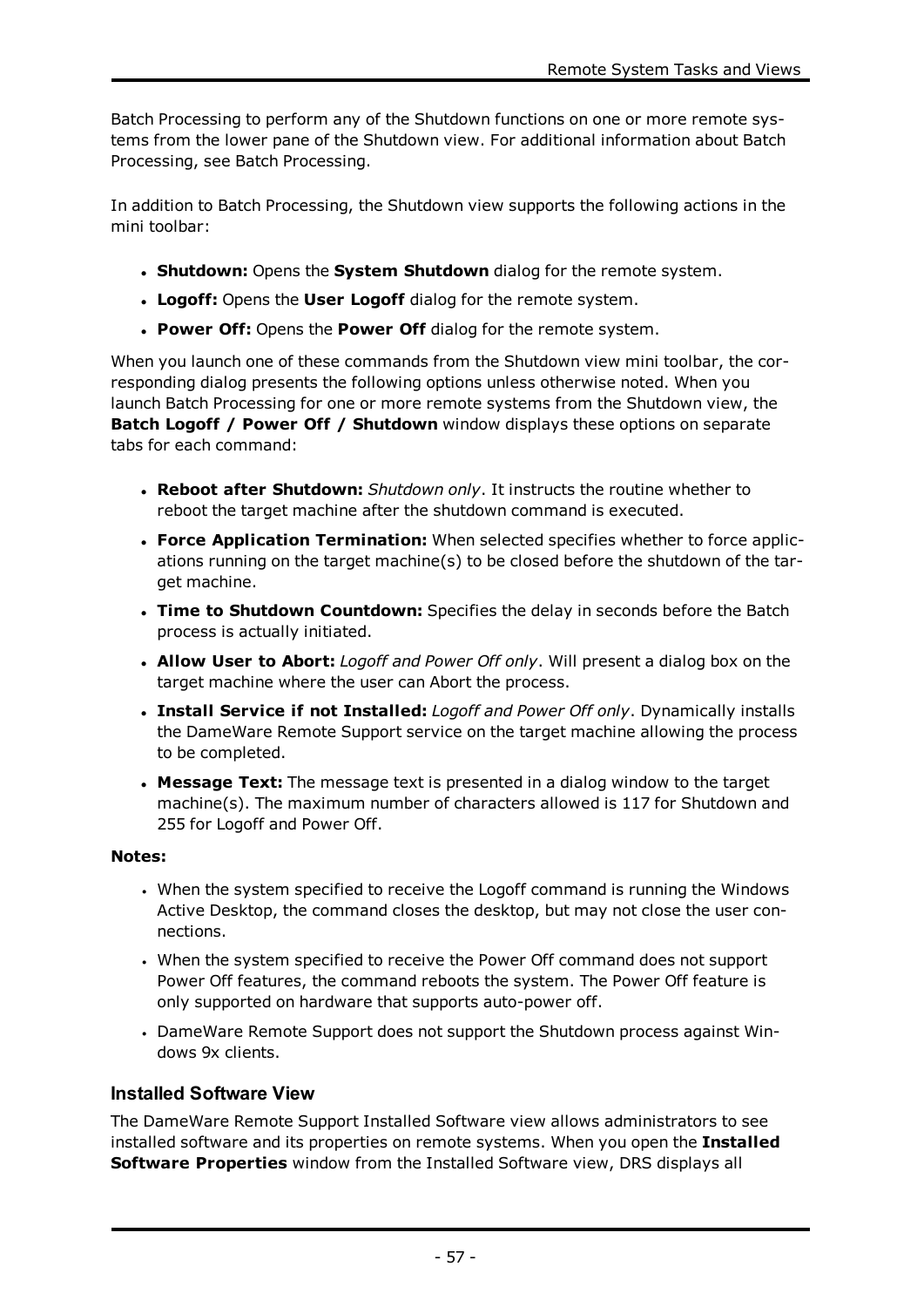Batch Processing to perform any of the Shutdown functions on one or more remote systems from the lower pane of the Shutdown view. For additional information about Batch Processing, see Batch [Processing.](#page-23-0)

In addition to Batch Processing, the Shutdown view supports the following actions in the mini toolbar:

- <sup>l</sup> **Shutdown:** Opens the **System Shutdown** dialog for the remote system.
- <sup>l</sup> **Logoff:** Opens the **User Logoff** dialog for the remote system.
- <sup>l</sup> **Power Off:** Opens the **Power Off** dialog for the remote system.

When you launch one of these commands from the Shutdown view mini toolbar, the corresponding dialog presents the following options unless otherwise noted. When you launch Batch Processing for one or more remote systems from the Shutdown view, the **Batch Logoff / Power Off / Shutdown** window displays these options on separate tabs for each command:

- <sup>l</sup> **Reboot after Shutdown:** *Shutdown only*. It instructs the routine whether to reboot the target machine after the shutdown command is executed.
- <sup>l</sup> **Force Application Termination:** When selected specifies whether to force applications running on the target machine(s) to be closed before the shutdown of the target machine.
- <sup>l</sup> **Time to Shutdown Countdown:** Specifies the delay in seconds before the Batch process is actually initiated.
- <sup>l</sup> **Allow User to Abort:** *Logoff and Power Off only*. Will present a dialog box on the target machine where the user can Abort the process.
- <sup>l</sup> **Install Service if not Installed:** *Logoff and Power Off only*. Dynamically installs the DameWare Remote Support service on the target machine allowing the process to be completed.
- **Message Text:** The message text is presented in a dialog window to the target machine(s). The maximum number of characters allowed is 117 for Shutdown and 255 for Logoff and Power Off.

# **Notes:**

- When the system specified to receive the Logoff command is running the Windows Active Desktop, the command closes the desktop, but may not close the user connections.
- When the system specified to receive the Power Off command does not support Power Off features, the command reboots the system. The Power Off feature is only supported on hardware that supports auto-power off.
- DameWare Remote Support does not support the Shutdown process against Windows 9x clients.

# **Installed Software View**

The DameWare Remote Support Installed Software view allows administrators to see installed software and its properties on remote systems. When you open the **Installed Software Properties** window from the Installed Software view, DRS displays all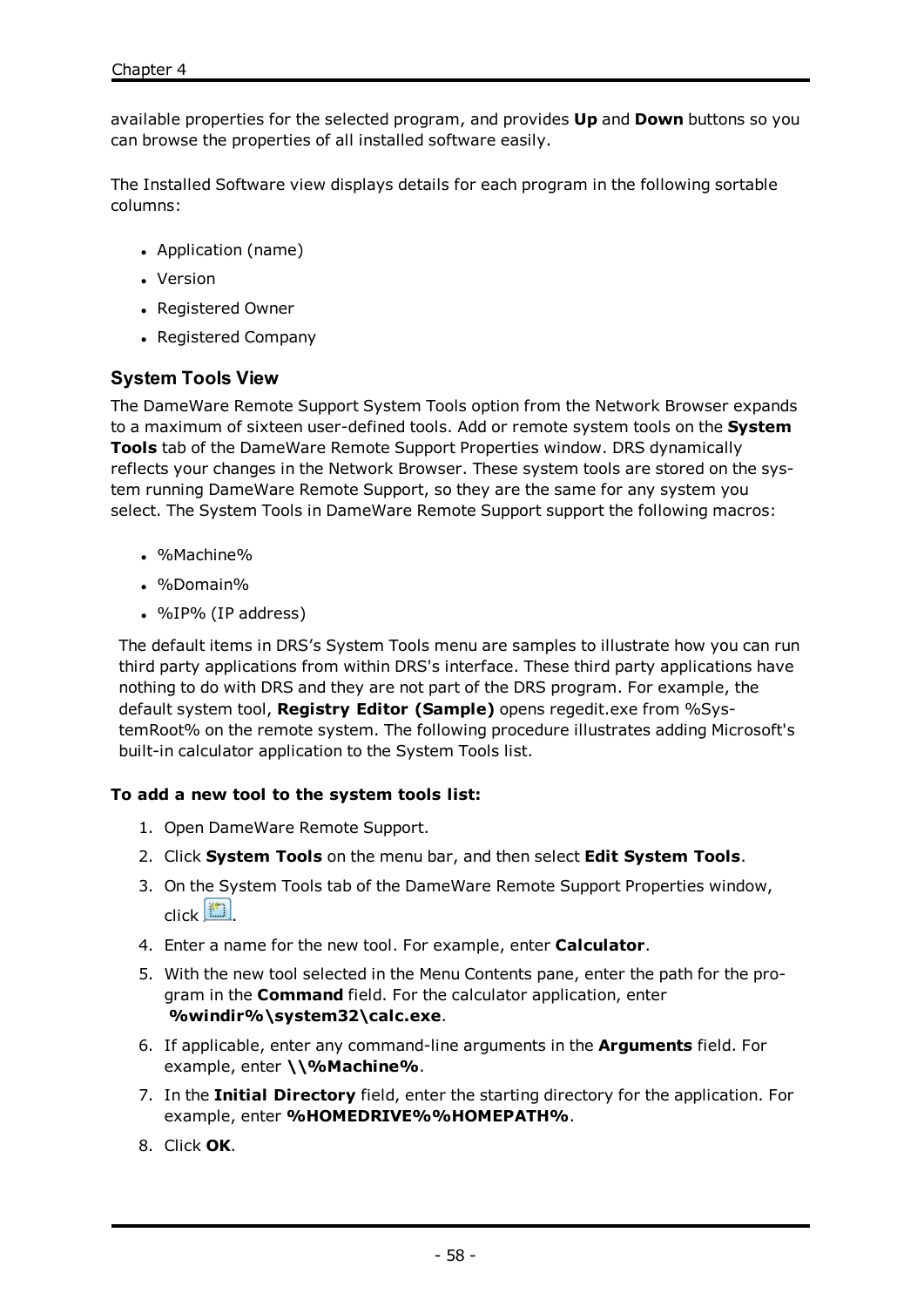available properties for the selected program, and provides **Up** and **Down** buttons so you can browse the properties of all installed software easily.

The Installed Software view displays details for each program in the following sortable columns:

- Application (name)
- Version
- Registered Owner
- Registered Company

# **System Tools View**

The DameWare Remote Support System Tools option from the Network Browser expands to a maximum of sixteen user-defined tools. Add or remote system tools on the **System Tools** tab of the DameWare Remote Support Properties window. DRS dynamically reflects your changes in the Network Browser. These system tools are stored on the system running DameWare Remote Support, so they are the same for any system you select. The System Tools in DameWare Remote Support support the following macros:

- $. %$ Machine%
- $. %Domain%$
- $\bullet$  %IP% (IP address)

The default items in DRS's System Tools menu are samples to illustrate how you can run third party applications from within DRS's interface. These third party applications have nothing to do with DRS and they are not part of the DRS program. For example, the default system tool, **Registry Editor (Sample)** opens regedit.exe from %SystemRoot% on the remote system. The following procedure illustrates adding Microsoft's built-in calculator application to the System Tools list.

### **To add a new tool to the system tools list:**

- 1. Open DameWare Remote Support.
- 2. Click **System Tools** on the menu bar, and then select **Edit System Tools**.
- 3. On the System Tools tab of the DameWare Remote Support Properties window, click  $\left[\begin{matrix}\cdots\\ \cdots\end{matrix}\right]$
- 4. Enter a name for the new tool. For example, enter **Calculator**.
- 5. With the new tool selected in the Menu Contents pane, enter the path for the program in the **Command** field. For the calculator application, enter **%windir%\system32\calc.exe**.
- 6. If applicable, enter any command-line arguments in the **Arguments** field. For example, enter **\\%Machine%**.
- 7. In the **Initial Directory** field, enter the starting directory for the application. For example, enter **%HOMEDRIVE%%HOMEPATH%**.
- 8. Click **OK**.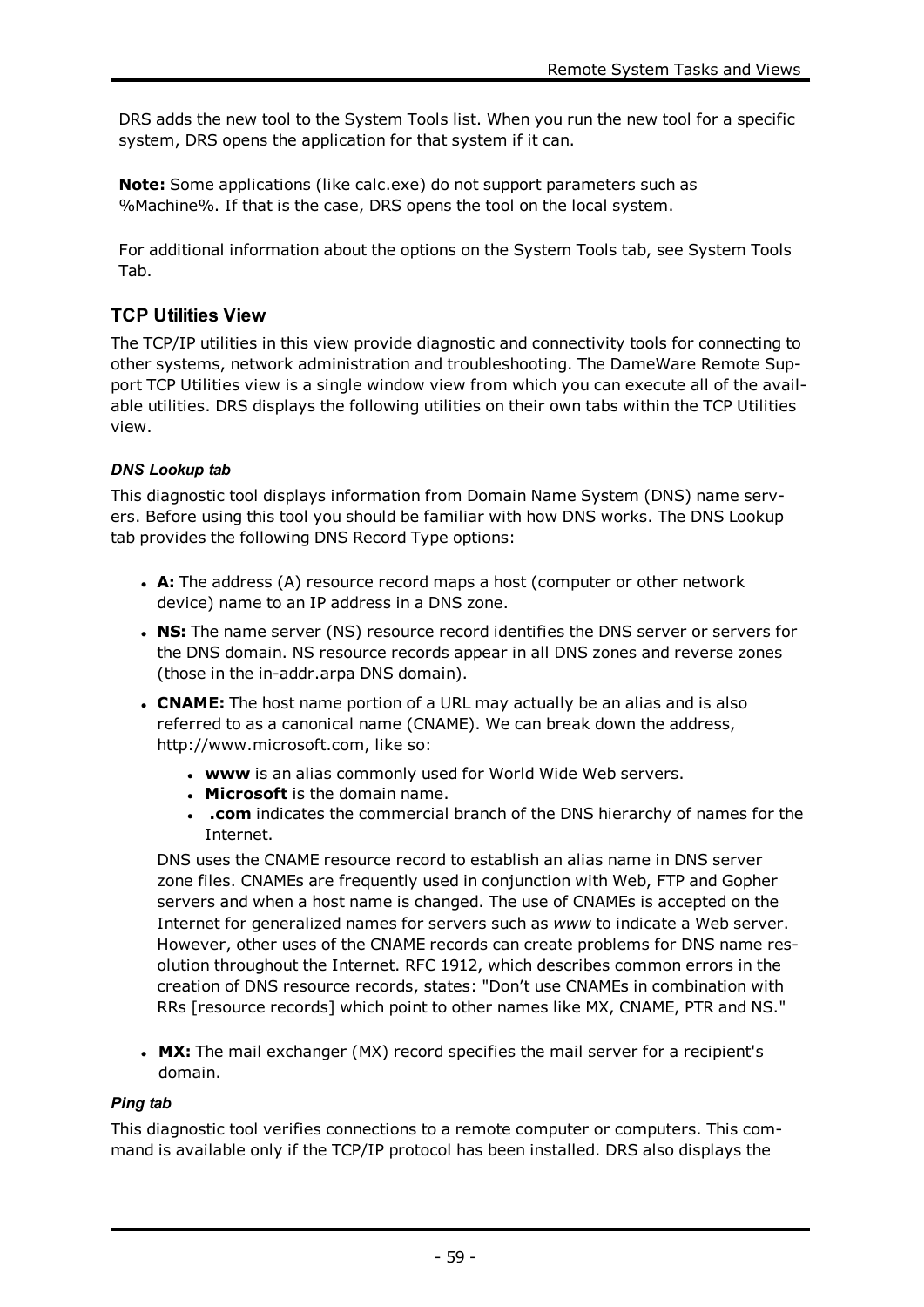DRS adds the new tool to the System Tools list. When you run the new tool for a specific system, DRS opens the application for that system if it can.

**Note:** Some applications (like calc.exe) do not support parameters such as %Machine%. If that is the case, DRS opens the tool on the local system.

For additional information about the options on the System Tools tab, see [System](#page-72-0) Tools [Tab](#page-72-0).

# **TCP Utilities View**

The TCP/IP utilities in this view provide diagnostic and connectivity tools for connecting to other systems, network administration and troubleshooting. The DameWare Remote Support TCP Utilities view is a single window view from which you can execute all of the available utilities. DRS displays the following utilities on their own tabs within the TCP Utilities view.

### *DNS Lookup tab*

This diagnostic tool displays information from Domain Name System (DNS) name servers. Before using this tool you should be familiar with how DNS works. The DNS Lookup tab provides the following DNS Record Type options:

- **A:** The address (A) resource record maps a host (computer or other network device) name to an IP address in a DNS zone.
- **NS:** The name server (NS) resource record identifies the DNS server or servers for the DNS domain. NS resource records appear in all DNS zones and reverse zones (those in the in-addr.arpa DNS domain).
- **CNAME:** The host name portion of a URL may actually be an alias and is also referred to as a canonical name (CNAME). We can break down the address, http://www.microsoft.com, like so:
	- **www** is an alias commonly used for World Wide Web servers.
	- **Microsoft** is the domain name.
	- **.** .com indicates the commercial branch of the DNS hierarchy of names for the Internet.

DNS uses the CNAME resource record to establish an alias name in DNS server zone files. CNAMEs are frequently used in conjunction with Web, FTP and Gopher servers and when a host name is changed. The use of CNAMEs is accepted on the Internet for generalized names for servers such as *www* to indicate a Web server. However, other uses of the CNAME records can create problems for DNS name resolution throughout the Internet. RFC 1912, which describes common errors in the creation of DNS resource records, states: "Don't use CNAMEs in combination with RRs [resource records] which point to other names like MX, CNAME, PTR and NS."

**MX:** The mail exchanger (MX) record specifies the mail server for a recipient's domain.

### *Ping tab*

This diagnostic tool verifies connections to a remote computer or computers. This command is available only if the TCP/IP protocol has been installed. DRS also displays the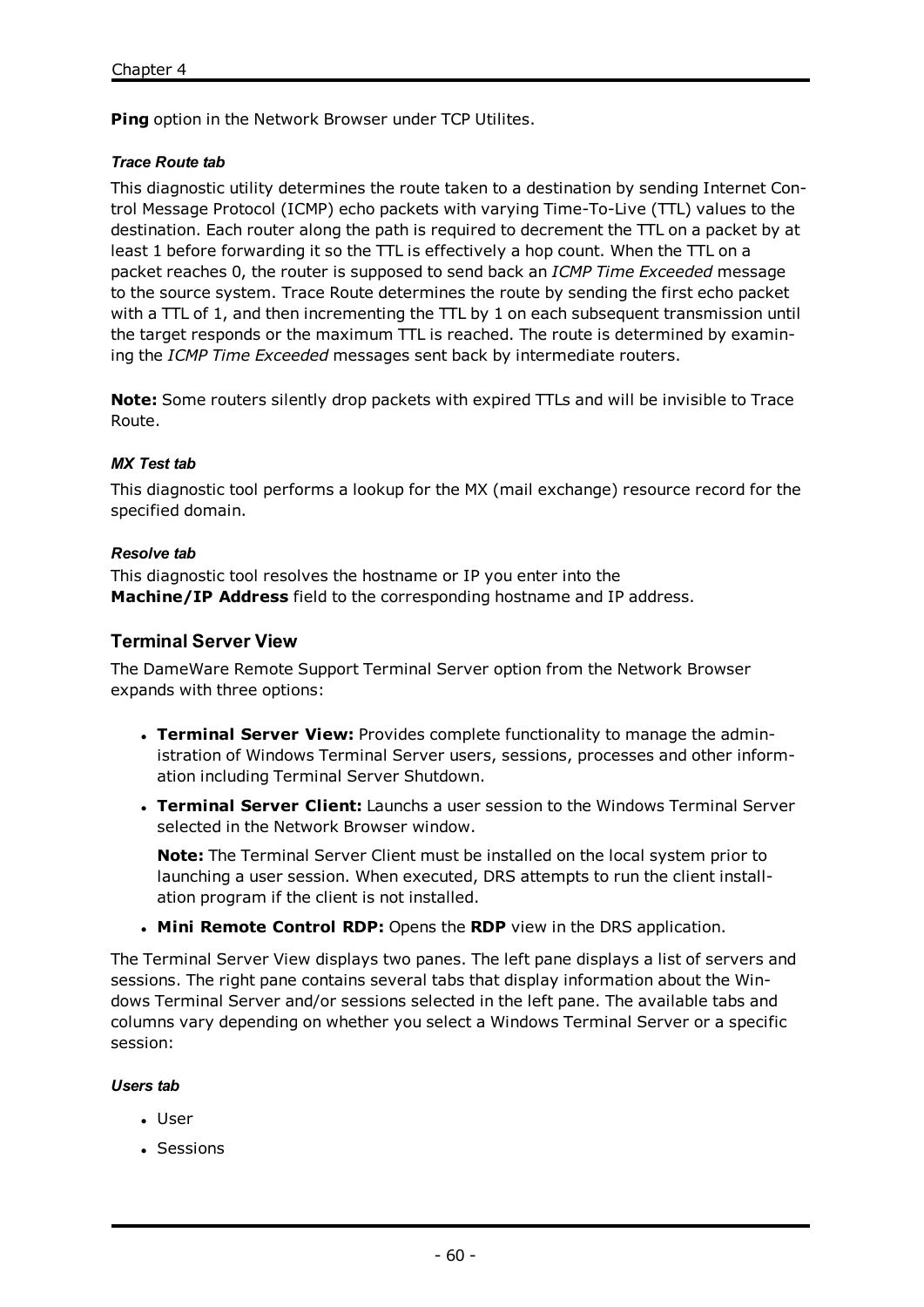**Ping** option in the Network Browser under TCP Utilites.

#### *Trace Route tab*

This diagnostic utility determines the route taken to a destination by sending Internet Control Message Protocol (ICMP) echo packets with varying Time-To-Live (TTL) values to the destination. Each router along the path is required to decrement the TTL on a packet by at least 1 before forwarding it so the TTL is effectively a hop count. When the TTL on a packet reaches 0, the router is supposed to send back an *ICMP Time Exceeded* message to the source system. Trace Route determines the route by sending the first echo packet with a TTL of 1, and then incrementing the TTL by 1 on each subsequent transmission until the target responds or the maximum TTL is reached. The route is determined by examining the *ICMP Time Exceeded* messages sent back by intermediate routers.

**Note:** Some routers silently drop packets with expired TTLs and will be invisible to Trace Route.

#### *MX Test tab*

This diagnostic tool performs a lookup for the MX (mail exchange) resource record for the specified domain.

#### *Resolve tab*

This diagnostic tool resolves the hostname or IP you enter into the **Machine/IP Address** field to the corresponding hostname and IP address.

### **Terminal Server View**

The DameWare Remote Support Terminal Server option from the Network Browser expands with three options:

- <sup>l</sup> **Terminal Server View:** Provides complete functionality to manage the administration of Windows Terminal Server users, sessions, processes and other information including Terminal Server Shutdown.
- <sup>l</sup> **Terminal Server Client:** Launchs a user session to the Windows Terminal Server selected in the Network Browser window.

**Note:** The Terminal Server Client must be installed on the local system prior to launching a user session. When executed, DRS attempts to run the client installation program if the client is not installed.

<sup>l</sup> **Mini Remote Control RDP:** Opens the **RDP** view in the DRS application.

The Terminal Server View displays two panes. The left pane displays a list of servers and sessions. The right pane contains several tabs that display information about the Windows Terminal Server and/or sessions selected in the left pane. The available tabs and columns vary depending on whether you select a Windows Terminal Server or a specific session:

#### *Users tab*

- User
- Sessions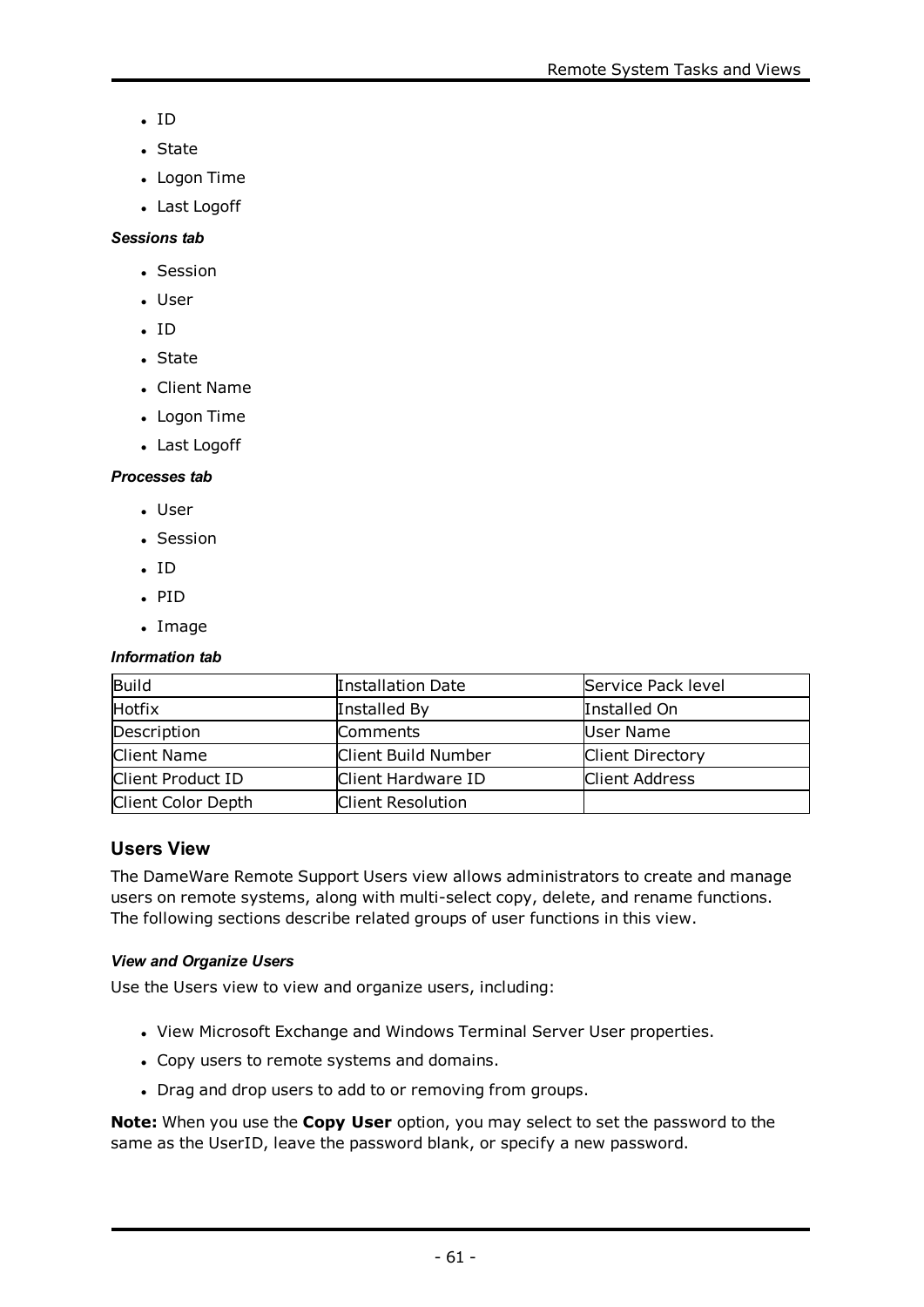- $\cdot$  ID
- State
- Logon Time
- Last Logoff

### *Sessions tab*

- Session
- . User
- $\cdot$  ID
- State
- Client Name
- Logon Time
- Last Logoff

# *Processes tab*

- User
- Session
- $\cdot$  ID
- $\cdot$  PID
- Image

### *Information tab*

| Build              | Installation Date   | Service Pack level      |
|--------------------|---------------------|-------------------------|
| <b>Hotfix</b>      | Installed By        | Installed On            |
| Description        | Comments            | User Name               |
| <b>Client Name</b> | Client Build Number | <b>Client Directory</b> |
| Client Product ID  | Client Hardware ID  | <b>Client Address</b>   |
| Client Color Depth | Client Resolution   |                         |

# **Users View**

The DameWare Remote Support Users view allows administrators to create and manage users on remote systems, along with multi-select copy, delete, and rename functions. The following sections describe related groups of user functions in this view.

### *View and Organize Users*

Use the Users view to view and organize users, including:

- View Microsoft Exchange and Windows Terminal Server User properties.
- Copy users to remote systems and domains.
- Drag and drop users to add to or removing from groups.

**Note:** When you use the **Copy User** option, you may select to set the password to the same as the UserID, leave the password blank, or specify a new password.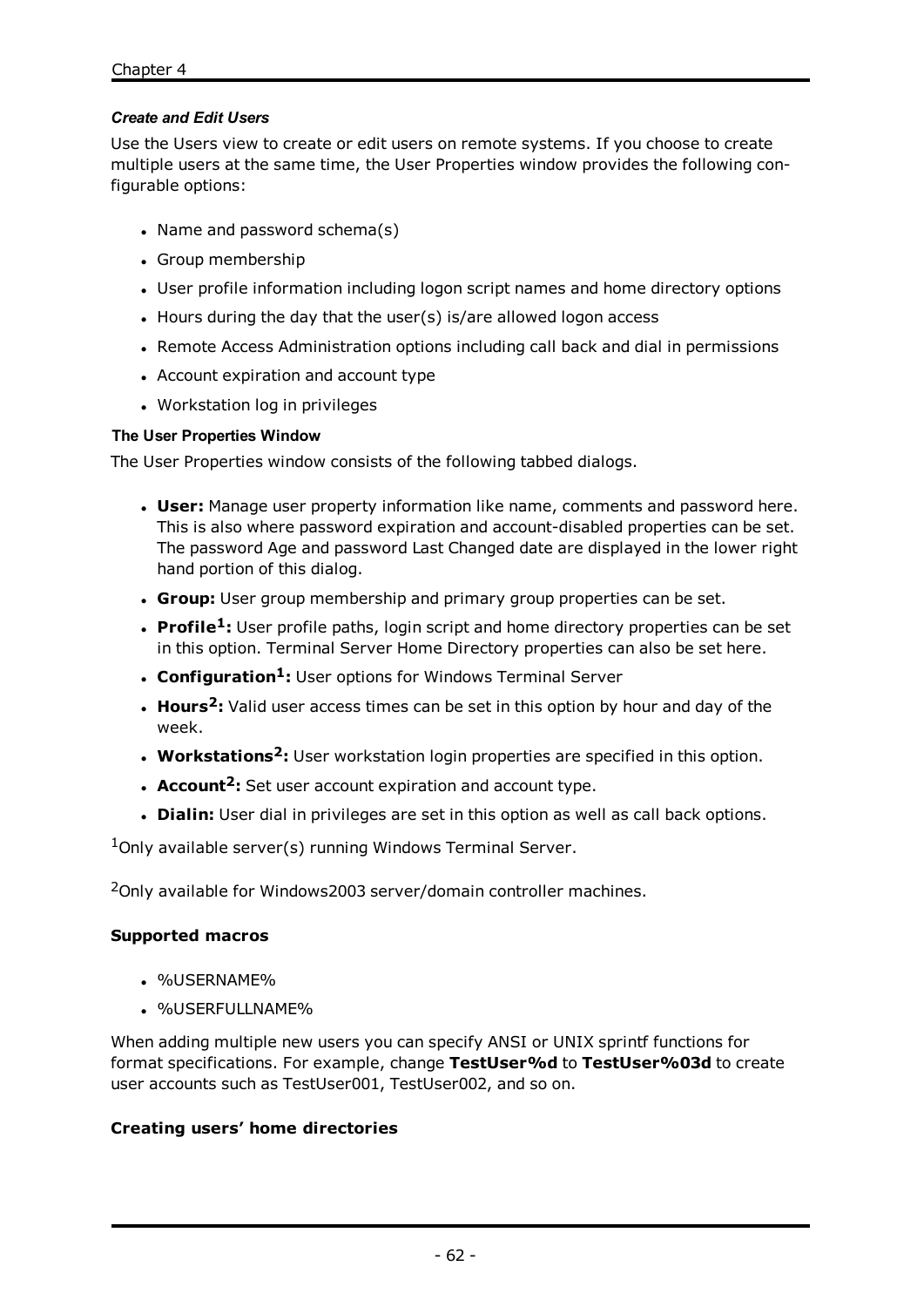### *Create and Edit Users*

Use the Users view to create or edit users on remote systems. If you choose to create multiple users at the same time, the User Properties window provides the following configurable options:

- $\bullet$  Name and password schema(s)
- Group membership
- User profile information including logon script names and home directory options
- $\bullet$  Hours during the day that the user(s) is/are allowed logon access
- Remote Access Administration options including call back and dial in permissions
- Account expiration and account type
- Workstation log in privileges

### **The User Properties Window**

The User Properties window consists of the following tabbed dialogs.

- **User:** Manage user property information like name, comments and password here. This is also where password expiration and account-disabled properties can be set. The password Age and password Last Changed date are displayed in the lower right hand portion of this dialog.
- **Group:** User group membership and primary group properties can be set.
- **Profile<sup>1</sup>**: User profile paths, login script and home directory properties can be set in this option. Terminal Server Home Directory properties can also be set here.
- <sup>l</sup> **Configuration1:** User options for Windows Terminal Server
- **Hours<sup>2</sup>**: Valid user access times can be set in this option by hour and day of the week.
- **Workstations<sup>2</sup>**: User workstation login properties are specified in this option.
- **Account<sup>2</sup>**: Set user account expiration and account type.
- **Dialin:** User dial in privileges are set in this option as well as call back options.

 $1$ Only available server(s) running Windows Terminal Server.

<sup>2</sup>Only available for Windows2003 server/domain controller machines.

### **Supported macros**

- %USERNAME%
- **.** %USERFULLNAME%

When adding multiple new users you can specify ANSI or UNIX sprintf functions for format specifications. For example, change **TestUser%d** to **TestUser%03d** to create user accounts such as TestUser001, TestUser002, and so on.

### **Creating users' home directories**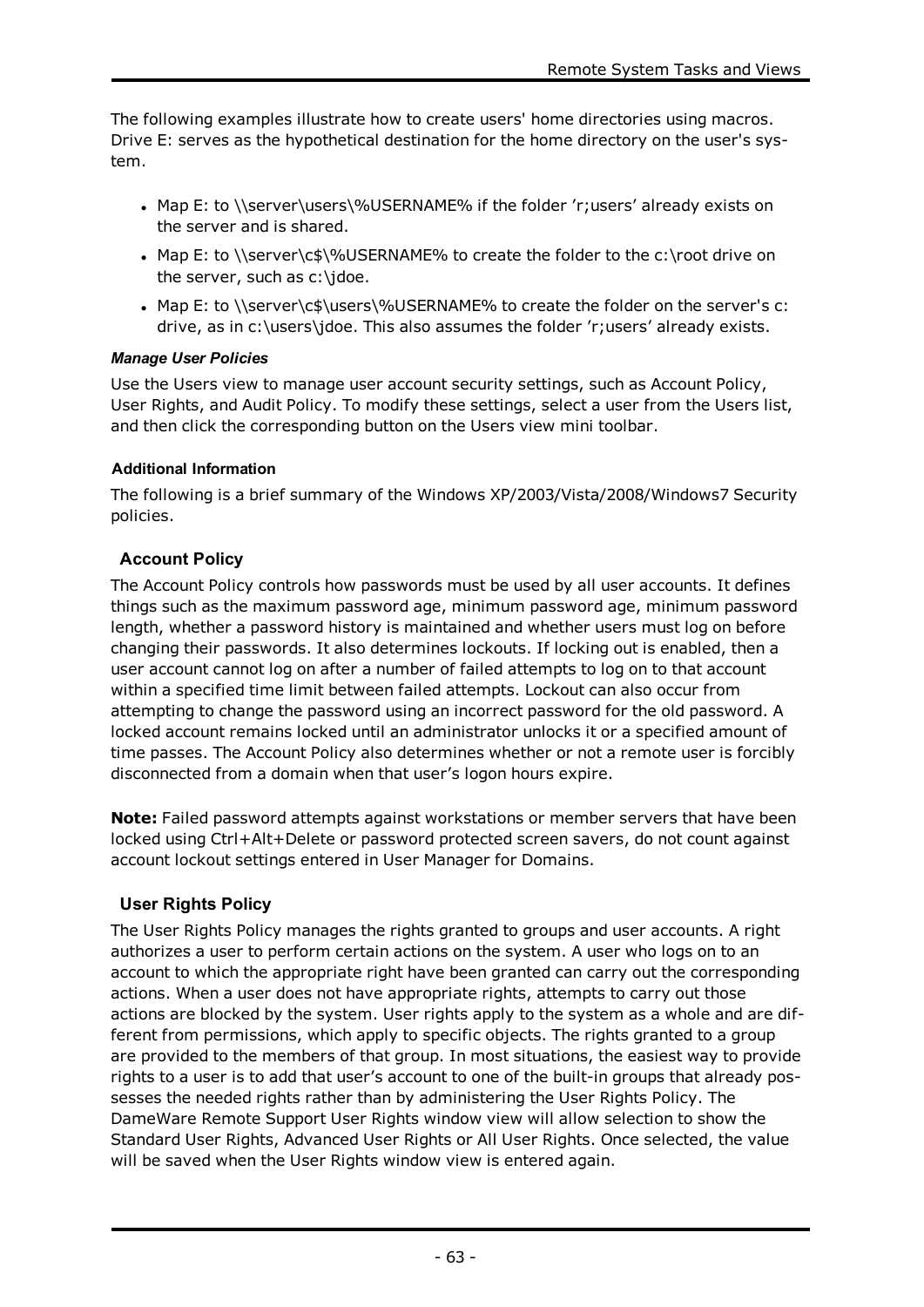The following examples illustrate how to create users' home directories using macros. Drive E: serves as the hypothetical destination for the home directory on the user's system.

- Map E: to \\server\users\%USERNAME% if the folder 'r;users' already exists on the server and is shared.
- Map E: to \\server\c\$\%USERNAME% to create the folder to the c:\root drive on the server, such as c:\jdoe.
- Map E: to \\server\c\$\users\%USERNAME% to create the folder on the server's c: drive, as in c:\users\jdoe. This also assumes the folder 'r;users' already exists.

# *Manage User Policies*

Use the Users view to manage user account security settings, such as Account Policy, User Rights, and Audit Policy. To modify these settings, select a user from the Users list, and then click the corresponding button on the Users view mini toolbar.

# **Additional Information**

The following is a brief summary of the Windows XP/2003/Vista/2008/Windows7 Security policies.

# **Account Policy**

The Account Policy controls how passwords must be used by all user accounts. It defines things such as the maximum password age, minimum password age, minimum password length, whether a password history is maintained and whether users must log on before changing their passwords. It also determines lockouts. If locking out is enabled, then a user account cannot log on after a number of failed attempts to log on to that account within a specified time limit between failed attempts. Lockout can also occur from attempting to change the password using an incorrect password for the old password. A locked account remains locked until an administrator unlocks it or a specified amount of time passes. The Account Policy also determines whether or not a remote user is forcibly disconnected from a domain when that user's logon hours expire.

**Note:** Failed password attempts against workstations or member servers that have been locked using Ctrl+Alt+Delete or password protected screen savers, do not count against account lockout settings entered in User Manager for Domains.

# **User Rights Policy**

The User Rights Policy manages the rights granted to groups and user accounts. A right authorizes a user to perform certain actions on the system. A user who logs on to an account to which the appropriate right have been granted can carry out the corresponding actions. When a user does not have appropriate rights, attempts to carry out those actions are blocked by the system. User rights apply to the system as a whole and are different from permissions, which apply to specific objects. The rights granted to a group are provided to the members of that group. In most situations, the easiest way to provide rights to a user is to add that user's account to one of the built-in groups that already possesses the needed rights rather than by administering the User Rights Policy. The DameWare Remote Support User Rights window view will allow selection to show the Standard User Rights, Advanced User Rights or All User Rights. Once selected, the value will be saved when the User Rights window view is entered again.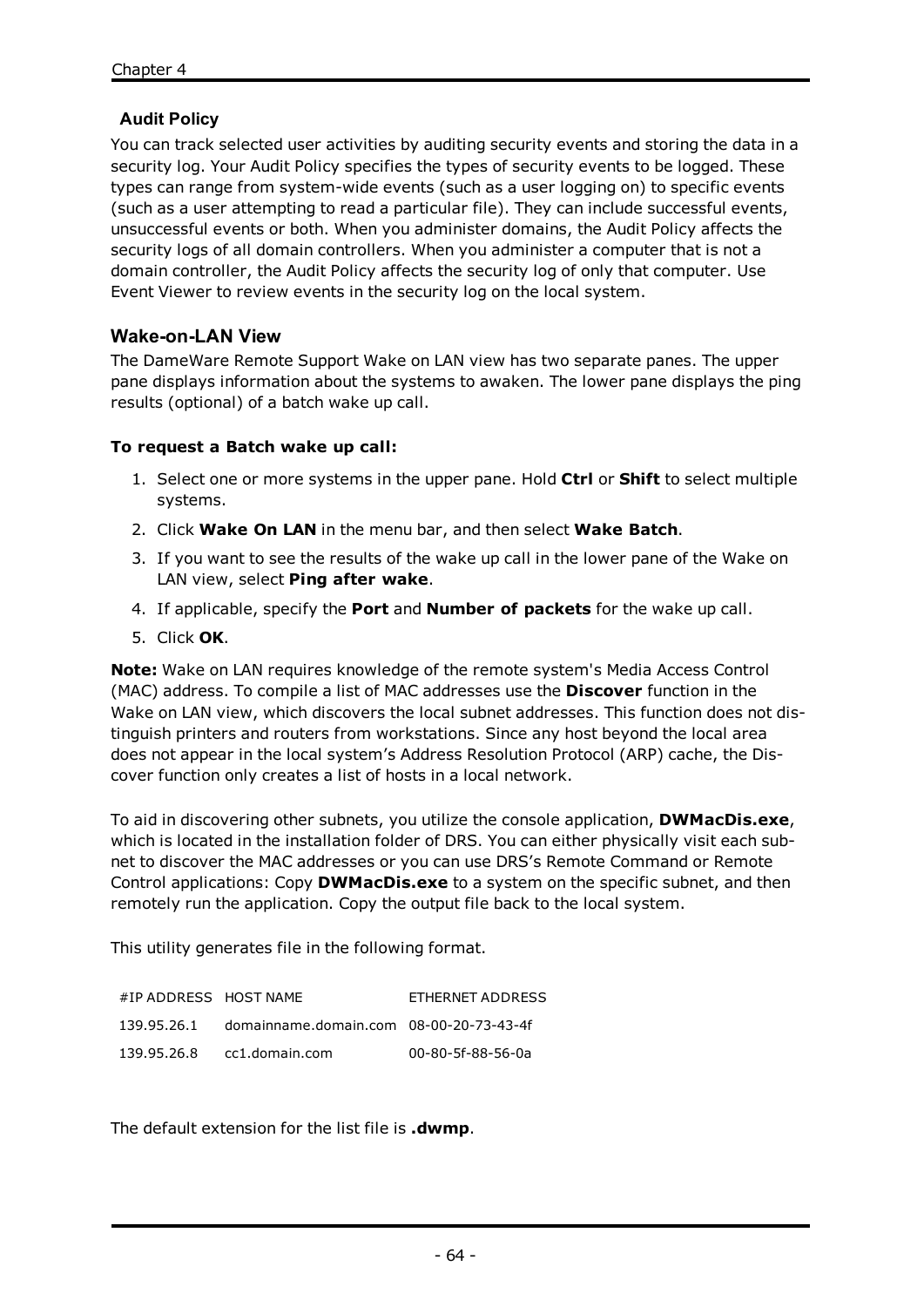# **Audit Policy**

You can track selected user activities by auditing security events and storing the data in a security log. Your Audit Policy specifies the types of security events to be logged. These types can range from system-wide events (such as a user logging on) to specific events (such as a user attempting to read a particular file). They can include successful events, unsuccessful events or both. When you administer domains, the Audit Policy affects the security logs of all domain controllers. When you administer a computer that is not a domain controller, the Audit Policy affects the security log of only that computer. Use Event Viewer to review events in the security log on the local system.

# **Wake-on-LAN View**

The DameWare Remote Support Wake on LAN view has two separate panes. The upper pane displays information about the systems to awaken. The lower pane displays the ping results (optional) of a batch wake up call.

### **To request a Batch wake up call:**

- 1. Select one or more systems in the upper pane. Hold **Ctrl** or **Shift** to select multiple systems.
- 2. Click **Wake On LAN** in the menu bar, and then select **Wake Batch**.
- 3. If you want to see the results of the wake up call in the lower pane of the Wake on LAN view, select **Ping after wake**.
- 4. If applicable, specify the **Port** and **Number of packets** for the wake up call.
- 5. Click **OK**.

**Note:** Wake on LAN requires knowledge of the remote system's Media Access Control (MAC) address. To compile a list of MAC addresses use the **Discover** function in the Wake on LAN view, which discovers the local subnet addresses. This function does not distinguish printers and routers from workstations. Since any host beyond the local area does not appear in the local system's Address Resolution Protocol (ARP) cache, the Discover function only creates a list of hosts in a local network.

To aid in discovering other subnets, you utilize the console application, **DWMacDis.exe**, which is located in the installation folder of DRS. You can either physically visit each subnet to discover the MAC addresses or you can use DRS's Remote Command or Remote Control applications: Copy **DWMacDis.exe** to a system on the specific subnet, and then remotely run the application. Copy the output file back to the local system.

This utility generates file in the following format.

| #IP ADDRESS HOST NAME |                                         | ETHERNET ADDRESS  |
|-----------------------|-----------------------------------------|-------------------|
| 139.95.26.1           | domainname.domain.com 08-00-20-73-43-4f |                   |
| 139.95.26.8           | cc1.domain.com                          | 00-80-5f-88-56-0a |

The default extension for the list file is **.dwmp**.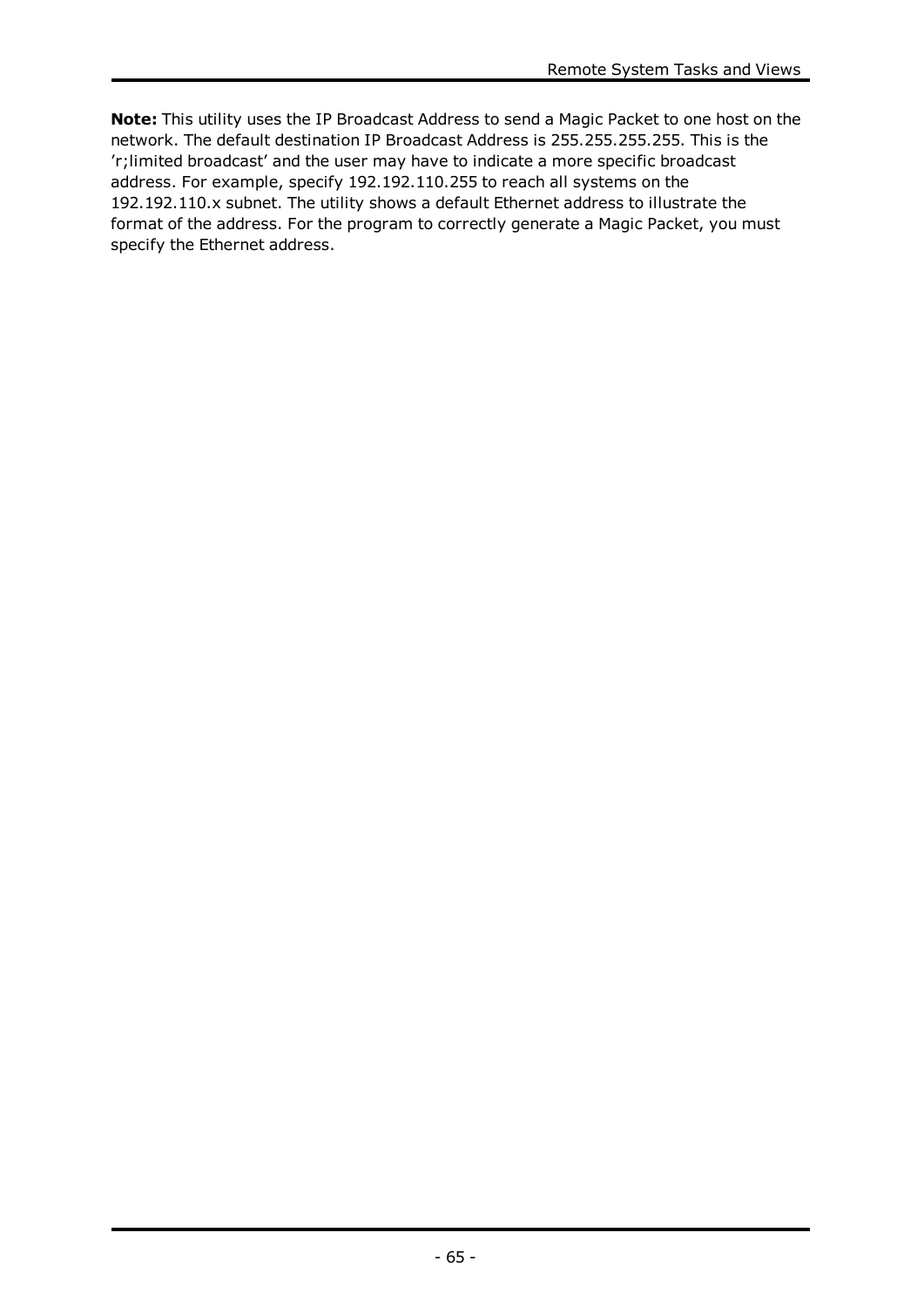**Note:** This utility uses the IP Broadcast Address to send a Magic Packet to one host on the network. The default destination IP Broadcast Address is 255.255.255.255. This is the 'r;limited broadcast' and the user may have to indicate a more specific broadcast address. For example, specify 192.192.110.255 to reach all systems on the 192.192.110.x subnet. The utility shows a default Ethernet address to illustrate the format of the address. For the program to correctly generate a Magic Packet, you must specify the Ethernet address.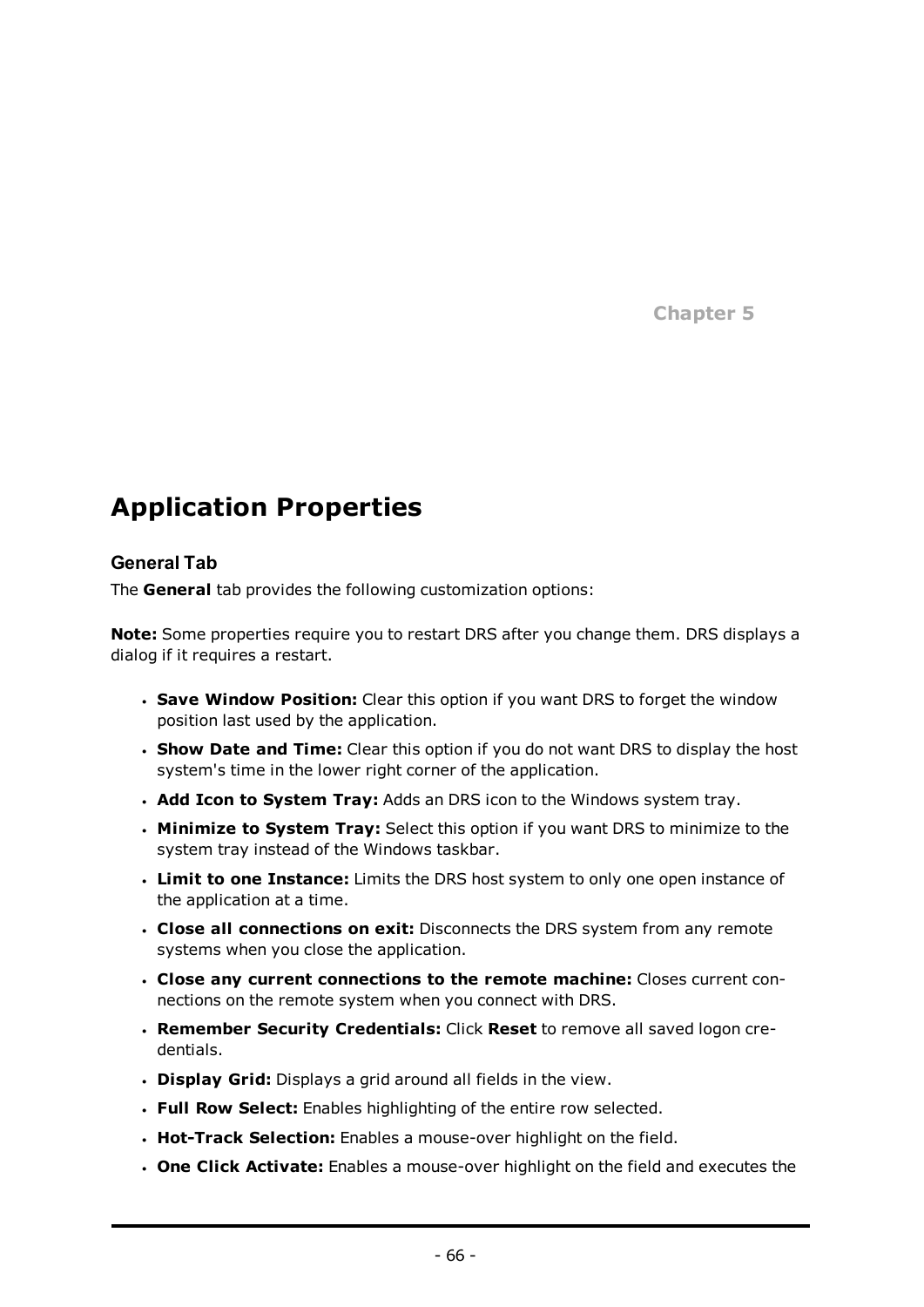**Chapter 5**

# **Application Properties**

# **General Tab**

The **General** tab provides the following customization options:

**Note:** Some properties require you to restart DRS after you change them. DRS displays a dialog if it requires a restart.

- <sup>l</sup> **Save Window Position:** Clear this option if you want DRS to forget the window position last used by the application.
- <sup>l</sup> **Show Date and Time:** Clear this option if you do not want DRS to display the host system's time in the lower right corner of the application.
- <sup>l</sup> **Add Icon to System Tray:** Adds an DRS icon to the Windows system tray.
- **. Minimize to System Tray:** Select this option if you want DRS to minimize to the system tray instead of the Windows taskbar.
- <sup>l</sup> **Limit to one Instance:** Limits the DRS host system to only one open instance of the application at a time.
- <sup>l</sup> **Close all connections on exit:** Disconnects the DRS system from any remote systems when you close the application.
- <sup>l</sup> **Close any current connections to the remote machine:** Closes current connections on the remote system when you connect with DRS.
- <sup>l</sup> **Remember Security Credentials:** Click **Reset** to remove all saved logon credentials.
- <sup>l</sup> **Display Grid:** Displays a grid around all fields in the view.
- <sup>l</sup> **Full Row Select:** Enables highlighting of the entire row selected.
- **Hot-Track Selection:** Enables a mouse-over highlight on the field.
- <sup>l</sup> **One Click Activate:** Enables a mouse-over highlight on the field and executes the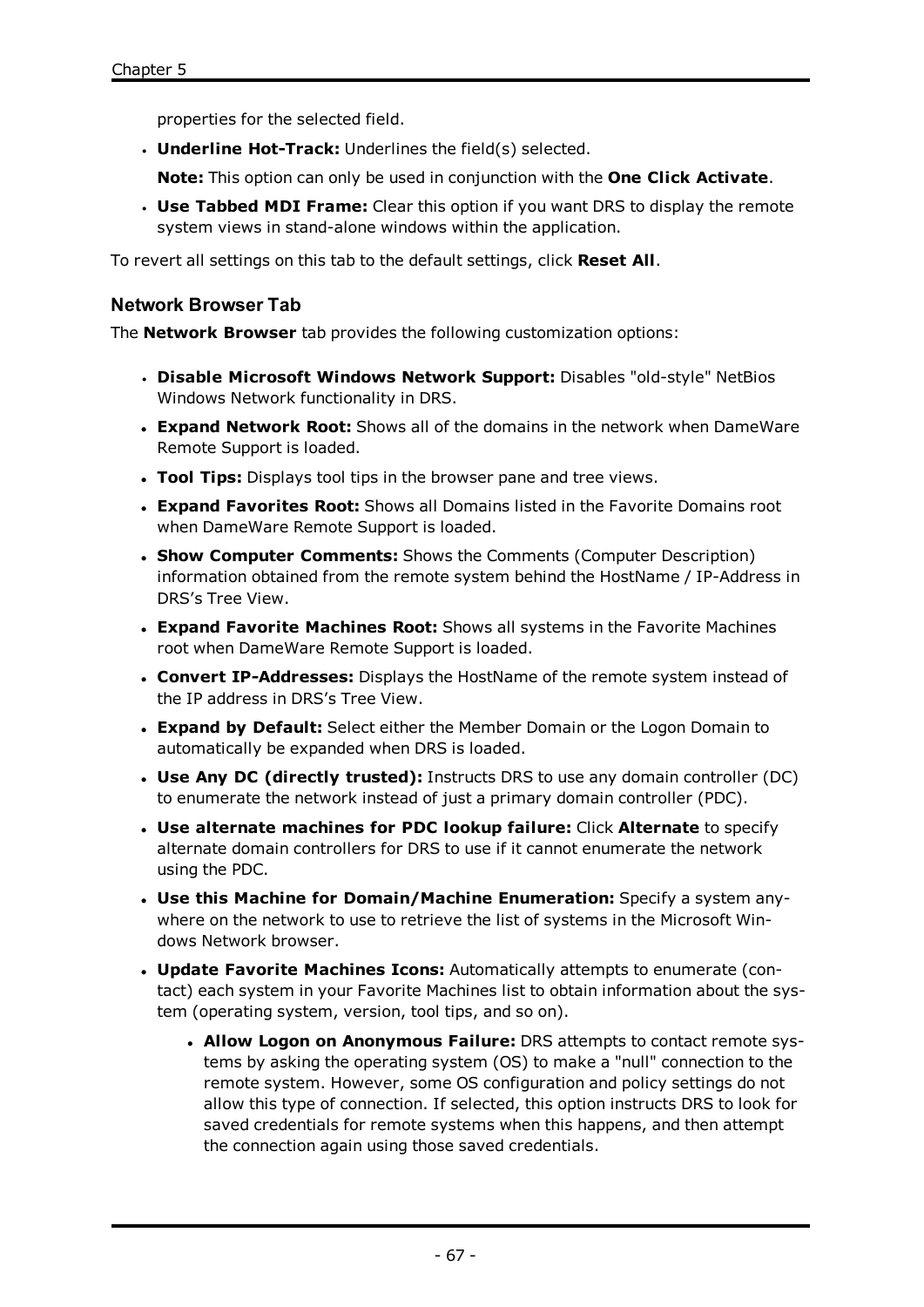properties for the selected field.

**· Underline Hot-Track:** Underlines the field(s) selected.

**Note:** This option can only be used in conjunction with the **One Click Activate**.

<sup>l</sup> **Use Tabbed MDI Frame:** Clear this option if you want DRS to display the remote system views in stand-alone windows within the application.

To revert all settings on this tab to the default settings, click **Reset All**.

### **Network Browser Tab**

The **Network Browser** tab provides the following customization options:

- <sup>l</sup> **Disable Microsoft Windows Network Support:** Disables "old-style" NetBios Windows Network functionality in DRS.
- <sup>l</sup> **Expand Network Root:** Shows all of the domains in the network when DameWare Remote Support is loaded.
- **· Tool Tips:** Displays tool tips in the browser pane and tree views.
- <sup>l</sup> **Expand Favorites Root:** Shows all Domains listed in the Favorite Domains root when DameWare Remote Support is loaded.
- <sup>l</sup> **Show Computer Comments:** Shows the Comments (Computer Description) information obtained from the remote system behind the HostName / IP-Address in DRS's Tree View.
- <sup>l</sup> **Expand Favorite Machines Root:** Shows all systems in the Favorite Machines root when DameWare Remote Support is loaded.
- <sup>l</sup> **Convert IP-Addresses:** Displays the HostName of the remote system instead of the IP address in DRS's Tree View.
- <sup>l</sup> **Expand by Default:** Select either the Member Domain or the Logon Domain to automatically be expanded when DRS is loaded.
- <sup>l</sup> **Use Any DC (directly trusted):** Instructs DRS to use any domain controller (DC) to enumerate the network instead of just a primary domain controller (PDC).
- <sup>l</sup> **Use alternate machines for PDC lookup failure:** Click **Alternate** to specify alternate domain controllers for DRS to use if it cannot enumerate the network using the PDC.
- <sup>l</sup> **Use this Machine for Domain/Machine Enumeration:** Specify a system anywhere on the network to use to retrieve the list of systems in the Microsoft Windows Network browser.
- <sup>l</sup> **Update Favorite Machines Icons:** Automatically attempts to enumerate (contact) each system in your Favorite Machines list to obtain information about the system (operating system, version, tool tips, and so on).
	- <sup>l</sup> **Allow Logon on Anonymous Failure:** DRS attempts to contact remote systems by asking the operating system (OS) to make a "null" connection to the remote system. However, some OS configuration and policy settings do not allow this type of connection. If selected, this option instructs DRS to look for saved credentials for remote systems when this happens, and then attempt the connection again using those saved credentials.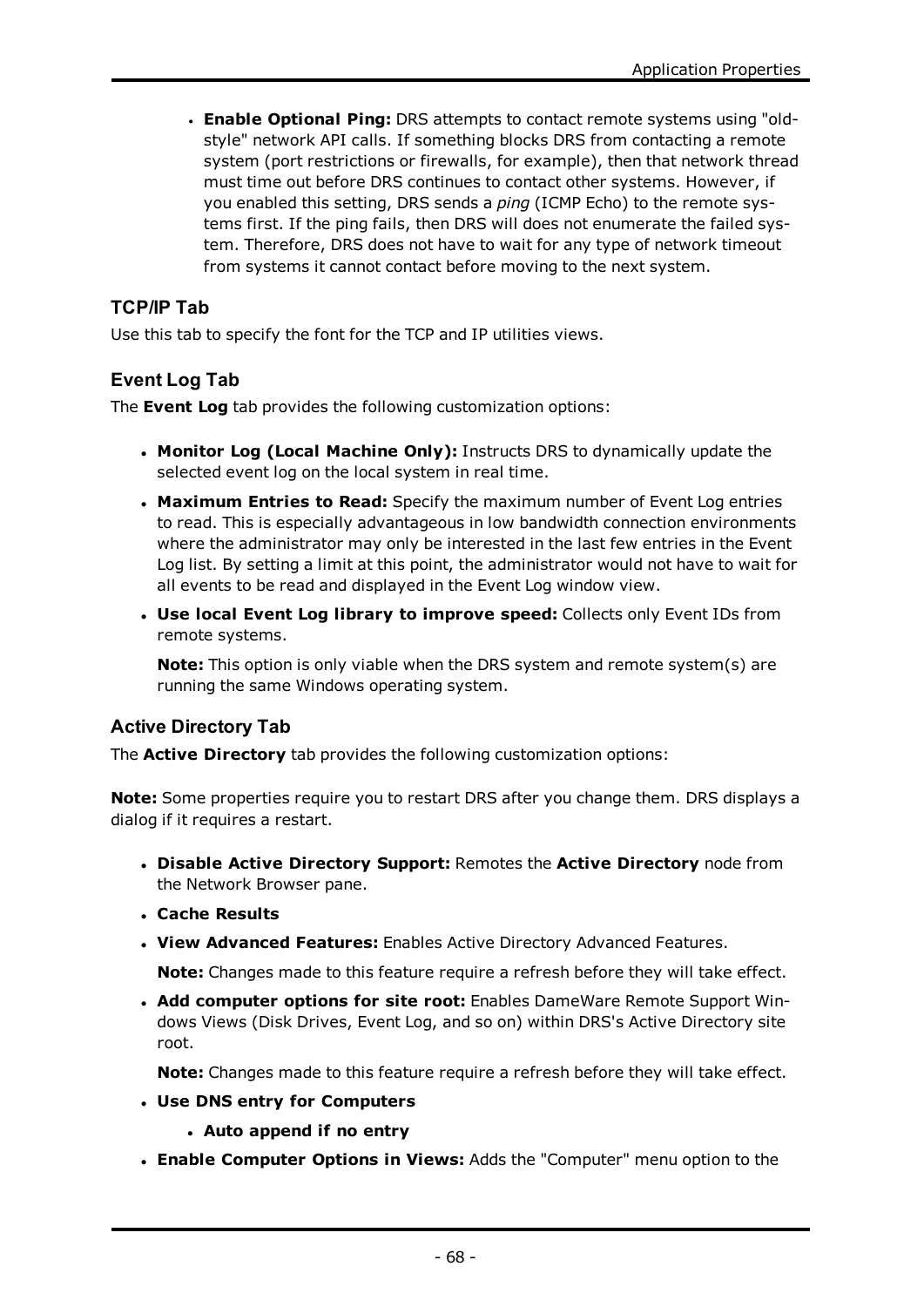<sup>l</sup> **Enable Optional Ping:** DRS attempts to contact remote systems using "oldstyle" network API calls. If something blocks DRS from contacting a remote system (port restrictions or firewalls, for example), then that network thread must time out before DRS continues to contact other systems. However, if you enabled this setting, DRS sends a *ping* (ICMP Echo) to the remote systems first. If the ping fails, then DRS will does not enumerate the failed system. Therefore, DRS does not have to wait for any type of network timeout from systems it cannot contact before moving to the next system.

# **TCP/IP Tab**

Use this tab to specify the font for the TCP and IP utilities views.

# **Event Log Tab**

The **Event Log** tab provides the following customization options:

- <sup>l</sup> **Monitor Log (Local Machine Only):** Instructs DRS to dynamically update the selected event log on the local system in real time.
- <sup>l</sup> **Maximum Entries to Read:** Specify the maximum number of Event Log entries to read. This is especially advantageous in low bandwidth connection environments where the administrator may only be interested in the last few entries in the Event Log list. By setting a limit at this point, the administrator would not have to wait for all events to be read and displayed in the Event Log window view.
- <sup>l</sup> **Use local Event Log library to improve speed:** Collects only Event IDs from remote systems.

**Note:** This option is only viable when the DRS system and remote system(s) are running the same Windows operating system.

# **Active Directory Tab**

The **Active Directory** tab provides the following customization options:

**Note:** Some properties require you to restart DRS after you change them. DRS displays a dialog if it requires a restart.

- <sup>l</sup> **Disable Active Directory Support:** Remotes the **Active Directory** node from the Network Browser pane.
- <sup>l</sup> **Cache Results**
- <sup>l</sup> **View Advanced Features:** Enables Active Directory Advanced Features.

**Note:** Changes made to this feature require a refresh before they will take effect.

<sup>l</sup> **Add computer options for site root:** Enables DameWare Remote Support Windows Views (Disk Drives, Event Log, and so on) within DRS's Active Directory site root.

**Note:** Changes made to this feature require a refresh before they will take effect.

- <sup>l</sup> **Use DNS entry for Computers**
	- <sup>l</sup> **Auto append if no entry**
- <sup>l</sup> **Enable Computer Options in Views:** Adds the "Computer" menu option to the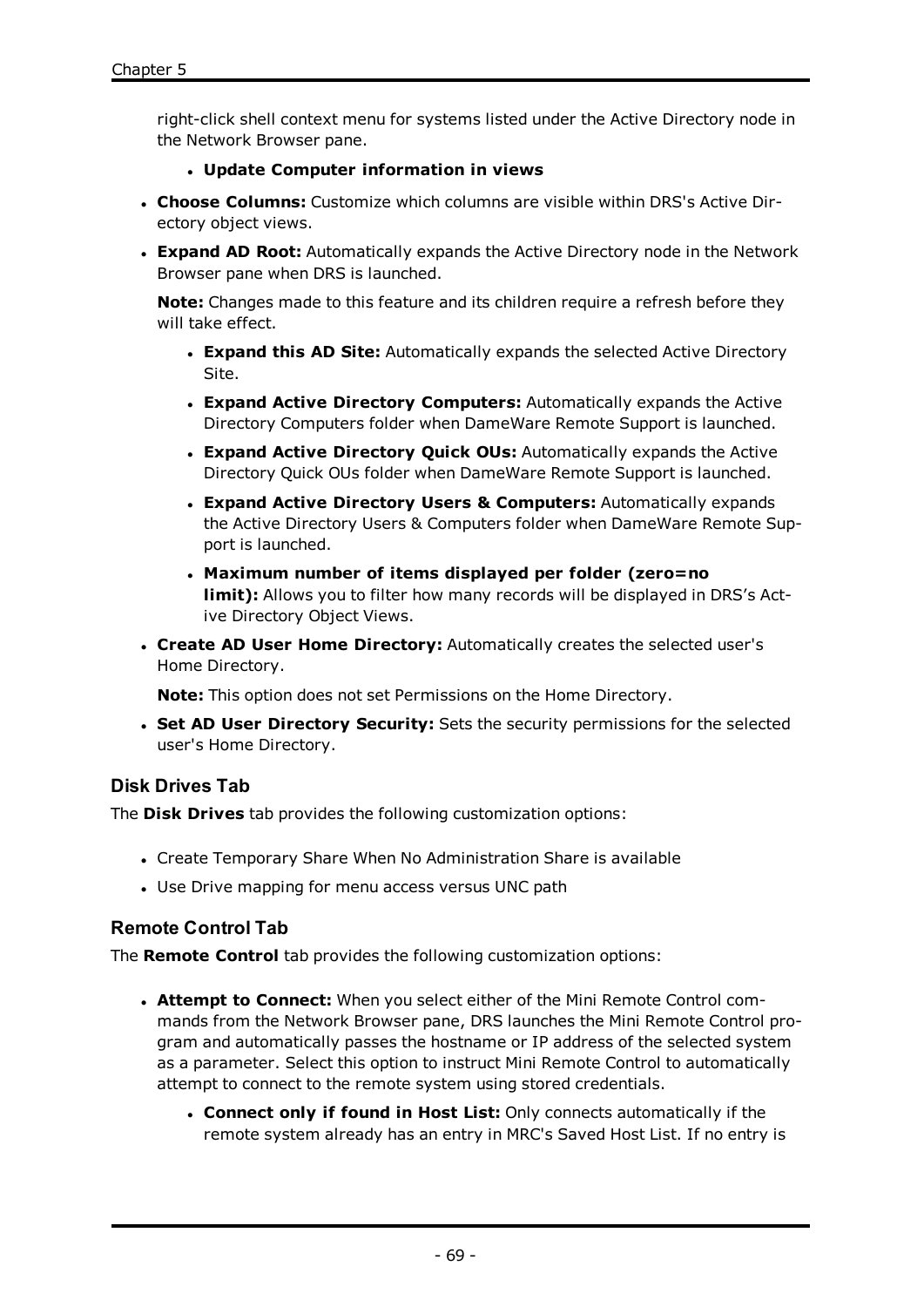right-click shell context menu for systems listed under the Active Directory node in the Network Browser pane.

#### <sup>l</sup> **Update Computer information in views**

- <sup>l</sup> **Choose Columns:** Customize which columns are visible within DRS's Active Directory object views.
- **Expand AD Root:** Automatically expands the Active Directory node in the Network Browser pane when DRS is launched.

**Note:** Changes made to this feature and its children require a refresh before they will take effect.

- <sup>l</sup> **Expand this AD Site:** Automatically expands the selected Active Directory Site.
- <sup>l</sup> **Expand Active Directory Computers:** Automatically expands the Active Directory Computers folder when DameWare Remote Support is launched.
- <sup>l</sup> **Expand Active Directory Quick OUs:** Automatically expands the Active Directory Quick OUs folder when DameWare Remote Support is launched.
- <sup>l</sup> **Expand Active Directory Users & Computers:** Automatically expands the Active Directory Users & Computers folder when DameWare Remote Support is launched.
- <sup>l</sup> **Maximum number of items displayed per folder (zero=no limit):** Allows you to filter how many records will be displayed in DRS's Active Directory Object Views.
- <sup>l</sup> **Create AD User Home Directory:** Automatically creates the selected user's Home Directory.

**Note:** This option does not set Permissions on the Home Directory.

<sup>l</sup> **Set AD User Directory Security:** Sets the security permissions for the selected user's Home Directory.

# **Disk Drives Tab**

The **Disk Drives** tab provides the following customization options:

- Create Temporary Share When No Administration Share is available
- Use Drive mapping for menu access versus UNC path

# <span id="page-71-0"></span>**Remote Control Tab**

The **Remote Control** tab provides the following customization options:

- <sup>l</sup> **Attempt to Connect:** When you select either of the Mini Remote Control commands from the Network Browser pane, DRS launches the Mini Remote Control program and automatically passes the hostname or IP address of the selected system as a parameter. Select this option to instruct Mini Remote Control to automatically attempt to connect to the remote system using stored credentials.
	- <sup>l</sup> **Connect only if found in Host List:** Only connects automatically if the remote system already has an entry in MRC's Saved Host List. If no entry is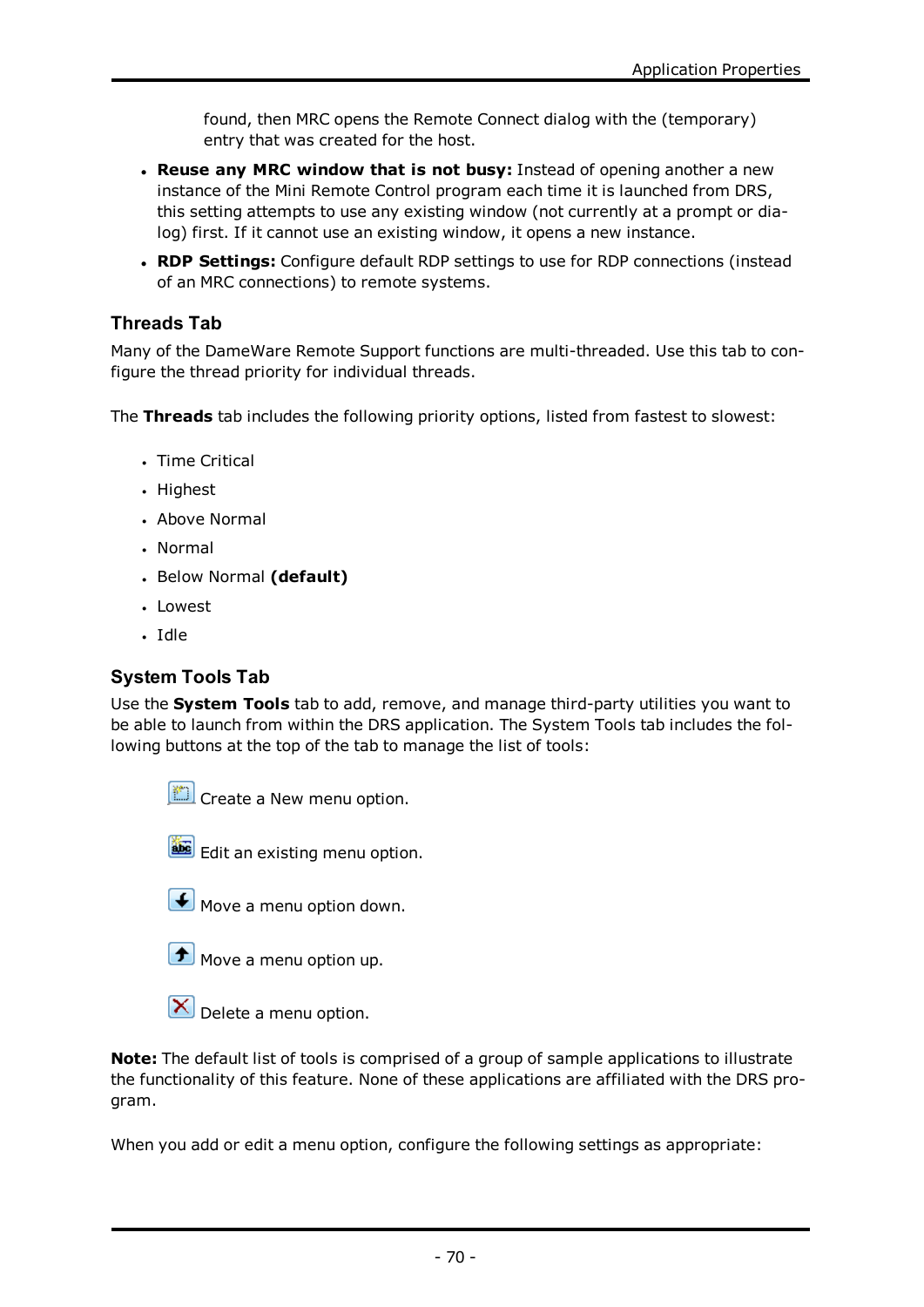found, then MRC opens the Remote Connect dialog with the (temporary) entry that was created for the host.

- <sup>l</sup> **Reuse any MRC window that is not busy:** Instead of opening another a new instance of the Mini Remote Control program each time it is launched from DRS, this setting attempts to use any existing window (not currently at a prompt or dialog) first. If it cannot use an existing window, it opens a new instance.
- <sup>l</sup> **RDP Settings:** Configure default RDP settings to use for RDP connections (instead of an MRC connections) to remote systems.

# **Threads Tab**

Many of the DameWare Remote Support functions are multi-threaded. Use this tab to configure the thread priority for individual threads.

The **Threads** tab includes the following priority options, listed from fastest to slowest:

- Time Critical
- Highest
- Above Normal
- Normal
- **.** Below Normal (default)
- Lowest
- · Idle

# **System Tools Tab**

Use the **System Tools** tab to add, remove, and manage third-party utilities you want to be able to launch from within the DRS application. The System Tools tab includes the following buttons at the top of the tab to manage the list of tools:



**Create a New menu option.** 

Edit an existing menu option.



**f** Move a menu option up.



**Note:** The default list of tools is comprised of a group of sample applications to illustrate the functionality of this feature. None of these applications are affiliated with the DRS program.

When you add or edit a menu option, configure the following settings as appropriate: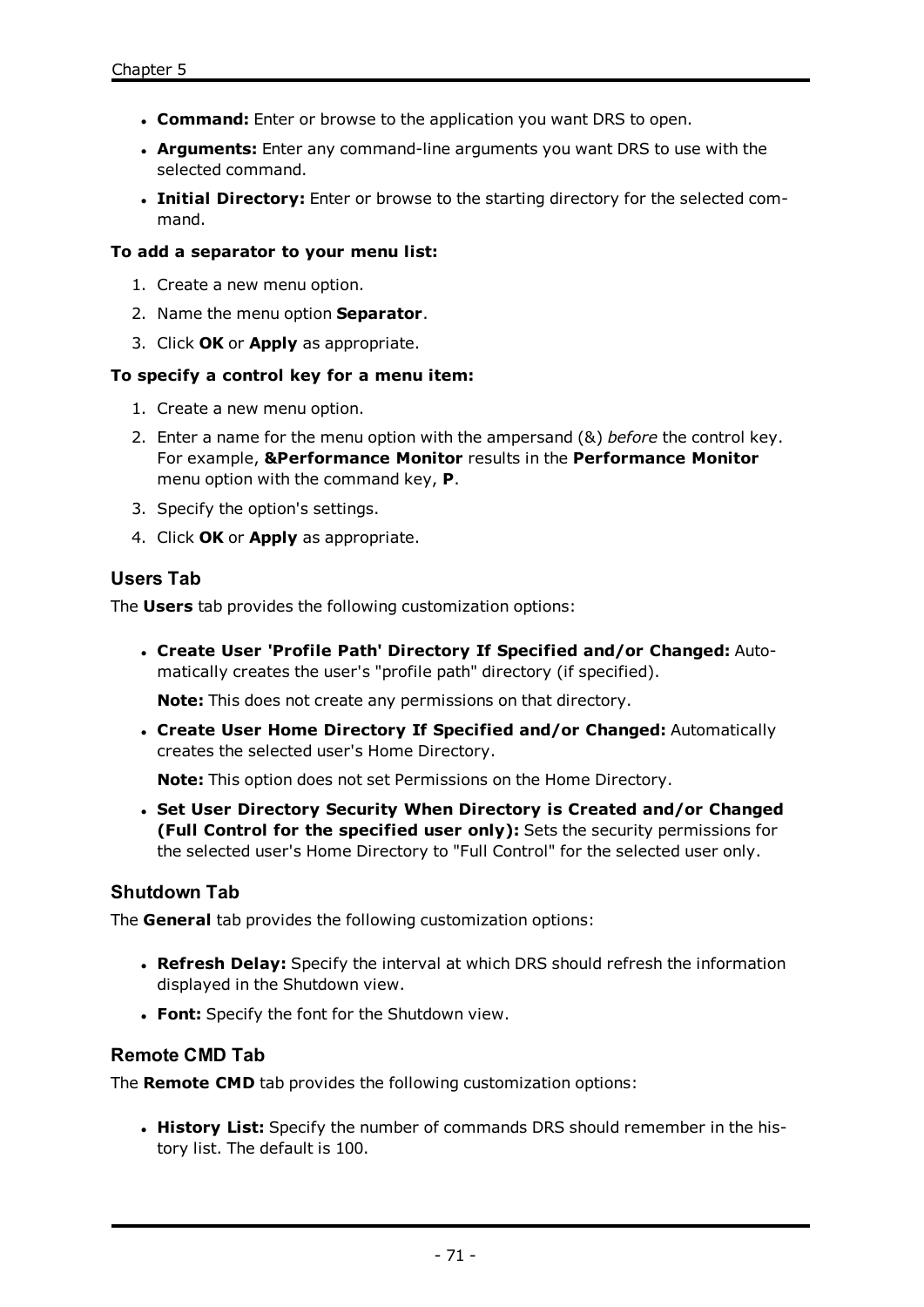- **. Command:** Enter or browse to the application you want DRS to open.
- **Arguments:** Enter any command-line arguments you want DRS to use with the selected command.
- **. Initial Directory:** Enter or browse to the starting directory for the selected command.

#### **To add a separator to your menu list:**

- 1. Create a new menu option.
- 2. Name the menu option **Separator**.
- 3. Click **OK** or **Apply** as appropriate.

#### **To specify a control key for a menu item:**

- 1. Create a new menu option.
- 2. Enter a name for the menu option with the ampersand (&) *before* the control key. For example, **&Performance Monitor** results in the **Performance Monitor** menu option with the command key, **P**.
- 3. Specify the option's settings.
- 4. Click **OK** or **Apply** as appropriate.

## **Users Tab**

The **Users** tab provides the following customization options:

<sup>l</sup> **Create User 'Profile Path' Directory If Specified and/or Changed:** Automatically creates the user's "profile path" directory (if specified).

**Note:** This does not create any permissions on that directory.

<sup>l</sup> **Create User Home Directory If Specified and/or Changed:** Automatically creates the selected user's Home Directory.

**Note:** This option does not set Permissions on the Home Directory.

<sup>l</sup> **Set User Directory Security When Directory is Created and/or Changed (Full Control for the specified user only):** Sets the security permissions for the selected user's Home Directory to "Full Control" for the selected user only.

## **Shutdown Tab**

The **General** tab provides the following customization options:

- **. Refresh Delay:** Specify the interval at which DRS should refresh the information displayed in the Shutdown view.
- **Font:** Specify the font for the Shutdown view.

## **Remote CMD Tab**

The **Remote CMD** tab provides the following customization options:

**. History List:** Specify the number of commands DRS should remember in the history list. The default is 100.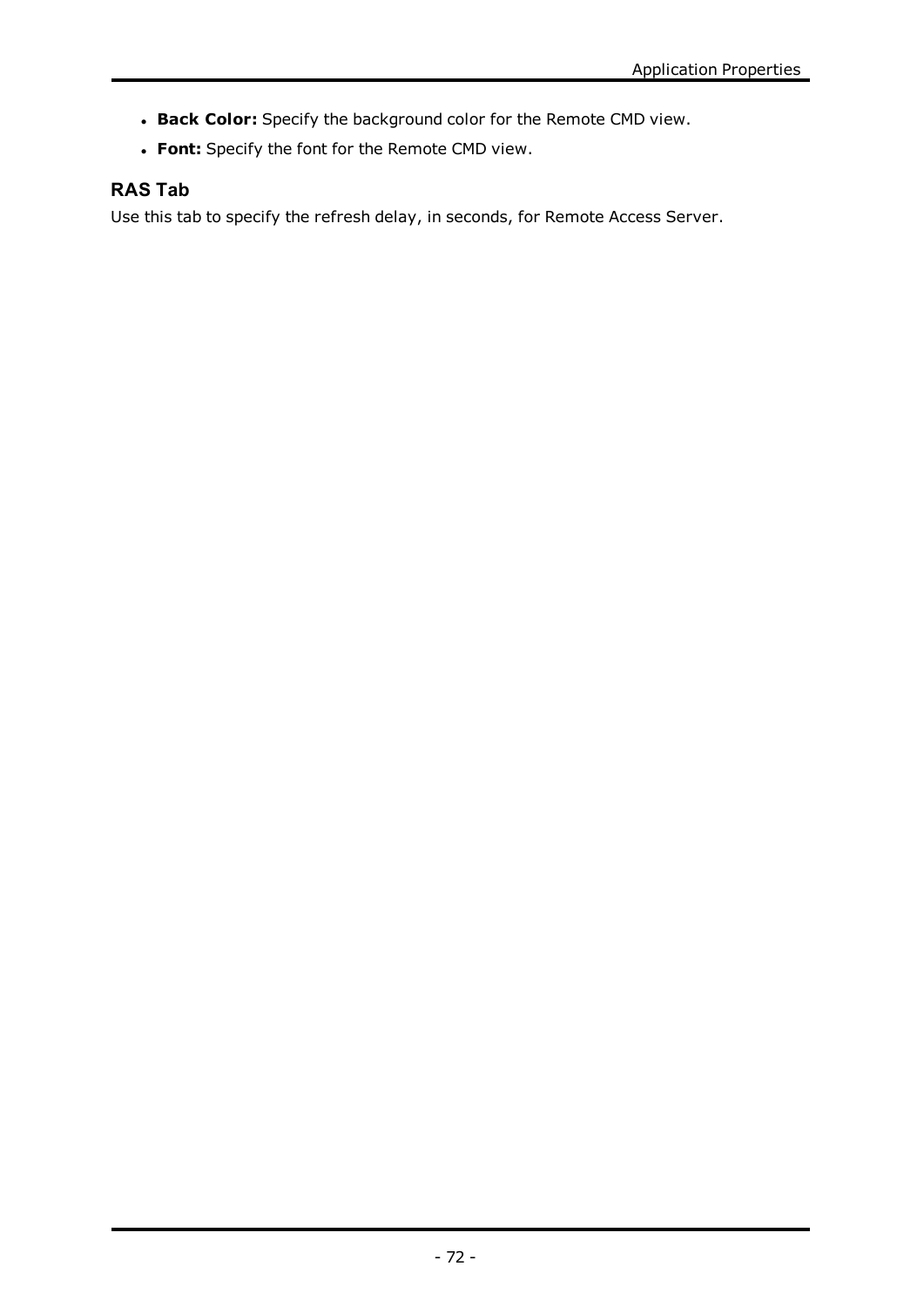- <sup>l</sup> **Back Color:** Specify the background color for the Remote CMD view.
- **· Font:** Specify the font for the Remote CMD view.

# **RAS Tab**

Use this tab to specify the refresh delay, in seconds, for Remote Access Server.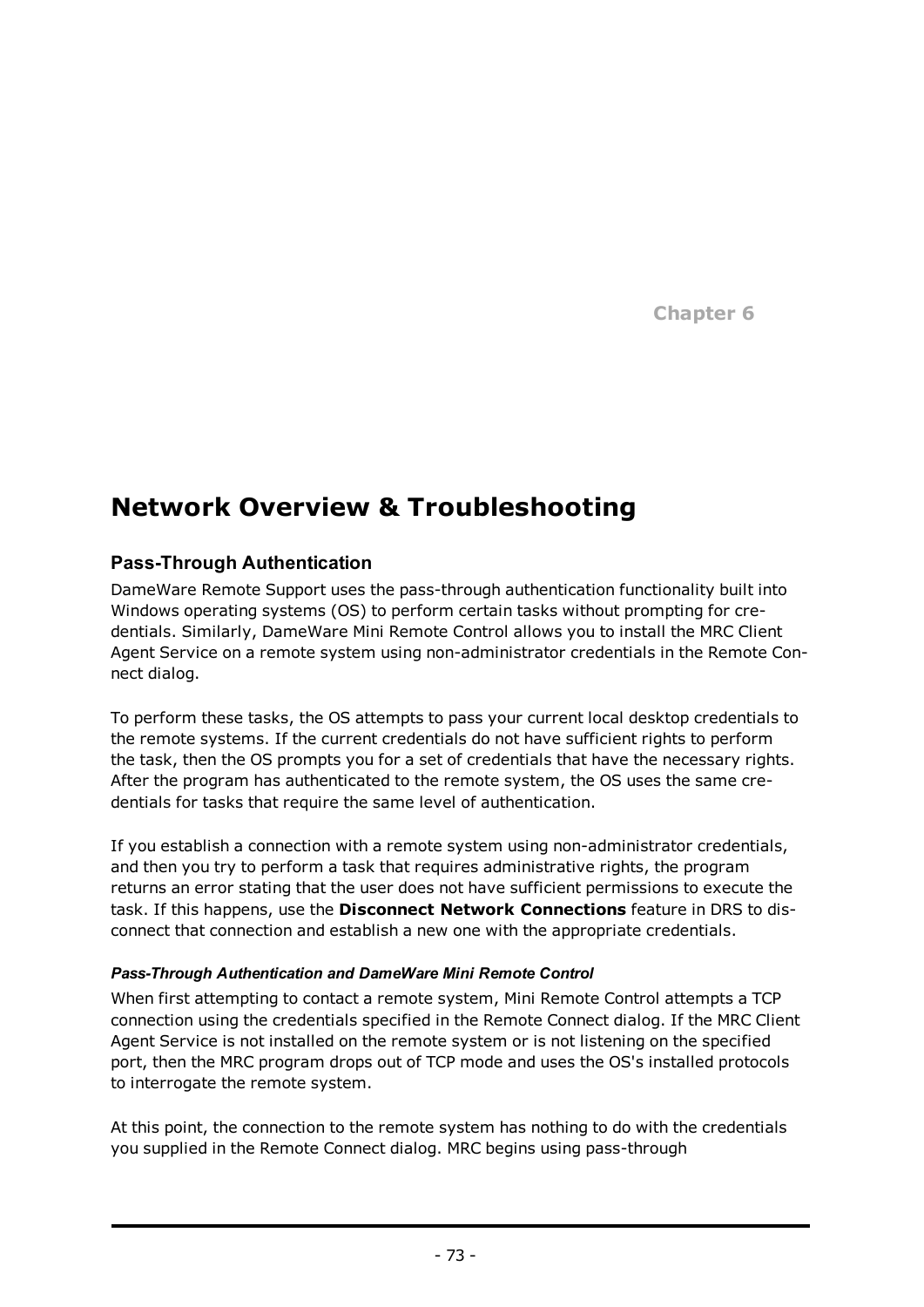**Chapter 6**

# **Network Overview & Troubleshooting**

# <span id="page-75-0"></span>**Pass-Through Authentication**

DameWare Remote Support uses the pass-through authentication functionality built into Windows operating systems (OS) to perform certain tasks without prompting for credentials. Similarly, DameWare Mini Remote Control allows you to install the MRC Client Agent Service on a remote system using non-administrator credentials in the Remote Connect dialog.

To perform these tasks, the OS attempts to pass your current local desktop credentials to the remote systems. If the current credentials do not have sufficient rights to perform the task, then the OS prompts you for a set of credentials that have the necessary rights. After the program has authenticated to the remote system, the OS uses the same credentials for tasks that require the same level of authentication.

If you establish a connection with a remote system using non-administrator credentials, and then you try to perform a task that requires administrative rights, the program returns an error stating that the user does not have sufficient permissions to execute the task. If this happens, use the **Disconnect Network Connections** feature in DRS to disconnect that connection and establish a new one with the appropriate credentials.

#### *Pass-Through Authentication and DameWare Mini Remote Control*

When first attempting to contact a remote system, Mini Remote Control attempts a TCP connection using the credentials specified in the Remote Connect dialog. If the MRC Client Agent Service is not installed on the remote system or is not listening on the specified port, then the MRC program drops out of TCP mode and uses the OS's installed protocols to interrogate the remote system.

At this point, the connection to the remote system has nothing to do with the credentials you supplied in the Remote Connect dialog. MRC begins using pass-through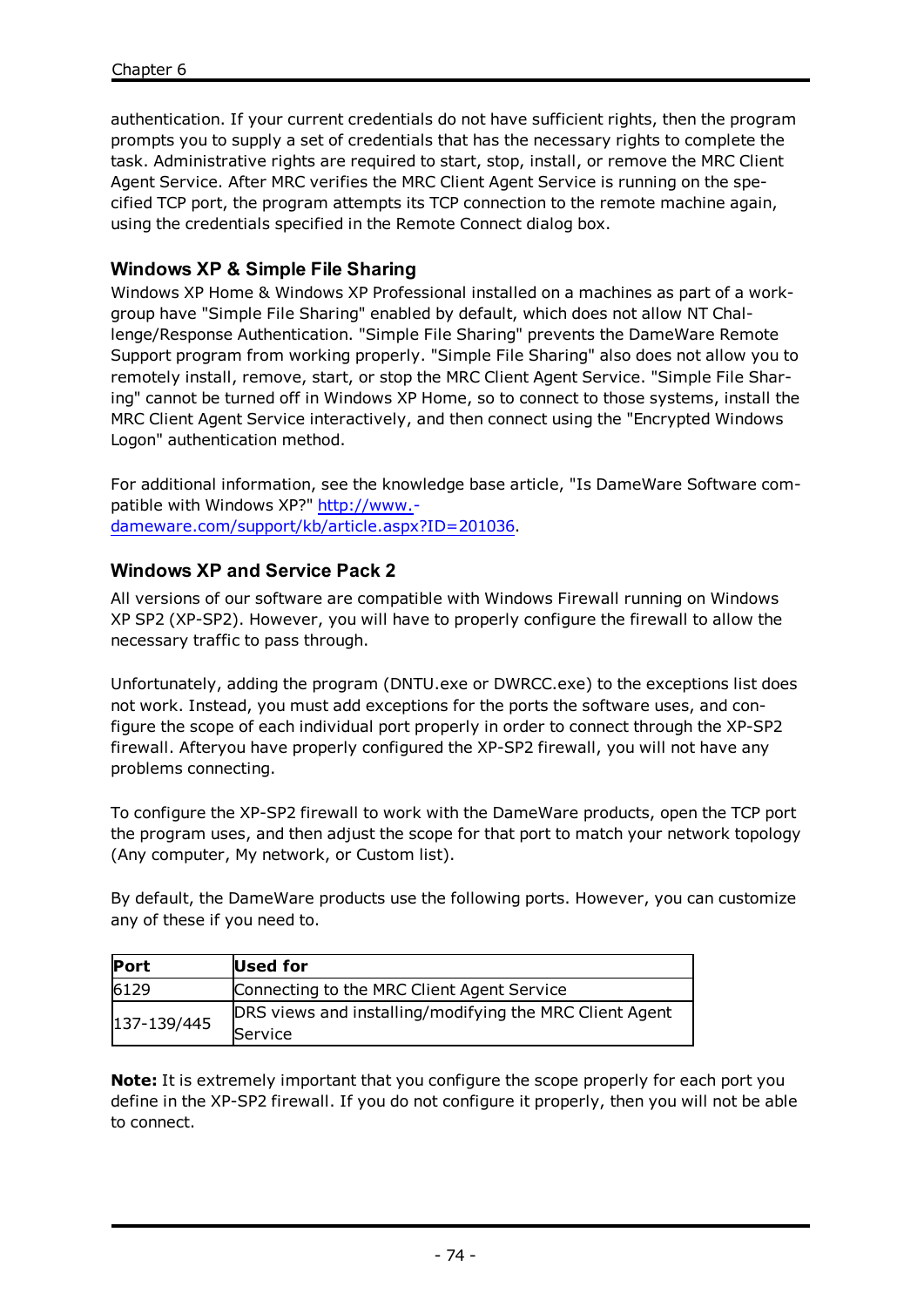authentication. If your current credentials do not have sufficient rights, then the program prompts you to supply a set of credentials that has the necessary rights to complete the task. Administrative rights are required to start, stop, install, or remove the MRC Client Agent Service. After MRC verifies the MRC Client Agent Service is running on the specified TCP port, the program attempts its TCP connection to the remote machine again, using the credentials specified in the Remote Connect dialog box.

## <span id="page-76-0"></span>**Windows XP & Simple File Sharing**

Windows XP Home & Windows XP Professional installed on a machines as part of a workgroup have "Simple File Sharing" enabled by default, which does not allow NT Challenge/Response Authentication. "Simple File Sharing" prevents the DameWare Remote Support program from working properly. "Simple File Sharing" also does not allow you to remotely install, remove, start, or stop the MRC Client Agent Service. "Simple File Sharing" cannot be turned off in Windows XP Home, so to connect to those systems, install the MRC Client Agent Service interactively, and then connect using the "Encrypted Windows Logon" authentication method.

For additional information, see the knowledge base article, "Is DameWare Software compatible with Windows XP?" [http://www.](http://www.dameware.com/support/kb/article.aspx?ID=201036) [dameware.com/support/kb/article.aspx?ID=201036.](http://www.dameware.com/support/kb/article.aspx?ID=201036)

## **Windows XP and Service Pack 2**

All versions of our software are compatible with Windows Firewall running on Windows XP SP2 (XP-SP2). However, you will have to properly configure the firewall to allow the necessary traffic to pass through.

Unfortunately, adding the program (DNTU.exe or DWRCC.exe) to the exceptions list does not work. Instead, you must add exceptions for the ports the software uses, and configure the scope of each individual port properly in order to connect through the XP-SP2 firewall. Afteryou have properly configured the XP-SP2 firewall, you will not have any problems connecting.

To configure the XP-SP2 firewall to work with the DameWare products, open the TCP port the program uses, and then adjust the scope for that port to match your network topology (Any computer, My network, or Custom list).

By default, the DameWare products use the following ports. However, you can customize any of these if you need to.

| <b>Port</b> | Used for                                                           |
|-------------|--------------------------------------------------------------------|
| 6129        | Connecting to the MRC Client Agent Service                         |
| 137-139/445 | DRS views and installing/modifying the MRC Client Agent<br>Service |

**Note:** It is extremely important that you configure the scope properly for each port you define in the XP-SP2 firewall. If you do not configure it properly, then you will not be able to connect.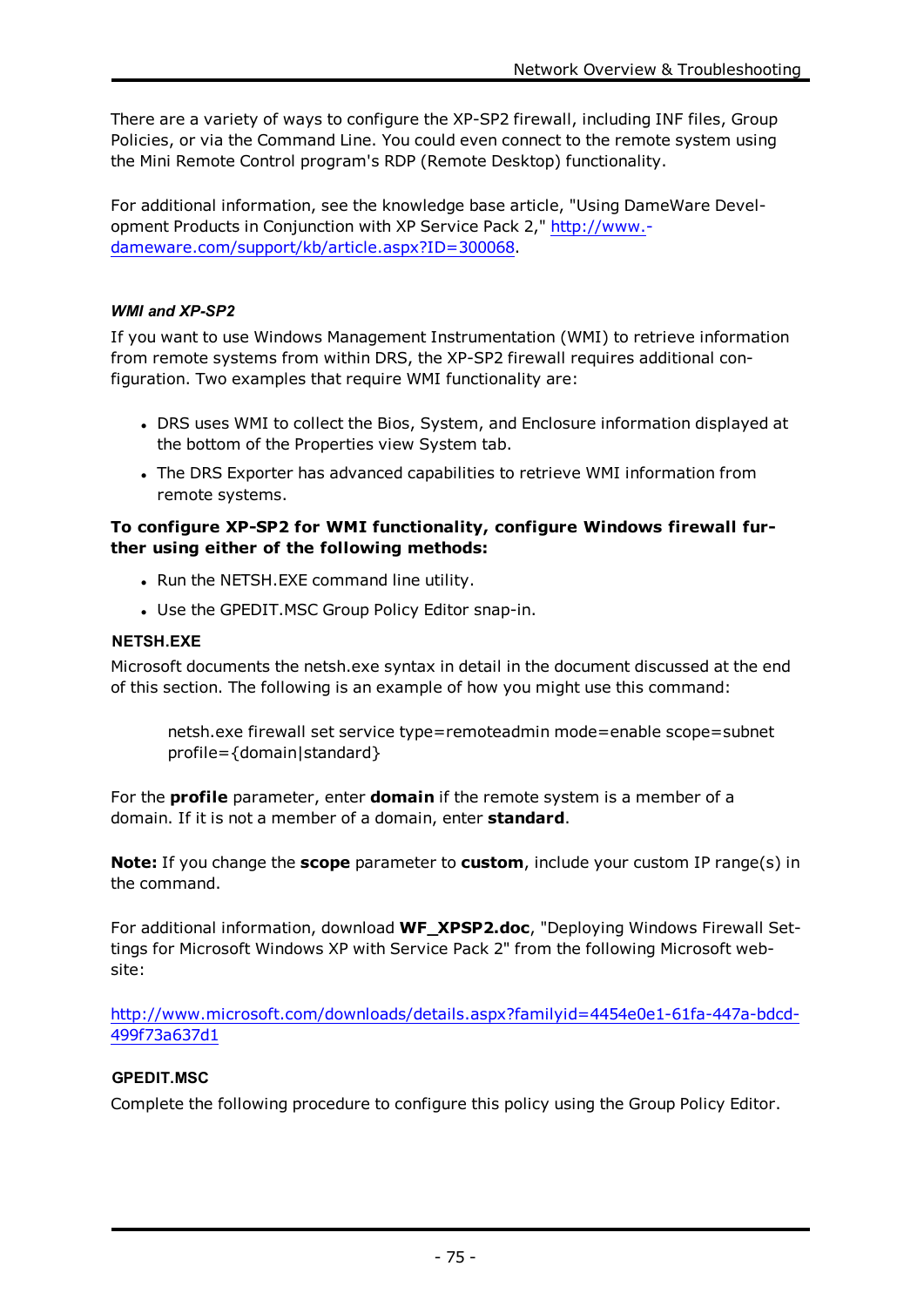There are a variety of ways to configure the XP-SP2 firewall, including INF files, Group Policies, or via the Command Line. You could even connect to the remote system using the Mini Remote Control program's RDP (Remote Desktop) functionality.

For additional information, see the knowledge base article, "Using DameWare Development Products in Conjunction with XP Service Pack 2," [http://www.](http://www.dameware.com/support/kb/article.aspx?ID=300068) [dameware.com/support/kb/article.aspx?ID=300068.](http://www.dameware.com/support/kb/article.aspx?ID=300068)

## *WMI and XP-SP2*

If you want to use Windows Management Instrumentation (WMI) to retrieve information from remote systems from within DRS, the XP-SP2 firewall requires additional configuration. Two examples that require WMI functionality are:

- DRS uses WMI to collect the Bios, System, and Enclosure information displayed at the bottom of the Properties view System tab.
- The DRS Exporter has advanced capabilities to retrieve WMI information from remote systems.

## **To configure XP-SP2 for WMI functionality, configure Windows firewall further using either of the following methods:**

- Run the NETSH.EXE command line utility.
- Use the GPEDIT.MSC Group Policy Editor snap-in.

#### **NETSH.EXE**

Microsoft documents the netsh.exe syntax in detail in the document discussed at the end of this section. The following is an example of how you might use this command:

netsh.exe firewall set service type=remoteadmin mode=enable scope=subnet profile={domain|standard}

For the **profile** parameter, enter **domain** if the remote system is a member of a domain. If it is not a member of a domain, enter **standard**.

**Note:** If you change the **scope** parameter to **custom**, include your custom IP range(s) in the command.

For additional information, download **WF\_XPSP2.doc**, "Deploying Windows Firewall Settings for Microsoft Windows XP with Service Pack 2" from the following Microsoft website:

[http://www.microsoft.com/downloads/details.aspx?familyid=4454e0e1-61fa-447a-bdcd-](http://www.microsoft.com/downloads/details.aspx?familyid=4454e0e1-61fa-447a-bdcd-499f73a637d1)[499f73a637d1](http://www.microsoft.com/downloads/details.aspx?familyid=4454e0e1-61fa-447a-bdcd-499f73a637d1)

## **GPEDIT.MSC**

Complete the following procedure to configure this policy using the Group Policy Editor.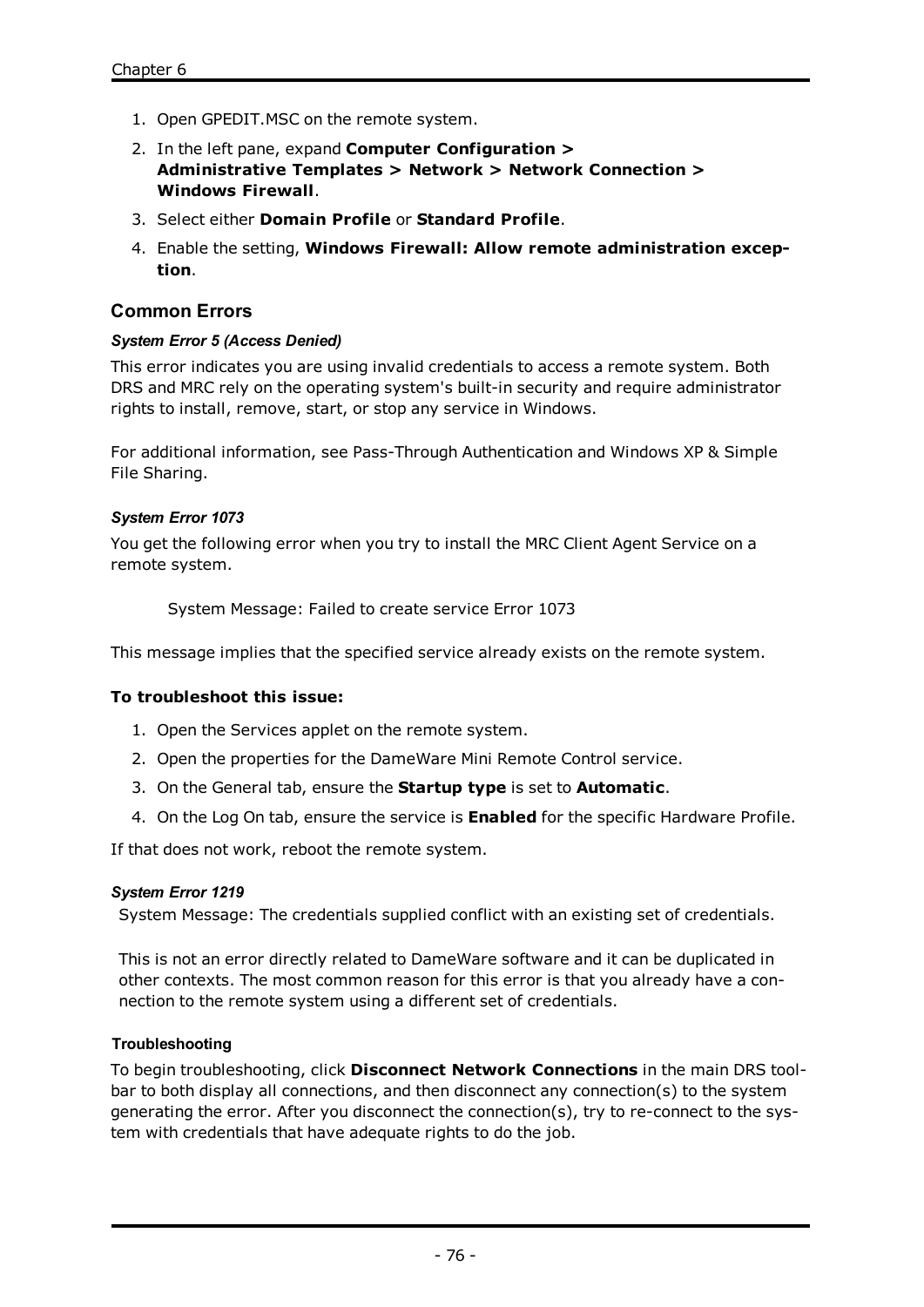- 1. Open GPEDIT.MSC on the remote system.
- 2. In the left pane, expand **Computer Configuration > Administrative Templates > Network > Network Connection > Windows Firewall**.
- 3. Select either **Domain Profile** or **Standard Profile**.
- 4. Enable the setting, **Windows Firewall: Allow remote administration exception**.

# **Common Errors**

#### *System Error 5 (Access Denied)*

This error indicates you are using invalid credentials to access a remote system. Both DRS and MRC rely on the operating system's built-in security and require administrator rights to install, remove, start, or stop any service in Windows.

For additional information, see Pass-Through [Authentication](#page-75-0) and [Windows](#page-76-0) XP & Simple File [Sharing](#page-76-0).

#### *System Error 1073*

You get the following error when you try to install the MRC Client Agent Service on a remote system.

System Message: Failed to create service Error 1073

This message implies that the specified service already exists on the remote system.

#### **To troubleshoot this issue:**

- 1. Open the Services applet on the remote system.
- 2. Open the properties for the DameWare Mini Remote Control service.
- 3. On the General tab, ensure the **Startup type** is set to **Automatic**.
- 4. On the Log On tab, ensure the service is **Enabled** for the specific Hardware Profile.

If that does not work, reboot the remote system.

#### *System Error 1219*

System Message: The credentials supplied conflict with an existing set of credentials.

This is not an error directly related to DameWare software and it can be duplicated in other contexts. The most common reason for this error is that you already have a connection to the remote system using a different set of credentials.

#### **Troubleshooting**

To begin troubleshooting, click **Disconnect Network Connections** in the main DRS toolbar to both display all connections, and then disconnect any connection(s) to the system generating the error. After you disconnect the connection(s), try to re-connect to the system with credentials that have adequate rights to do the job.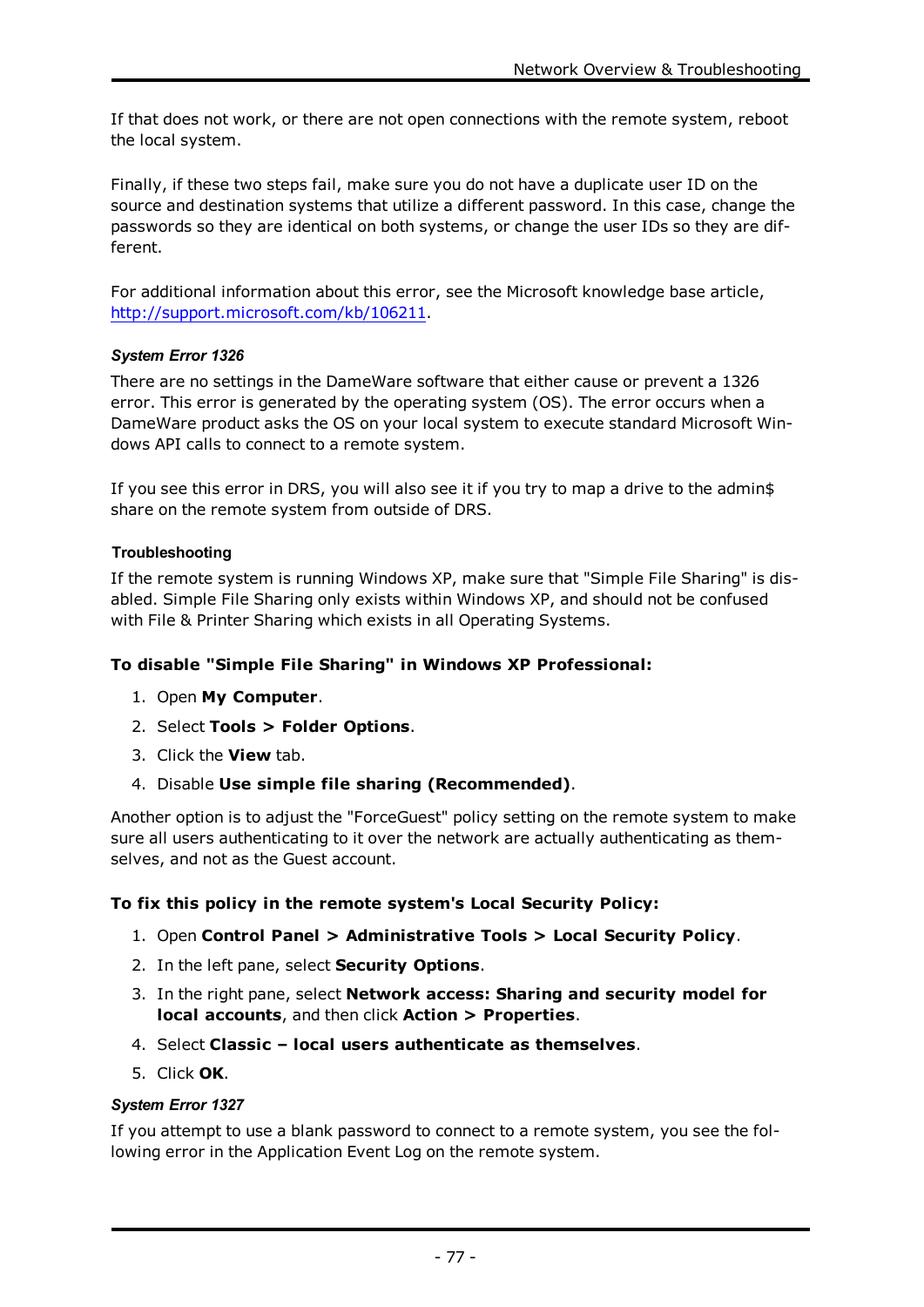If that does not work, or there are not open connections with the remote system, reboot the local system.

Finally, if these two steps fail, make sure you do not have a duplicate user ID on the source and destination systems that utilize a different password. In this case, change the passwords so they are identical on both systems, or change the user IDs so they are different.

For additional information about this error, see the Microsoft knowledge base article, <http://support.microsoft.com/kb/106211>.

# *System Error 1326*

There are no settings in the DameWare software that either cause or prevent a 1326 error. This error is generated by the operating system (OS). The error occurs when a DameWare product asks the OS on your local system to execute standard Microsoft Windows API calls to connect to a remote system.

If you see this error in DRS, you will also see it if you try to map a drive to the admin\$ share on the remote system from outside of DRS.

## **Troubleshooting**

If the remote system is running Windows XP, make sure that "Simple File Sharing" is disabled. Simple File Sharing only exists within Windows XP, and should not be confused with File & Printer Sharing which exists in all Operating Systems.

## **To disable "Simple File Sharing" in Windows XP Professional:**

- 1. Open **My Computer**.
- 2. Select **Tools > Folder Options**.
- 3. Click the **View** tab.
- 4. Disable **Use simple file sharing (Recommended)**.

Another option is to adjust the "ForceGuest" policy setting on the remote system to make sure all users authenticating to it over the network are actually authenticating as themselves, and not as the Guest account.

## **To fix this policy in the remote system's Local Security Policy:**

- 1. Open **Control Panel > Administrative Tools > Local Security Policy**.
- 2. In the left pane, select **Security Options**.
- 3. In the right pane, select **Network access: Sharing and security model for local accounts**, and then click **Action > Properties**.
- 4. Select **Classic – local users authenticate as themselves**.
- 5. Click **OK**.

#### *System Error 1327*

If you attempt to use a blank password to connect to a remote system, you see the following error in the Application Event Log on the remote system.